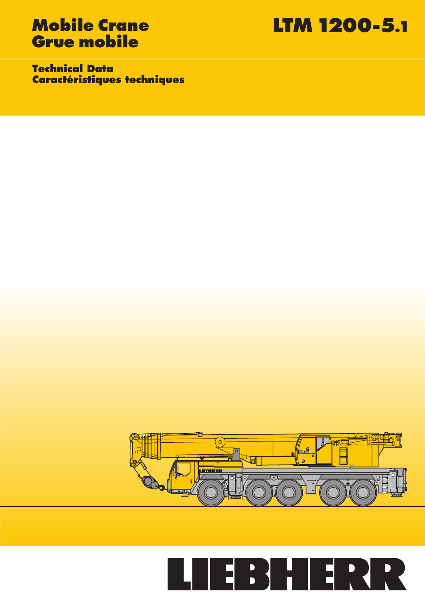# **Grue mobile**

**Mobile Crane LTM 1200-5.1**

**Technical Data Caractéristiques techniques**



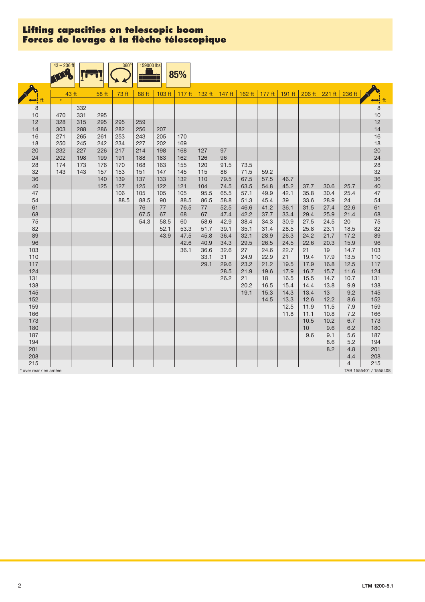| 132 ft   147 ft   162 ft   177 ft   191 ft   206 ft  <br>$221 \text{ ft}$ 236 ft<br>43 ft<br>73 ft<br>103 ft $117$ ft<br>58 ft<br>88 ft<br>$\star$<br>$\leftrightarrow$ ft<br>8<br>8<br>332<br>10<br>10<br>331<br>470<br>295<br>12<br>12<br>328<br>315<br>295<br>295<br>259<br>14<br>14<br>303<br>288<br>286<br>282<br>256<br>207<br>16<br>253<br>$16$<br>271<br>265<br>261<br>243<br>205<br>170<br>18<br>18<br>250<br>245<br>242<br>234<br>227<br>202<br>169<br>$20\,$<br>20<br>217<br>232<br>227<br>226<br>214<br>198<br>168<br>127<br>97<br>24<br>24<br>202<br>96<br>198<br>199<br>191<br>188<br>183<br>162<br>126<br>28<br>28<br>174<br>173<br>176<br>170<br>168<br>163<br>155<br>120<br>91.5<br>73.5<br>32<br>32<br>143<br>143<br>153<br>151<br>145<br>115<br>71.5<br>157<br>147<br>86<br>59.2<br>36<br>36<br>140<br>139<br>137<br>133<br>132<br>110<br>79.5<br>67.5<br>57.5<br>46.7 | $43 - 236$ ft |  | $360^\circ$ | 159000 lbs | 85% |  |  |  |  |  |
|-------------------------------------------------------------------------------------------------------------------------------------------------------------------------------------------------------------------------------------------------------------------------------------------------------------------------------------------------------------------------------------------------------------------------------------------------------------------------------------------------------------------------------------------------------------------------------------------------------------------------------------------------------------------------------------------------------------------------------------------------------------------------------------------------------------------------------------------------------------------------------------------|---------------|--|-------------|------------|-----|--|--|--|--|--|
|                                                                                                                                                                                                                                                                                                                                                                                                                                                                                                                                                                                                                                                                                                                                                                                                                                                                                           |               |  |             |            |     |  |  |  |  |  |
|                                                                                                                                                                                                                                                                                                                                                                                                                                                                                                                                                                                                                                                                                                                                                                                                                                                                                           |               |  |             |            |     |  |  |  |  |  |
|                                                                                                                                                                                                                                                                                                                                                                                                                                                                                                                                                                                                                                                                                                                                                                                                                                                                                           |               |  |             |            |     |  |  |  |  |  |
|                                                                                                                                                                                                                                                                                                                                                                                                                                                                                                                                                                                                                                                                                                                                                                                                                                                                                           |               |  |             |            |     |  |  |  |  |  |
|                                                                                                                                                                                                                                                                                                                                                                                                                                                                                                                                                                                                                                                                                                                                                                                                                                                                                           |               |  |             |            |     |  |  |  |  |  |
|                                                                                                                                                                                                                                                                                                                                                                                                                                                                                                                                                                                                                                                                                                                                                                                                                                                                                           |               |  |             |            |     |  |  |  |  |  |
|                                                                                                                                                                                                                                                                                                                                                                                                                                                                                                                                                                                                                                                                                                                                                                                                                                                                                           |               |  |             |            |     |  |  |  |  |  |
|                                                                                                                                                                                                                                                                                                                                                                                                                                                                                                                                                                                                                                                                                                                                                                                                                                                                                           |               |  |             |            |     |  |  |  |  |  |
|                                                                                                                                                                                                                                                                                                                                                                                                                                                                                                                                                                                                                                                                                                                                                                                                                                                                                           |               |  |             |            |     |  |  |  |  |  |
|                                                                                                                                                                                                                                                                                                                                                                                                                                                                                                                                                                                                                                                                                                                                                                                                                                                                                           |               |  |             |            |     |  |  |  |  |  |
|                                                                                                                                                                                                                                                                                                                                                                                                                                                                                                                                                                                                                                                                                                                                                                                                                                                                                           |               |  |             |            |     |  |  |  |  |  |
|                                                                                                                                                                                                                                                                                                                                                                                                                                                                                                                                                                                                                                                                                                                                                                                                                                                                                           |               |  |             |            |     |  |  |  |  |  |
| 40<br>40<br>74.5<br>125<br>127<br>125<br>122<br>121<br>104<br>63.5<br>54.8<br>25.7<br>45.2<br>37.7<br>30.6                                                                                                                                                                                                                                                                                                                                                                                                                                                                                                                                                                                                                                                                                                                                                                                |               |  |             |            |     |  |  |  |  |  |
| 47<br>95.5<br>25.4<br>47<br>106<br>105<br>105<br>105<br>65.5<br>57.1<br>49.9<br>42.1<br>35.8<br>30.4                                                                                                                                                                                                                                                                                                                                                                                                                                                                                                                                                                                                                                                                                                                                                                                      |               |  |             |            |     |  |  |  |  |  |
| 88.5<br>88.5<br>24<br>54<br>90<br>88.5<br>86.5<br>58.8<br>51.3<br>45.4<br>39<br>33.6<br>28.9<br>54                                                                                                                                                                                                                                                                                                                                                                                                                                                                                                                                                                                                                                                                                                                                                                                        |               |  |             |            |     |  |  |  |  |  |
| 61<br>22.6<br>61<br>76<br>77<br>76.5<br>77<br>52.5<br>46.6<br>41.2<br>36.1<br>31.5<br>27.4                                                                                                                                                                                                                                                                                                                                                                                                                                                                                                                                                                                                                                                                                                                                                                                                |               |  |             |            |     |  |  |  |  |  |
| 25.9<br>21.4<br>68<br>68<br>67.5<br>67<br>68<br>67<br>47.4<br>42.2<br>37.7<br>33.4<br>29.4                                                                                                                                                                                                                                                                                                                                                                                                                                                                                                                                                                                                                                                                                                                                                                                                |               |  |             |            |     |  |  |  |  |  |
| 75<br>24.5<br>20<br>75<br>54.3<br>58.5<br>60<br>58.6<br>42.9<br>38.4<br>34.3<br>30.9<br>27.5                                                                                                                                                                                                                                                                                                                                                                                                                                                                                                                                                                                                                                                                                                                                                                                              |               |  |             |            |     |  |  |  |  |  |
| 82<br>82<br>52.1<br>53.3<br>35.1<br>23.1<br>18.5<br>51.7<br>39.1<br>31.4<br>28.5<br>25.8                                                                                                                                                                                                                                                                                                                                                                                                                                                                                                                                                                                                                                                                                                                                                                                                  |               |  |             |            |     |  |  |  |  |  |
| 89<br>89<br>43.9<br>47.5<br>45.8<br>36.4<br>32.1<br>28.9<br>26.3<br>24.2<br>21.7<br>17.2                                                                                                                                                                                                                                                                                                                                                                                                                                                                                                                                                                                                                                                                                                                                                                                                  |               |  |             |            |     |  |  |  |  |  |
| 96<br>96<br>22.6<br>15.9<br>42.6<br>40.9<br>34.3<br>29.5<br>26.5<br>24.5<br>20.3                                                                                                                                                                                                                                                                                                                                                                                                                                                                                                                                                                                                                                                                                                                                                                                                          |               |  |             |            |     |  |  |  |  |  |
| 21<br>14.7<br>103<br>103<br>36.1<br>36.6<br>32.6<br>27<br>24.6<br>22.7<br>19                                                                                                                                                                                                                                                                                                                                                                                                                                                                                                                                                                                                                                                                                                                                                                                                              |               |  |             |            |     |  |  |  |  |  |
| 110<br>13.5<br>110<br>33.1<br>31<br>22.9<br>21<br>17.9<br>24.9<br>19.4                                                                                                                                                                                                                                                                                                                                                                                                                                                                                                                                                                                                                                                                                                                                                                                                                    |               |  |             |            |     |  |  |  |  |  |
| 117<br>23.2<br>21.2<br>19.5<br>16.8<br>12.5<br>117<br>29.1<br>29.6<br>17.9                                                                                                                                                                                                                                                                                                                                                                                                                                                                                                                                                                                                                                                                                                                                                                                                                |               |  |             |            |     |  |  |  |  |  |
| 124<br>28.5<br>21.9<br>19.6<br>17.9<br>16.7<br>15.7<br>11.6<br>124<br>131<br>26.2<br>14.7<br>131<br>21<br>18<br>16.5<br>15.5<br>10.7                                                                                                                                                                                                                                                                                                                                                                                                                                                                                                                                                                                                                                                                                                                                                      |               |  |             |            |     |  |  |  |  |  |
| 138<br>14.4<br>13.8<br>9.9<br>138<br>20.2<br>16.5<br>15.4                                                                                                                                                                                                                                                                                                                                                                                                                                                                                                                                                                                                                                                                                                                                                                                                                                 |               |  |             |            |     |  |  |  |  |  |
| 145<br>145<br>15.3<br>14.3<br>13.4<br>13<br>9.2<br>19.1                                                                                                                                                                                                                                                                                                                                                                                                                                                                                                                                                                                                                                                                                                                                                                                                                                   |               |  |             |            |     |  |  |  |  |  |
| 152<br>152<br>14.5<br>13.3<br>12.6<br>12.2<br>8.6                                                                                                                                                                                                                                                                                                                                                                                                                                                                                                                                                                                                                                                                                                                                                                                                                                         |               |  |             |            |     |  |  |  |  |  |
| 159<br>12.5<br>11.5<br>159<br>11.9<br>7.9                                                                                                                                                                                                                                                                                                                                                                                                                                                                                                                                                                                                                                                                                                                                                                                                                                                 |               |  |             |            |     |  |  |  |  |  |
| 166<br>7.2<br>166<br>11.8<br>11.1<br>10.8                                                                                                                                                                                                                                                                                                                                                                                                                                                                                                                                                                                                                                                                                                                                                                                                                                                 |               |  |             |            |     |  |  |  |  |  |
| 173<br>6.7<br>173<br>10.5<br>10.2                                                                                                                                                                                                                                                                                                                                                                                                                                                                                                                                                                                                                                                                                                                                                                                                                                                         |               |  |             |            |     |  |  |  |  |  |
| 180<br>9.6<br>6.2<br>180<br>10                                                                                                                                                                                                                                                                                                                                                                                                                                                                                                                                                                                                                                                                                                                                                                                                                                                            |               |  |             |            |     |  |  |  |  |  |
| 187<br>9.6<br>9.1<br>5.6<br>187                                                                                                                                                                                                                                                                                                                                                                                                                                                                                                                                                                                                                                                                                                                                                                                                                                                           |               |  |             |            |     |  |  |  |  |  |
| 194<br>5.2<br>194<br>8.6                                                                                                                                                                                                                                                                                                                                                                                                                                                                                                                                                                                                                                                                                                                                                                                                                                                                  |               |  |             |            |     |  |  |  |  |  |
| 201<br>201<br>8.2<br>4.8                                                                                                                                                                                                                                                                                                                                                                                                                                                                                                                                                                                                                                                                                                                                                                                                                                                                  |               |  |             |            |     |  |  |  |  |  |
| 208<br>208<br>4.4                                                                                                                                                                                                                                                                                                                                                                                                                                                                                                                                                                                                                                                                                                                                                                                                                                                                         |               |  |             |            |     |  |  |  |  |  |
| 215<br>$\overline{4}$<br>215<br>TAB 1555401 / 1555408<br>over rear / en arrière                                                                                                                                                                                                                                                                                                                                                                                                                                                                                                                                                                                                                                                                                                                                                                                                           |               |  |             |            |     |  |  |  |  |  |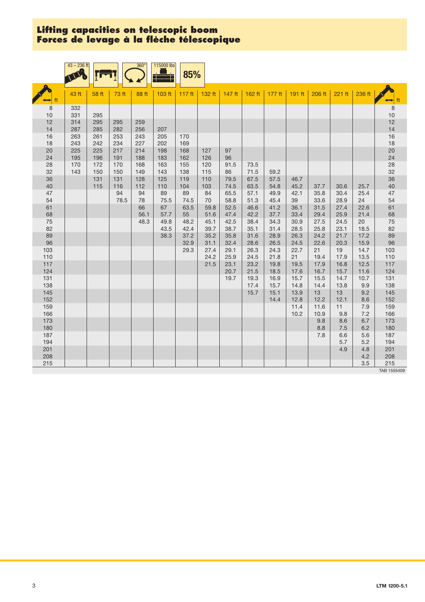|            | $43 - 236$ ft |            |            | $360^\circ$ | 115000 lbs | 85%       |              |              |              |              |              |              |              |              |                      |
|------------|---------------|------------|------------|-------------|------------|-----------|--------------|--------------|--------------|--------------|--------------|--------------|--------------|--------------|----------------------|
|            | 43 ft         | 58 ft      | 73 ft      | 88 ft       | 103 ft     | 117 ft    | 132 ft       | 147 ft       | 162 ft       | 177 ft       | 191 ft       | 206 ft       | 221 ft       | 236 ft       | $\leftrightarrow$ ft |
| 8          | 332           |            |            |             |            |           |              |              |              |              |              |              |              |              | $\,8\,$              |
| 10         | 331           | 295        |            |             |            |           |              |              |              |              |              |              |              |              | 10                   |
| 12         | 314           | 295        | 295        | 259         |            |           |              |              |              |              |              |              |              |              | 12                   |
| 14<br>16   | 287<br>263    | 285<br>261 | 282<br>253 | 256<br>243  | 207<br>205 | 170       |              |              |              |              |              |              |              |              | 14<br>16             |
| 18         | 243           | 242        | 234        | 227         | 202        | 169       |              |              |              |              |              |              |              |              | 18                   |
| 20         | 225           | 225        | 217        | 214         | 198        | 168       | 127          | 97           |              |              |              |              |              |              | 20                   |
| 24         | 195           | 196        | 191        | 188         | 183        | 162       | 126          | 96           |              |              |              |              |              |              | 24                   |
| 28         | 170           | 172        | 170        | 168         | 163        | 155       | 120          | 91.5         | 73.5         |              |              |              |              |              | 28                   |
| 32         | 143           | 150        | 150        | 149         | 143        | 138       | 115          | 86           | 71.5         | 59.2         |              |              |              |              | 32                   |
| 36         |               | 131        | 131        | 128         | 125        | 119       | 110          | 79.5         | 67.5         | 57.5         | 46.7         |              |              |              | 36                   |
| 40<br>47   |               | 115        | 116<br>94  | 112<br>94   | 110<br>89  | 104<br>89 | 103<br>84    | 74.5<br>65.5 | 63.5<br>57.1 | 54.8<br>49.9 | 45.2<br>42.1 | 37.7<br>35.8 | 30.6<br>30.4 | 25.7<br>25.4 | 40<br>47             |
| 54         |               |            | 78.5       | 78          | 75.5       | 74.5      | 70           | 58.8         | 51.3         | 45.4         | 39           | 33.6         | 28.9         | 24           | 54                   |
| 61         |               |            |            | 66          | 67         | 63.5      | 59.8         | 52.5         | 46.6         | 41.2         | 36.1         | 31.5         | 27.4         | 22.6         | 61                   |
| 68         |               |            |            | 56.1        | 57.7       | 55        | 51.6         | 47.4         | 42.2         | 37.7         | 33.4         | 29.4         | 25.9         | 21.4         | 68                   |
| 75         |               |            |            | 48.3        | 49.8       | 48.2      | 45.1         | 42.5         | 38.4         | 34.3         | 30.9         | 27.5         | 24.5         | 20           | 75                   |
| 82         |               |            |            |             | 43.5       | 42.4      | 39.7         | 38.7         | 35.1         | 31.4         | 28.5         | 25.8         | 23.1         | 18.5         | 82                   |
| 89         |               |            |            |             | 38.3       | 37.2      | 35.2         | 35.8         | 31.6         | 28.9         | 26.3         | 24.2         | 21.7         | 17.2         | 89                   |
| 96         |               |            |            |             |            | 32.9      | 31.1         | 32.4         | 28.6         | 26.5         | 24.5         | 22.6         | 20.3         | 15.9         | 96                   |
| 103<br>110 |               |            |            |             |            | 29.3      | 27.4<br>24.2 | 29.1<br>25.9 | 26.3<br>24.5 | 24.3<br>21.8 | 22.7<br>21   | 21<br>19.4   | 19<br>17.9   | 14.7<br>13.5 | 103<br>110           |
| 117        |               |            |            |             |            |           | 21.5         | 23.1         | 23.2         | 19.8         | 19.5         | 17.9         | 16.8         | 12.5         | 117                  |
| 124        |               |            |            |             |            |           |              | 20.7         | 21.5         | 18.5         | 17.6         | 16.7         | 15.7         | 11.6         | 124                  |
| 131        |               |            |            |             |            |           |              | 19.7         | 19.3         | 16.9         | 15.7         | 15.5         | 14.7         | 10.7         | 131                  |
| 138        |               |            |            |             |            |           |              |              | 17.4         | 15.7         | 14.8         | 14.4         | 13.8         | 9.9          | 138                  |
| 145        |               |            |            |             |            |           |              |              | 15.7         | 15.1         | 13.9         | 13           | 13           | 9.2          | 145                  |
| 152        |               |            |            |             |            |           |              |              |              | 14.4         | 12.8         | 12.2         | 12.1         | 8.6          | 152                  |
| 159        |               |            |            |             |            |           |              |              |              |              | 11.4<br>10.2 | 11.6<br>10.9 | 11           | 7.9<br>7.2   | 159                  |
| 166<br>173 |               |            |            |             |            |           |              |              |              |              |              | 9.8          | 9.8<br>8.6   | 6.7          | 166<br>173           |
| 180        |               |            |            |             |            |           |              |              |              |              |              | 8.8          | 7.5          | 6.2          | 180                  |
| 187        |               |            |            |             |            |           |              |              |              |              |              | 7.8          | 6.6          | 5.6          | 187                  |
| 194        |               |            |            |             |            |           |              |              |              |              |              |              | 5.7          | 5.2          | 194                  |
| 201        |               |            |            |             |            |           |              |              |              |              |              |              | 4.9          | 4.8          | 201                  |
| 208        |               |            |            |             |            |           |              |              |              |              |              |              |              | 4.2          | 208                  |
| 215        |               |            |            |             |            |           |              |              |              |              |              |              |              | 3.5          | 215<br>TAB 1555409   |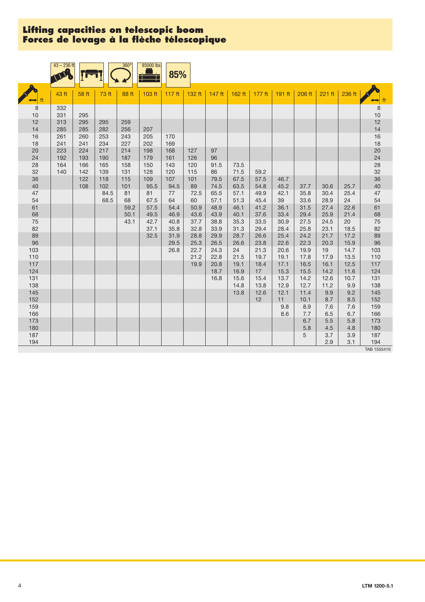|            | $43 - 236$ ft |            |             | $360^\circ$ | 93000 lbs  | 85%               |            |              |              |              |              |              |              |              |                      |
|------------|---------------|------------|-------------|-------------|------------|-------------------|------------|--------------|--------------|--------------|--------------|--------------|--------------|--------------|----------------------|
|            | 43 ft         | 58 ft      | 73 ft       | 88 ft       | 103 ft     | 117 <sub>ft</sub> | 132 ft     | $147$ ft     | 162 ft       | $177$ ft     | 191 ft       | $206$ ft     | 221 ft       | 236 ft       | $\leftrightarrow$ ft |
| 8          | 332           |            |             |             |            |                   |            |              |              |              |              |              |              |              | $\,8\,$              |
| 10         | 331           | 295        |             |             |            |                   |            |              |              |              |              |              |              |              | $10$                 |
| 12         | 313           | 295        | 295         | 259         |            |                   |            |              |              |              |              |              |              |              | 12                   |
| 14         | 285           | 285        | 282         | 256         | 207        |                   |            |              |              |              |              |              |              |              | 14                   |
| 16         | 261           | 260        | 253         | 243         | 205        | 170               |            |              |              |              |              |              |              |              | 16                   |
| 18<br>20   | 241<br>223    | 241<br>224 | 234<br>217  | 227<br>214  | 202<br>198 | 169<br>168        | 127        | 97           |              |              |              |              |              |              | 18<br>20             |
| 24         | 192           | 193        | 190         | 187         | 179        | 161               | 126        | 96           |              |              |              |              |              |              | 24                   |
| 28         | 164           | 166        | 165         | 158         | 150        | 143               | 120        | 91.5         | 73.5         |              |              |              |              |              | 28                   |
| 32         | 140           | 142        | 139         | 131         | 128        | 120               | 115        | 86           | 71.5         | 59.2         |              |              |              |              | 32                   |
| 36         |               | 122        | 118         | 115         | 109        | 107               | 101        | 79.5         | 67.5         | 57.5         | 46.7         |              |              |              | 36                   |
| 40<br>47   |               | 108        | 102<br>84.5 | 101<br>81   | 95.5<br>81 | 94.5<br>77        | 89<br>72.5 | 74.5<br>65.5 | 63.5<br>57.1 | 54.8<br>49.9 | 45.2<br>42.1 | 37.7<br>35.8 | 30.6<br>30.4 | 25.7<br>25.4 | 40<br>47             |
| 54         |               |            | 68.5        | 68          | 67.5       | 64                | 60         | 57.1         | 51.3         | 45.4         | 39           | 33.6         | 28.9         | 24           | 54                   |
| 61         |               |            |             | 59.2        | 57.5       | 54.4              | 50.9       | 48.9         | 46.1         | 41.2         | 36.1         | 31.5         | 27.4         | 22.6         | 61                   |
| 68         |               |            |             | 50.1        | 49.5       | 46.9              | 43.6       | 43.9         | 40.1         | 37.6         | 33.4         | 29.4         | 25.9         | 21.4         | 68                   |
| 75         |               |            |             | 43.1        | 42.7       | 40.8              | 37.7       | 38.8         | 35.3         | 33.5         | 30.9         | 27.5         | 24.5         | 20           | 75                   |
| 82         |               |            |             |             | 37.1       | 35.8              | 32.8       | 33.9         | 31.3         | 29.4         | 28.4         | 25.8         | 23.1         | 18.5         | 82                   |
| 89         |               |            |             |             | 32.5       | 31.9              | 28.8       | 29.9         | 28.7         | 26.6         | 25.4         | 24.2         | 21.7         | 17.2         | 89                   |
| 96         |               |            |             |             |            | 29.5              | 25.3       | 26.5         | 26.6         | 23.8         | 22.6         | 22.3         | 20.3         | 15.9         | 96                   |
| 103        |               |            |             |             |            | 26.8              | 22.7       | 24.3         | 24           | 21.3         | 20.6         | 19.9         | 19           | 14.7         | 103                  |
| 110        |               |            |             |             |            |                   | 21.2       | 22.8         | 21.5         | 19.7         | 19.1         | 17.8         | 17.9         | 13.5         | 110                  |
| 117        |               |            |             |             |            |                   | 19.9       | 20.8         | 19.1         | 18.4         | 17.1         | 16.5         | 16.1         | 12.5         | 117                  |
| 124        |               |            |             |             |            |                   |            | 18.7         | 16.9         | 17           | 15.3         | 15.5         | 14.2         | 11.6         | 124                  |
| 131        |               |            |             |             |            |                   |            | 16.8         | 15.6         | 15.4         | 13.7         | 14.2         | 12.6         | 10.7         | 131                  |
| 138        |               |            |             |             |            |                   |            |              | 14.8         | 13.8         | 12.9         | 12.7         | 11.2         | 9.9          | 138                  |
| 145        |               |            |             |             |            |                   |            |              | 13.8         | 12.6         | 12.1         | 11.4         | 9.9          | 9.2          | 145                  |
| 152<br>159 |               |            |             |             |            |                   |            |              |              | 12           | 11<br>9.8    | 10.1<br>8.9  | 8.7<br>7.6   | 8.5<br>7.6   | 152<br>159           |
| 166        |               |            |             |             |            |                   |            |              |              |              | 8.6          | 7.7          | 6.5          | 6.7          | 166                  |
| 173        |               |            |             |             |            |                   |            |              |              |              |              | 6.7          | 5.5          | 5.8          | 173                  |
| 180        |               |            |             |             |            |                   |            |              |              |              |              | 5.8          | 4.5          | 4.8          | 180                  |
| 187        |               |            |             |             |            |                   |            |              |              |              |              | 5            | 3.7          | 3.9          | 187                  |
| 194        |               |            |             |             |            |                   |            |              |              |              |              |              | 2.9          | 3.1          | 194                  |
|            |               |            |             |             |            |                   |            |              |              |              |              |              |              |              | TAB 1555410          |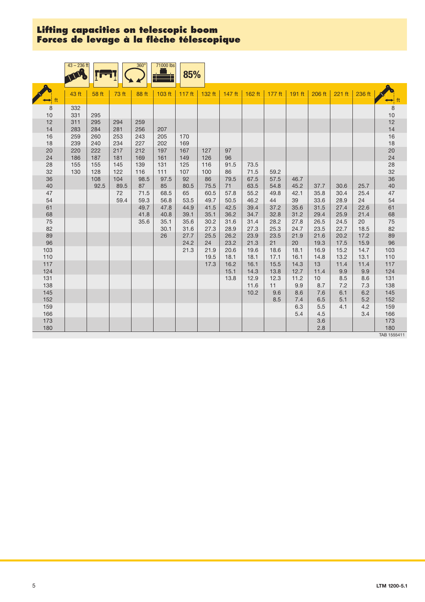|              | $43 - 236$ ft |             |             | $360^\circ$  | 71000 lbs    | 85%               |              |              |              |              |              |              |              |              |                    |
|--------------|---------------|-------------|-------------|--------------|--------------|-------------------|--------------|--------------|--------------|--------------|--------------|--------------|--------------|--------------|--------------------|
|              | 43 ft         | 58 ft       | 73 ft       | 88 ft        | 103 ft       | 117 <sub>ft</sub> | 132 ft       | $147$ ft     | 162 ft       | 177 ft       | 191 ft       | 206 ft       | 221 ft       | 236 ft       |                    |
| 8<br>10      | 332<br>331    | 295         |             |              |              |                   |              |              |              |              |              |              |              |              | $\,$ 8 $\,$<br>10  |
| 12<br>14     | 311<br>283    | 295<br>284  | 294<br>281  | 259<br>256   | 207          |                   |              |              |              |              |              |              |              |              | 12<br>14           |
| 16<br>18     | 259<br>239    | 260<br>240  | 253<br>234  | 243<br>227   | 205<br>202   | 170<br>169        |              |              |              |              |              |              |              |              | 16<br>18           |
| 20<br>24     | 220<br>186    | 222<br>187  | 217<br>181  | 212<br>169   | 197<br>161   | 167<br>149        | 127<br>126   | 97<br>96     |              |              |              |              |              |              | 20<br>24           |
| 28<br>32     | 155<br>130    | 155<br>128  | 145<br>122  | 139<br>116   | 131<br>111   | 125<br>107        | 116<br>100   | 91.5<br>86   | 73.5<br>71.5 | 59.2         |              |              |              |              | 28<br>32           |
| 36<br>40     |               | 108<br>92.5 | 104<br>89.5 | 98.5<br>87   | 97.5<br>85   | 92<br>80.5        | 86<br>75.5   | 79.5<br>71   | 67.5<br>63.5 | 57.5<br>54.8 | 46.7<br>45.2 | 37.7         | 30.6         | 25.7         | 36<br>40           |
| 47<br>54     |               |             | 72<br>59.4  | 71.5<br>59.3 | 68.5<br>56.8 | 65<br>53.5        | 60.5<br>49.7 | 57.8<br>50.5 | 55.2<br>46.2 | 49.8<br>44   | 42.1<br>39   | 35.8<br>33.6 | 30.4<br>28.9 | 25.4<br>24   | 47<br>54           |
| 61<br>68     |               |             |             | 49.7<br>41.8 | 47.8<br>40.8 | 44.9<br>39.1      | 41.5<br>35.1 | 42.5<br>36.2 | 39.4<br>34.7 | 37.2<br>32.8 | 35.6<br>31.2 | 31.5<br>29.4 | 27.4<br>25.9 | 22.6<br>21.4 | 61<br>68           |
| 75<br>82     |               |             |             | 35.6         | 35.1<br>30.1 | 35.6<br>31.6      | 30.2<br>27.3 | 31.6<br>28.9 | 31.4<br>27.3 | 28.2<br>25.3 | 27.8<br>24.7 | 26.5<br>23.5 | 24.5<br>22.7 | 20<br>18.5   | 75<br>82           |
| 89<br>96     |               |             |             |              | 26           | 27.7<br>24.2      | 25.5<br>24   | 26.2<br>23.2 | 23.9<br>21.3 | 23.5<br>21   | 21.9<br>20   | 21.6<br>19.3 | 20.2<br>17.5 | 17.2<br>15.9 | 89<br>96           |
| 103<br>110   |               |             |             |              |              | 21.3              | 21.9<br>19.5 | 20.6<br>18.1 | 19.6<br>18.1 | 18.6<br>17.1 | 18.1<br>16.1 | 16.9<br>14.8 | 15.2<br>13.2 | 14.7<br>13.1 | 103<br>110         |
| $117$<br>124 |               |             |             |              |              |                   | 17.3         | 16.2<br>15.1 | 16.1<br>14.3 | 15.5<br>13.8 | 14.3<br>12.7 | 13<br>11.4   | 11.4<br>9.9  | 11.4<br>9.9  | 117<br>124         |
| 131<br>138   |               |             |             |              |              |                   |              | 13.8         | 12.9<br>11.6 | 12.3<br>11   | 11.2<br>9.9  | 10<br>8.7    | 8.5<br>7.2   | 8.6<br>7.3   | 131<br>138         |
| 145<br>152   |               |             |             |              |              |                   |              |              | 10.2         | 9.6<br>8.5   | 8.6<br>7.4   | 7.6<br>6.5   | 6.1<br>5.1   | 6.2<br>5.2   | 145<br>152         |
| 159<br>166   |               |             |             |              |              |                   |              |              |              |              | 6.3<br>5.4   | 5.5          | 4.1          | 4.2<br>3.4   | 159                |
| 173          |               |             |             |              |              |                   |              |              |              |              |              | 4.5<br>3.6   |              |              | 166<br>173         |
| 180          |               |             |             |              |              |                   |              |              |              |              |              | 2.8          |              |              | 180<br>TAB 1555411 |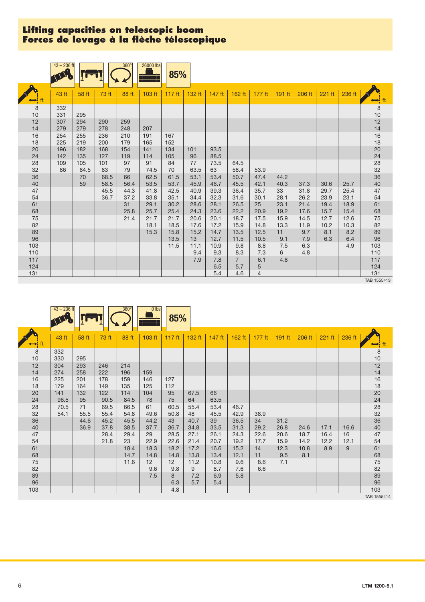|            | $43 - 236$ ft |             |              | $360^\circ$  | 26000 lbs    | 85%          |              |              |                       |                   |              |              |              |              |                                              |
|------------|---------------|-------------|--------------|--------------|--------------|--------------|--------------|--------------|-----------------------|-------------------|--------------|--------------|--------------|--------------|----------------------------------------------|
|            |               |             |              |              |              |              |              |              |                       |                   |              |              |              |              |                                              |
|            | 43 ft         | 58 ft       | 73 ft        | 88 ft        | 103 ft       | 117 $ft$     | 132 ft       | 147 ft       | 162 ft                | 177 ft            | 191 ft       | 206 ft       | 221 ft       | 236 ft       | ⇔                                            |
| 8<br>10    | 332<br>331    | 295         |              |              |              |              |              |              |                       |                   |              |              |              |              | $\begin{array}{c} 8 \\ 10 \\ 12 \end{array}$ |
| 12<br>14   | 307<br>279    | 294<br>279  | 290<br>278   | 259<br>248   | 207          |              |              |              |                       |                   |              |              |              |              | 14                                           |
| 16<br>18   | 254<br>225    | 255<br>219  | 236<br>200   | 210<br>179   | 191<br>165   | 167<br>152   |              |              |                       |                   |              |              |              |              | 16<br>18                                     |
| 20<br>24   | 196<br>142    | 182<br>135  | 168<br>127   | 154<br>119   | 141<br>114   | 134<br>105   | 101<br>96    | 93.5<br>88.5 |                       |                   |              |              |              |              | 20<br>24                                     |
| 28<br>32   | 109<br>86     | 105<br>84.5 | 101<br>83    | 97<br>79     | 91<br>74.5   | 84<br>70     | 77<br>63.5   | 73.5<br>63   | 64.5<br>58.4          | 53.9              |              |              |              |              | 28<br>32<br>36                               |
| 36<br>40   |               | 70<br>59    | 68.5<br>58.5 | 66<br>56.4   | 62.5<br>53.5 | 61.5<br>53.7 | 53.1<br>45.9 | 53.4<br>46.7 | 50.7<br>45.5          | 47.4<br>42.1      | 44.2<br>40.3 | 37.3         | 30.6         | 25.7         | 40                                           |
| 47<br>54   |               |             | 45.5<br>36.7 | 44.3<br>37.2 | 41.8<br>33.8 | 42.5<br>35.1 | 40.9<br>34.4 | 39.3<br>32.3 | 36.4<br>31.6          | 35.7<br>30.1      | 33<br>28.1   | 31.8<br>26.2 | 29.7<br>23.9 | 25.4<br>23.1 | 47<br>54                                     |
| 61<br>68   |               |             |              | 31<br>25.8   | 29.1<br>25.7 | 30.2<br>25.4 | 28.6<br>24.3 | 28.1<br>23.6 | 26.5<br>22.2          | 25<br>20.9        | 23.1<br>19.2 | 21.4<br>17.6 | 19.4<br>15.7 | 18.9<br>15.4 | 61<br>68                                     |
| 75<br>82   |               |             |              | 21.4         | 21.7<br>18.1 | 21.7<br>18.5 | 20.6<br>17.6 | 20.1<br>17.2 | 18.7<br>15.9          | 17.5<br>14.8      | 15.9<br>13.3 | 14.5<br>11.9 | 12.7<br>10.2 | 12.6<br>10.3 | $75\,$<br>82                                 |
| 89<br>96   |               |             |              |              | 15.3         | 15.8<br>13.5 | 15.2<br>13   | 14.7<br>12.7 | 13.5<br>11.5          | 12.5<br>10.5      | 11<br>9.1    | 9.7<br>7.9   | 8.1<br>6.3   | 8.2<br>6.4   | 89<br>96                                     |
| 103<br>110 |               |             |              |              |              | 11.5         | 11.1<br>9.4  | 10.9<br>9.3  | 9.8<br>8.3            | 8.8<br>7.3        | 7.5<br>6     | 6.3<br>4.8   |              | 4.9          | 103<br>110                                   |
| 117<br>124 |               |             |              |              |              |              | 7.9          | 7.8<br>6.5   | $\overline{7}$<br>5.7 | 6.1<br>$\sqrt{5}$ | 4.8          |              |              |              | 117<br>124                                   |
| 131        |               |             |              |              |              |              |              | 5.4          | 4.6                   | $\overline{4}$    |              |              |              |              | 131<br>TAB 1555413                           |

|                                        | $43 - 236$ ft |              |              | $360^\circ$  | $\overline{0}$ lbs | 85%                    |              |              |              |              |              |              |              |            |                                         |
|----------------------------------------|---------------|--------------|--------------|--------------|--------------------|------------------------|--------------|--------------|--------------|--------------|--------------|--------------|--------------|------------|-----------------------------------------|
| $\leftrightarrow$ ft                   | 43 ft         | 58 ft        | 73 ft        | 88 ft        | 103 ft             | $117$ ft               | 132 ft       | 147 ft       | 162 ft       | $177$ ft     | $191$ ft     | $206$ ft     | 221 ft       | 236 ft     | ft<br>⊷                                 |
| $\begin{array}{c} 8 \\ 10 \end{array}$ | 332<br>330    | 295          |              |              |                    |                        |              |              |              |              |              |              |              |            | $\begin{array}{c} 8 \\ 10 \end{array}$  |
| 12<br>14                               | 304<br>274    | 293<br>258   | 246<br>222   | 214<br>196   | 159                |                        |              |              |              |              |              |              |              |            | $\begin{array}{c} 12 \\ 14 \end{array}$ |
| 16<br>18                               | 225<br>179    | 201<br>164   | 178<br>149   | 159<br>135   | 146<br>125         | 127<br>112             |              |              |              |              |              |              |              |            | 16<br>$18$                              |
| 20<br>24                               | 141<br>96.5   | 132<br>95    | 122<br>90.5  | 114<br>84.5  | 104<br>78          | 95<br>75               | 67.5<br>64   | 66<br>63.5   |              |              |              |              |              |            | $\frac{20}{24}$                         |
| 28<br>32                               | 70.5<br>54.1  | 71<br>55.5   | 69.5<br>55.4 | 66.5<br>54.8 | 61<br>49.6         | 60.5<br>50.8           | 55.4<br>48   | 53.4<br>45.5 | 46.7<br>42.9 | 38.9         |              |              |              |            | 28<br>32                                |
| 36<br>40                               |               | 44.6<br>36.9 | 45.2<br>37.8 | 45.5<br>38.5 | 44.2<br>37.7       | 43<br>36.7             | 40.7<br>34.8 | 39<br>33.5   | 36.5<br>31.3 | 34<br>29.2   | 31.2<br>26.8 | 24.6         | 17.1         | 16.6       | 36<br>40                                |
| 47<br>54                               |               |              | 28.4<br>21.8 | 29.4<br>23   | 29<br>22.9         | 28.5<br>22.6           | 27.1<br>21.4 | 26.1<br>20.7 | 24.3<br>19.2 | 22.6<br>17.7 | 20.6<br>15.9 | 18.7<br>14.2 | 16.4<br>12.2 | 16<br>12.1 | 47<br>54                                |
| 61<br>68                               |               |              |              | 18.4<br>14.7 | 18.3<br>14.8       | 18.2<br>14.8           | 17.2<br>13.8 | 16.6<br>13.4 | 15.2<br>12.1 | 14<br>11     | 12.3<br>9.5  | 10.8<br>8.1  | 8.9          | 9          | 61<br>68                                |
| 75<br>82                               |               |              |              | 11.6         | 12<br>9.6          | 12 <sup>2</sup><br>9.8 | 11.2<br>9    | 10.8<br>8.7  | 9.6<br>7.6   | 8.6<br>6.6   | 7.1          |              |              |            | $75\,$<br>82                            |
| 89<br>96                               |               |              |              |              | 7.5                | 8<br>6.3               | 7.2<br>5.7   | 6.9<br>5.4   | 5.8          |              |              |              |              |            | 89<br>96                                |
| 103                                    |               |              |              |              |                    | 4.8                    |              |              |              |              |              |              |              |            | 103                                     |
|                                        |               |              |              |              |                    |                        |              |              |              |              |              |              |              |            | TAB 1555414                             |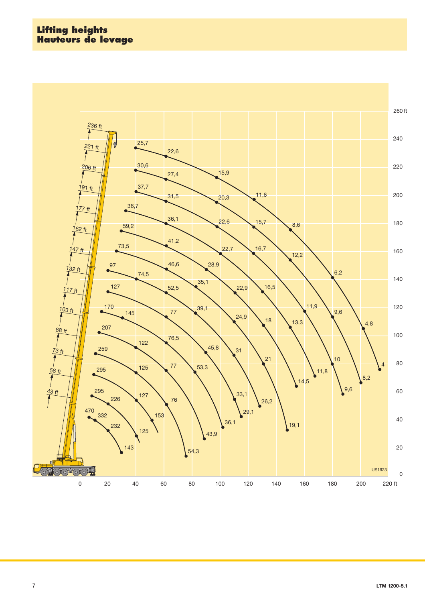## **Lifting heights Hauteurs de levage**

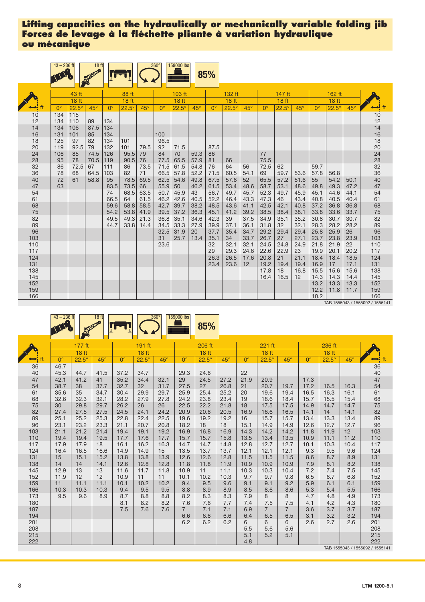|                   | $43 - 236$ ft |                  | 18 ft        |              |                  |              | $360^\circ$  | 159000 lbs       |              | 85%              |              |              |                  |              |              |              |                  |              |                                  |
|-------------------|---------------|------------------|--------------|--------------|------------------|--------------|--------------|------------------|--------------|------------------|--------------|--------------|------------------|--------------|--------------|--------------|------------------|--------------|----------------------------------|
|                   |               | 43 ft            |              |              | 88 ft            |              |              | 103 ft           |              |                  | 132 ft       |              |                  | 147 ft       |              |              | 162 ft           |              |                                  |
|                   |               | 18 <sub>ft</sub> |              |              | 18 <sub>ft</sub> |              |              | 18 <sub>ft</sub> |              |                  | 18 ft        |              |                  | <b>18 ft</b> |              |              | 18 <sub>ft</sub> |              |                                  |
| $\leftrightarrow$ | $0^{\circ}$   | $22.5^\circ$     | $45^\circ$   | $0^{\circ}$  | $22.5^\circ$     | $45^\circ$   | $0^{\circ}$  | $22.5^\circ$     | $45^\circ$   | $0^{\circ}$      | $22.5^\circ$ | $45^\circ$   | $\Omega^{\circ}$ | $22.5^\circ$ | $45^\circ$   | $0^{\circ}$  | $22.5^\circ$     | $45^\circ$   | $\mapsto$                        |
| 10<br>12          | 134<br>134    | 115<br>110       | 89           | 134          |                  |              |              |                  |              |                  |              |              |                  |              |              |              |                  |              | 10<br>12                         |
| 14<br>16          | 134<br>131    | 106<br>101       | 87.5<br>85   | 134<br>134   |                  |              | 100          |                  |              |                  |              |              |                  |              |              |              |                  |              | 14<br>16                         |
| 18<br>20          | 125<br>119    | 97<br>92.5       | 82<br>79     | 134<br>132   | 101<br>101       | 79.5         | 96.5<br>92   | 71.5             |              | 87.5             |              |              |                  |              |              |              |                  |              | 18                               |
| 24                | 106<br>95     | 85<br>78         | 74.5<br>70.5 | 126<br>119   | 95.5<br>90.5     | 79<br>76     | 84<br>77.5   | 70<br>65.5       | 59.3<br>57.9 | 86               | 66           |              | 77<br>75.5       |              |              |              |                  |              | 20                               |
| 28<br>32<br>36    | 86<br>78      | 72.5<br>68       | 67<br>64.5   | 111<br>103   | 86<br>82         | 73.5<br>71   | 71.5<br>66.5 | 61.5<br>57.8     | 54.8<br>52.2 | 81<br>76<br>71.5 | 64<br>60.5   | 56<br>54.1   | 72.5             | 62<br>59.7   |              | 59.7         |                  |              | 24<br>28<br>32<br>36<br>36<br>40 |
| 40                | 72            | 61               | 58.8         | 95           | 78.5             | 69.5         | 62.5         | 54.6             | 49.8         | 67.5             | 57.6         | 52           | 69<br>65.5       | 57.2         | 53.6<br>51.6 | 57.8<br>55   | 56.8<br>54.2     | 50.1         |                                  |
| 47<br>54          | 63            |                  |              | 83.5<br>74   | 73.5<br>68.5     | 66<br>63.5   | 55.9<br>50.7 | 50<br>45.9       | 46.2<br>43   | 61.5<br>56.7     | 53.4<br>49.7 | 48.6<br>45.7 | 58.7<br>52.3     | 53.1<br>49.7 | 48.6<br>45.9 | 49.8<br>45.1 | 49.3<br>44.6     | 47.2<br>44.1 | 47<br>54                         |
| 61<br>68          |               |                  |              | 66.5<br>59.6 | 64<br>58.8       | 61.5<br>58.5 | 46.2<br>42.7 | 42.6<br>39.7     | 40.5<br>38.2 | 52.2<br>48.5     | 46.4<br>43.6 | 43.3<br>41.1 | 47.3<br>42.5     | 46<br>42.1   | 43.4<br>40.8 | 40.8<br>37.2 | 40.5<br>36.8     | 40.4<br>36.8 | 61<br>68                         |
| 75<br>82          |               |                  |              | 54.2<br>49.5 | 53.8<br>49.3     | 41.9<br>21.3 | 39.5<br>36.8 | 37.2<br>35.1     | 36.3<br>34.6 | 45.1<br>42.3     | 41.2<br>39   | 39.2<br>37.5 | 38.5<br>34.9     | 38.4<br>35.1 | 38.1<br>35.2 | 33.8<br>30.8 | 33.6<br>30.7     | 33.7<br>30.7 | 75<br>82                         |
| 89<br>96          |               |                  |              | 44.7         | 33.8             | 14.4         | 34.5<br>32.5 | 33.3<br>31.9     | 27.9<br>20   | 39.9<br>37.7     | 37.1<br>35.4 | 36.1<br>34.7 | 31.8<br>29.2     | 32<br>29.4   | 32.1<br>29.4 | 28.3<br>25.8 | 28.2<br>25.9     | 28.2<br>26   | 89<br>96                         |
| 103               |               |                  |              |              |                  |              | 31           | 25.7             | 13.4         | 35.1             | 34           | 33.7         | 26.7             | 27           | 27.1         | 23.7         | 23.8             | 23.9         | 103                              |
| 110<br>117        |               |                  |              |              |                  |              | 23.6         |                  |              | 32<br>29         | 32.1<br>29.3 | 32.1<br>24.6 | 24.5<br>22.6     | 24.8<br>22.9 | 24.9<br>23   | 21.8<br>19.9 | 21.9<br>20.1     | 22<br>20.2   | 110<br>117                       |
| 124<br>131        |               |                  |              |              |                  |              |              |                  |              | 26.3<br>23.4     | 26.5<br>23.6 | 17.6<br>12   | 20.8<br>19.2     | 21<br>19.4   | 21.1<br>19.4 | 18.4<br>16.9 | 18.4<br>17       | 18.5<br>17.1 | 124<br>131                       |
| 138<br>145        |               |                  |              |              |                  |              |              |                  |              |                  |              |              | 17.8<br>16.4     | 18<br>16.5   | 16.8<br>12   | 15.5<br>14.3 | 15.6<br>14.3     | 15.6<br>14.4 | 138<br>145                       |
| 152<br>159        |               |                  |              |              |                  |              |              |                  |              |                  |              |              |                  |              |              | 13.2<br>12.2 | 13.3<br>11.8     | 13.3<br>11.7 | 152<br>159                       |
| 166               |               |                  |              |              |                  |              |              |                  |              |                  |              |              |                  |              |              | 10.2         |                  |              | 166                              |

TAB 1555043 / 1555092 / 1555141

|                 | $43 - 236$ ft        |                      | 18 <sub>ft</sub>     |                      |                            | $360^\circ$          | 159000 lbs            | 85%                        |                    |                    |                            |                       |                      |                      |                    |                                        |
|-----------------|----------------------|----------------------|----------------------|----------------------|----------------------------|----------------------|-----------------------|----------------------------|--------------------|--------------------|----------------------------|-----------------------|----------------------|----------------------|--------------------|----------------------------------------|
|                 |                      | 177 ft<br>18 ft      |                      |                      | 191 ft<br>18 <sub>ft</sub> |                      |                       | 206 ft<br>18 <sub>ft</sub> |                    |                    | 221 ft<br>18 <sub>ft</sub> |                       |                      | 236 ft<br>18 ft      |                    |                                        |
| ft              | $0^{\circ}$          | $22.5^\circ$         | $45^\circ$           | $0^{\circ}$          | $22.5^\circ$               | $45^\circ$           | $0^{\circ}$           | $22.5^\circ$               | $45^\circ$         | $0^{\circ}$        | $22.5^\circ$               | $45^\circ$            | $0^{\circ}$          | $22.5^\circ$         | $45^\circ$         | ft<br>$\rightarrow$                    |
| 36<br>40        | 46.7<br>45.3         | 44.7                 | 41.5                 | 37.2                 | 34.7                       |                      | 29.3                  | 24.6                       |                    | 22                 |                            |                       |                      |                      |                    | 36<br>40                               |
| 47<br>54        | 42.1<br>38.7         | 41.2<br>38           | 41<br>37.7           | 35.2<br>32.7         | 34.4<br>32                 | 32.1<br>31.7         | 29<br>27.5            | 24.5<br>27                 | 27.2<br>26.8       | 21.9<br>21         | 20.9<br>20.7               | 19.7                  | 17.3<br>17.2         | 16.5                 | 16.3               | 47<br>54                               |
| 61<br>68        | 35.6<br>32.6         | 35<br>32.3           | 34.7<br>32.1         | 30.4<br>28.2         | 29.9<br>27.9               | 29.7<br>27.8         | 25.9<br>24.2          | 25.4<br>23.8               | 25.2<br>23.4       | 20<br>19           | 19.6<br>18.6               | 19.4<br>18.4          | 16.5<br>15.7         | 16.3<br>15.5         | 16.1<br>15.4       | 61<br>68                               |
| 75<br>82        | 30<br>27.4           | 29.8<br>27.5         | 29.7<br>27.5         | 26.2<br>24.5         | 26<br>24.1                 | 26<br>24.2           | 22.5<br>20.9          | 22.2<br>20.6               | 21.8<br>20.5       | 18<br>16.9         | 17.5<br>16.6               | 17.5<br>16.5          | 14.9<br>14.1         | 14.7<br>14           | 14.7<br>14.1       | 75<br>82                               |
| 89<br>96<br>103 | 25.1<br>23.1<br>21.1 | 25.2<br>23.2<br>21.2 | 25.3<br>23.3<br>21.4 | 22.8<br>21.1<br>19.4 | 22.4<br>20.7<br>19.1       | 22.5<br>20.8<br>19.2 | 19.6<br>18.2<br>16.9  | 19.2<br>18<br>16.8         | 19.2<br>18<br>16.9 | 16<br>15.1<br>14.3 | 15.7<br>14.9<br>14.2       | 15.7<br>14.9<br>14.2  | 13.4<br>12.6<br>11.8 | 13.3<br>12.7<br>11.9 | 13.4<br>12.7<br>12 | 89<br>96<br>103                        |
| 110<br>117      | 19.4<br>17.9         | 19.4<br>17.9         | 19.5<br>18           | 17.7<br>16.1         | 17.6<br>16.2               | 17.7<br>16.3         | 15.7<br>14.7          | 15.7<br>14.7               | 15.8<br>14.8       | 13.5<br>12.8       | 13.4<br>12.7               | 13.5<br>12.7          | 10.9<br>10.1         | 11.1<br>10.3         | 11.2<br>10.4       | 110<br>117                             |
| 124<br>131      | 16.4<br>15           | 16.5<br>15.1         | 16.6<br>15.2         | 14.9<br>13.8         | 14.9<br>13.8               | 15<br>13.9           | 13.5<br>12.6          | 13.7<br>12.6               | 13.7<br>12.8       | 12.1<br>11.5       | 12.1<br>11.5               | 12.1<br>11.5          | 9.3<br>8.6           | 9.5<br>8.7           | 9.6<br>8.9         | 124<br>131                             |
| 138<br>145      | 14<br>12.9           | 14<br>13             | 14.1<br>13           | 12.6<br>11.6         | 12.8<br>11.7               | 12.8<br>11.8         | 11.8<br>10.9          | 11.8<br>11                 | 11.9<br>11.1       | 10.9<br>10.3       | 10.9<br>10.3               | 10.9<br>10.4          | 7.9<br>7.2           | 8.1<br>7.4           | 8.2<br>7.5         | 138<br>145                             |
| 152<br>159      | 11.9<br>11           | 12<br>11.1           | 12<br>11.1           | 10.9<br>10.1         | 11<br>10.2                 | 11<br>10.2           | 10.1<br>9.4           | 10.2<br>9.5                | 10.3<br>9.6        | 9.7<br>9.1         | 9.7<br>9.1                 | 9.8<br>9.2            | 6.5<br>5.9           | 6.7<br>6.1           | 6.8<br>6.1         | 152<br>159                             |
| 166<br>173      | 10.3<br>9.5          | 10.3<br>9.6          | 10.3<br>8.9          | 9.4<br>8.7           | 9.5<br>8.8                 | 9.5<br>8.8           | 8.8<br>8.2            | 8.9<br>8.3                 | 8.9<br>8.3         | 8.5<br>7.9         | 8.6<br>8                   | 8.6<br>8              | 5.3<br>4.7           | 5.4<br>4.8           | 5.5<br>4.9         | 166<br>173                             |
| 180<br>187      |                      |                      |                      | 8.1<br>7.5           | 8.2<br>7.6                 | 8.2<br>7.6           | 7.6<br>$\overline{7}$ | 7.6<br>7.1                 | 7.7<br>7.1         | 7.4<br>6.9         | 7.5<br>$\overline{7}$      | 7.5<br>$\overline{7}$ | 4.1<br>3.6           | 4.2<br>3.7           | 4.3<br>3.7         | 180<br>187                             |
| 194<br>201      |                      |                      |                      |                      |                            |                      | 6.6<br>6.2            | 6.6<br>6.2                 | 6.6<br>6.2         | 6.4<br>6           | 6.5<br>6                   | 6.5<br>6              | 3.1<br>2.6           | 3.2<br>2.7           | 3.2<br>2.6         | 194<br>201                             |
| 208<br>215      |                      |                      |                      |                      |                            |                      |                       |                            |                    | 5.5<br>5.1         | 5.6<br>5.2                 | 5.6<br>5.1            |                      |                      |                    | 208<br>215                             |
| 222             |                      |                      |                      |                      |                            |                      |                       |                            |                    | 4.8                |                            |                       |                      |                      |                    | 222<br>TAB 1555043 / 1555092 / 1555141 |

8 **LTM 1200-**LTM 1200-5.1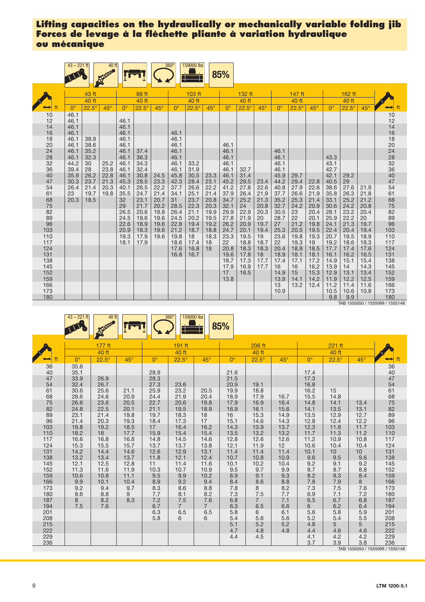| 43 ft<br>88 ft<br>103 ft<br>132 ft<br>147 ft<br>162 ft<br>40 ft<br>40 ft<br>40 ft<br>40 ft<br>40 ft<br>40 ft<br>$22.5^\circ$<br>$45^\circ$<br>ft<br>$22.5^\circ$<br>$45^\circ$<br>$45^\circ$<br>$0^{\circ}$<br>$22.5^\circ$<br>$45^\circ$<br>$22.5^\circ$<br>$45^\circ$<br>$22.5^\circ$<br>$45^\circ$<br>$22.5^\circ$<br>$0^{\circ}$<br>$0^{\circ}$<br>$\Omega^{\circ}$<br>$\Omega^{\circ}$<br>$0^{\circ}$<br>$\rightarrow$<br>46.1<br>$\frac{10}{12}$<br>10<br>12<br>46.1<br>46.1<br>14<br>14<br>46.1<br>46.1<br>16<br>18<br>20<br>24<br>28<br>32<br>36<br>40<br>7<br>16<br>46.1<br>46.1<br>46.1<br>18<br>46.1<br>38.9<br>46.1<br>46.1<br>20<br>38.6<br>46.1<br>46.1<br>46.1<br>46.1<br>46.1<br>24<br>46.1<br>35.2<br>46.1<br>37.4<br>46.1<br>46.1<br>28<br>46.1<br>46.1<br>32.3<br>46.1<br>36.3<br>46.1<br>46.1<br>43.3<br>32<br>44.2<br>25.2<br>33.2<br>46.1<br>30<br>34.3<br>46.1<br>46.1<br>43.1<br>46.1<br>36<br>39.4<br>28<br>23.8<br>31.9<br>46.1<br>46.1<br>42.7<br>46.1<br>32.4<br>46.1<br>32.7<br>40<br>35.9<br>26.2<br>22.8<br>30.8<br>45.8<br>30.5<br>46.1<br>42.1<br>46.1<br>31.4<br>45.9<br>24.5<br>23.3<br>29.7<br>29.2<br>47<br>23.7<br>21.3<br>45.3<br>28.5<br>23.3<br>42.3<br>23.1<br>45.2<br>29.5<br>40.5<br>29<br>30.3<br>28.4<br>44.2<br>29.4<br>23.4<br>22.8<br>54<br>22.2<br>22.2<br>22.6<br>27.6<br>54<br>26.4<br>21.4<br>20.3<br>26.5<br>37.7<br>26.6<br>41.2<br>27.8<br>40.8<br>27.9<br>22.6<br>38.6<br>40.1<br>21.9<br>61<br>68<br>75<br>82<br>89<br>96<br>103<br>110<br>61<br>19.7<br>21.4<br>34.1<br>25.1<br>21.4<br>37.9<br>26.4<br>21.9<br>26.6<br>35.8<br>26.3<br>21.8<br>23<br>19.8<br>35.5<br>24.7<br>37.7<br>21.9<br>23.1<br>23.7<br>21.3<br>35.2<br>33.1<br>25.2<br>68<br>20.3<br>20.7<br>31<br>20.8<br>34.7<br>25.2<br>25.3<br>21.2<br>18.5<br>32<br>21.4<br>75<br>29<br>21.7<br>22.3<br>20.3<br>32.1<br>20.8<br>32.7<br>24.2<br>24.2<br>20.2<br>28.5<br>24<br>20.9<br>30.6<br>20.8<br>26.5<br>29.9<br>22.9<br>20.3<br>23.2<br>82<br>89<br>96<br>20.6<br>19.8<br>26.4<br>21.1<br>19.9<br>30.5<br>23<br>20.4<br>28.1<br>20.4<br>27.8<br>22.2<br>24.5<br>19.6<br>24.5<br>19.5<br>28.7<br>22<br>25.9<br>19.6<br>20.2<br>21.9<br>20<br>20.1<br>20<br>26.2<br>21.2<br>18.9<br>19.6<br>22.8<br>19.4<br>19.2<br>19.7<br>21.3<br>22.6<br>20.9<br>27<br>19.8<br>24.1<br>19.7<br>103<br>18.8<br>20.5<br>22.4<br>20.9<br>18.3<br>19.6<br>21.2<br>18.7<br>24.7<br>19.4<br>25.3<br>19.5<br>20.4<br>19.4<br>20.1<br>110<br>23.3<br>19.5<br>19.3<br>17.9<br>19.6<br>19.8<br>18.3<br>19.5<br>19<br>23.6<br>19.8<br>19.3<br>20.7<br>18.9<br>18<br>$\frac{117}{124}$<br>117<br>19.2<br>18.1<br>18.6<br>17.4<br>22<br>18.8<br>18.7<br>19.3<br>18.6<br>18.3<br>17.9<br>18<br>22<br>19<br>124<br>17.6<br>16.8<br>20.8<br>18.3<br>18.8<br>17.7<br>18<br>18.3<br>20.4<br>18.5<br>17.4<br>17.6<br>131<br>131<br>16.8<br>19.6<br>16.1<br>16.2<br>18<br>18.9<br>18.1<br>18.1<br>16.5<br>16.7<br>17.8<br>138<br>138<br>18.7<br>17.7<br>17.2<br>14.9<br>15.1<br>17.3<br>17.4<br>17.1<br>15.4<br>145<br>145<br>17.9<br>16.9<br>17.7<br>16<br>16<br>16.2<br>13.9<br>14<br>14.3<br>152<br>152<br>16.5<br>15.3<br>12.9<br>13.1<br>13.4<br>17<br>14.9<br>15<br>159<br>159<br>13.8<br>13.9<br>14.1<br>11.9<br>12.2<br>14.2<br>12.5<br>166<br>166<br>13<br>13.2<br>12.4<br>11.2<br>11.4<br>11.6<br>173<br>10.9<br>10.5<br>173<br>10.6<br>10.8<br>9.8<br>180<br>180<br>9.9 | $43 - 221$ ft | 40 ft |  | $360^\circ$ | 159000 lbs | 85% |  |  |  |  |  |
|------------------------------------------------------------------------------------------------------------------------------------------------------------------------------------------------------------------------------------------------------------------------------------------------------------------------------------------------------------------------------------------------------------------------------------------------------------------------------------------------------------------------------------------------------------------------------------------------------------------------------------------------------------------------------------------------------------------------------------------------------------------------------------------------------------------------------------------------------------------------------------------------------------------------------------------------------------------------------------------------------------------------------------------------------------------------------------------------------------------------------------------------------------------------------------------------------------------------------------------------------------------------------------------------------------------------------------------------------------------------------------------------------------------------------------------------------------------------------------------------------------------------------------------------------------------------------------------------------------------------------------------------------------------------------------------------------------------------------------------------------------------------------------------------------------------------------------------------------------------------------------------------------------------------------------------------------------------------------------------------------------------------------------------------------------------------------------------------------------------------------------------------------------------------------------------------------------------------------------------------------------------------------------------------------------------------------------------------------------------------------------------------------------------------------------------------------------------------------------------------------------------------------------------------------------------------------------------------------------------------------------------------------------------------------------------------------------------------------------------------------------------------------------------------------------------------------------------------------------------------------------------------------------------------------------------------------------------------------------------------------------------------------------------------------------------------------------------------------------------------------------------------------------------------------------------------------------------------------------------------------------------------------------------------------------------------------------------------------------------------------|---------------|-------|--|-------------|------------|-----|--|--|--|--|--|
|                                                                                                                                                                                                                                                                                                                                                                                                                                                                                                                                                                                                                                                                                                                                                                                                                                                                                                                                                                                                                                                                                                                                                                                                                                                                                                                                                                                                                                                                                                                                                                                                                                                                                                                                                                                                                                                                                                                                                                                                                                                                                                                                                                                                                                                                                                                                                                                                                                                                                                                                                                                                                                                                                                                                                                                                                                                                                                                                                                                                                                                                                                                                                                                                                                                                                                                                                                              |               |       |  |             |            |     |  |  |  |  |  |
|                                                                                                                                                                                                                                                                                                                                                                                                                                                                                                                                                                                                                                                                                                                                                                                                                                                                                                                                                                                                                                                                                                                                                                                                                                                                                                                                                                                                                                                                                                                                                                                                                                                                                                                                                                                                                                                                                                                                                                                                                                                                                                                                                                                                                                                                                                                                                                                                                                                                                                                                                                                                                                                                                                                                                                                                                                                                                                                                                                                                                                                                                                                                                                                                                                                                                                                                                                              |               |       |  |             |            |     |  |  |  |  |  |
|                                                                                                                                                                                                                                                                                                                                                                                                                                                                                                                                                                                                                                                                                                                                                                                                                                                                                                                                                                                                                                                                                                                                                                                                                                                                                                                                                                                                                                                                                                                                                                                                                                                                                                                                                                                                                                                                                                                                                                                                                                                                                                                                                                                                                                                                                                                                                                                                                                                                                                                                                                                                                                                                                                                                                                                                                                                                                                                                                                                                                                                                                                                                                                                                                                                                                                                                                                              |               |       |  |             |            |     |  |  |  |  |  |
|                                                                                                                                                                                                                                                                                                                                                                                                                                                                                                                                                                                                                                                                                                                                                                                                                                                                                                                                                                                                                                                                                                                                                                                                                                                                                                                                                                                                                                                                                                                                                                                                                                                                                                                                                                                                                                                                                                                                                                                                                                                                                                                                                                                                                                                                                                                                                                                                                                                                                                                                                                                                                                                                                                                                                                                                                                                                                                                                                                                                                                                                                                                                                                                                                                                                                                                                                                              |               |       |  |             |            |     |  |  |  |  |  |
|                                                                                                                                                                                                                                                                                                                                                                                                                                                                                                                                                                                                                                                                                                                                                                                                                                                                                                                                                                                                                                                                                                                                                                                                                                                                                                                                                                                                                                                                                                                                                                                                                                                                                                                                                                                                                                                                                                                                                                                                                                                                                                                                                                                                                                                                                                                                                                                                                                                                                                                                                                                                                                                                                                                                                                                                                                                                                                                                                                                                                                                                                                                                                                                                                                                                                                                                                                              |               |       |  |             |            |     |  |  |  |  |  |
|                                                                                                                                                                                                                                                                                                                                                                                                                                                                                                                                                                                                                                                                                                                                                                                                                                                                                                                                                                                                                                                                                                                                                                                                                                                                                                                                                                                                                                                                                                                                                                                                                                                                                                                                                                                                                                                                                                                                                                                                                                                                                                                                                                                                                                                                                                                                                                                                                                                                                                                                                                                                                                                                                                                                                                                                                                                                                                                                                                                                                                                                                                                                                                                                                                                                                                                                                                              |               |       |  |             |            |     |  |  |  |  |  |
|                                                                                                                                                                                                                                                                                                                                                                                                                                                                                                                                                                                                                                                                                                                                                                                                                                                                                                                                                                                                                                                                                                                                                                                                                                                                                                                                                                                                                                                                                                                                                                                                                                                                                                                                                                                                                                                                                                                                                                                                                                                                                                                                                                                                                                                                                                                                                                                                                                                                                                                                                                                                                                                                                                                                                                                                                                                                                                                                                                                                                                                                                                                                                                                                                                                                                                                                                                              |               |       |  |             |            |     |  |  |  |  |  |
|                                                                                                                                                                                                                                                                                                                                                                                                                                                                                                                                                                                                                                                                                                                                                                                                                                                                                                                                                                                                                                                                                                                                                                                                                                                                                                                                                                                                                                                                                                                                                                                                                                                                                                                                                                                                                                                                                                                                                                                                                                                                                                                                                                                                                                                                                                                                                                                                                                                                                                                                                                                                                                                                                                                                                                                                                                                                                                                                                                                                                                                                                                                                                                                                                                                                                                                                                                              |               |       |  |             |            |     |  |  |  |  |  |
|                                                                                                                                                                                                                                                                                                                                                                                                                                                                                                                                                                                                                                                                                                                                                                                                                                                                                                                                                                                                                                                                                                                                                                                                                                                                                                                                                                                                                                                                                                                                                                                                                                                                                                                                                                                                                                                                                                                                                                                                                                                                                                                                                                                                                                                                                                                                                                                                                                                                                                                                                                                                                                                                                                                                                                                                                                                                                                                                                                                                                                                                                                                                                                                                                                                                                                                                                                              |               |       |  |             |            |     |  |  |  |  |  |
|                                                                                                                                                                                                                                                                                                                                                                                                                                                                                                                                                                                                                                                                                                                                                                                                                                                                                                                                                                                                                                                                                                                                                                                                                                                                                                                                                                                                                                                                                                                                                                                                                                                                                                                                                                                                                                                                                                                                                                                                                                                                                                                                                                                                                                                                                                                                                                                                                                                                                                                                                                                                                                                                                                                                                                                                                                                                                                                                                                                                                                                                                                                                                                                                                                                                                                                                                                              |               |       |  |             |            |     |  |  |  |  |  |
|                                                                                                                                                                                                                                                                                                                                                                                                                                                                                                                                                                                                                                                                                                                                                                                                                                                                                                                                                                                                                                                                                                                                                                                                                                                                                                                                                                                                                                                                                                                                                                                                                                                                                                                                                                                                                                                                                                                                                                                                                                                                                                                                                                                                                                                                                                                                                                                                                                                                                                                                                                                                                                                                                                                                                                                                                                                                                                                                                                                                                                                                                                                                                                                                                                                                                                                                                                              |               |       |  |             |            |     |  |  |  |  |  |
|                                                                                                                                                                                                                                                                                                                                                                                                                                                                                                                                                                                                                                                                                                                                                                                                                                                                                                                                                                                                                                                                                                                                                                                                                                                                                                                                                                                                                                                                                                                                                                                                                                                                                                                                                                                                                                                                                                                                                                                                                                                                                                                                                                                                                                                                                                                                                                                                                                                                                                                                                                                                                                                                                                                                                                                                                                                                                                                                                                                                                                                                                                                                                                                                                                                                                                                                                                              |               |       |  |             |            |     |  |  |  |  |  |
|                                                                                                                                                                                                                                                                                                                                                                                                                                                                                                                                                                                                                                                                                                                                                                                                                                                                                                                                                                                                                                                                                                                                                                                                                                                                                                                                                                                                                                                                                                                                                                                                                                                                                                                                                                                                                                                                                                                                                                                                                                                                                                                                                                                                                                                                                                                                                                                                                                                                                                                                                                                                                                                                                                                                                                                                                                                                                                                                                                                                                                                                                                                                                                                                                                                                                                                                                                              |               |       |  |             |            |     |  |  |  |  |  |
|                                                                                                                                                                                                                                                                                                                                                                                                                                                                                                                                                                                                                                                                                                                                                                                                                                                                                                                                                                                                                                                                                                                                                                                                                                                                                                                                                                                                                                                                                                                                                                                                                                                                                                                                                                                                                                                                                                                                                                                                                                                                                                                                                                                                                                                                                                                                                                                                                                                                                                                                                                                                                                                                                                                                                                                                                                                                                                                                                                                                                                                                                                                                                                                                                                                                                                                                                                              |               |       |  |             |            |     |  |  |  |  |  |
|                                                                                                                                                                                                                                                                                                                                                                                                                                                                                                                                                                                                                                                                                                                                                                                                                                                                                                                                                                                                                                                                                                                                                                                                                                                                                                                                                                                                                                                                                                                                                                                                                                                                                                                                                                                                                                                                                                                                                                                                                                                                                                                                                                                                                                                                                                                                                                                                                                                                                                                                                                                                                                                                                                                                                                                                                                                                                                                                                                                                                                                                                                                                                                                                                                                                                                                                                                              |               |       |  |             |            |     |  |  |  |  |  |
|                                                                                                                                                                                                                                                                                                                                                                                                                                                                                                                                                                                                                                                                                                                                                                                                                                                                                                                                                                                                                                                                                                                                                                                                                                                                                                                                                                                                                                                                                                                                                                                                                                                                                                                                                                                                                                                                                                                                                                                                                                                                                                                                                                                                                                                                                                                                                                                                                                                                                                                                                                                                                                                                                                                                                                                                                                                                                                                                                                                                                                                                                                                                                                                                                                                                                                                                                                              |               |       |  |             |            |     |  |  |  |  |  |
|                                                                                                                                                                                                                                                                                                                                                                                                                                                                                                                                                                                                                                                                                                                                                                                                                                                                                                                                                                                                                                                                                                                                                                                                                                                                                                                                                                                                                                                                                                                                                                                                                                                                                                                                                                                                                                                                                                                                                                                                                                                                                                                                                                                                                                                                                                                                                                                                                                                                                                                                                                                                                                                                                                                                                                                                                                                                                                                                                                                                                                                                                                                                                                                                                                                                                                                                                                              |               |       |  |             |            |     |  |  |  |  |  |
|                                                                                                                                                                                                                                                                                                                                                                                                                                                                                                                                                                                                                                                                                                                                                                                                                                                                                                                                                                                                                                                                                                                                                                                                                                                                                                                                                                                                                                                                                                                                                                                                                                                                                                                                                                                                                                                                                                                                                                                                                                                                                                                                                                                                                                                                                                                                                                                                                                                                                                                                                                                                                                                                                                                                                                                                                                                                                                                                                                                                                                                                                                                                                                                                                                                                                                                                                                              |               |       |  |             |            |     |  |  |  |  |  |
|                                                                                                                                                                                                                                                                                                                                                                                                                                                                                                                                                                                                                                                                                                                                                                                                                                                                                                                                                                                                                                                                                                                                                                                                                                                                                                                                                                                                                                                                                                                                                                                                                                                                                                                                                                                                                                                                                                                                                                                                                                                                                                                                                                                                                                                                                                                                                                                                                                                                                                                                                                                                                                                                                                                                                                                                                                                                                                                                                                                                                                                                                                                                                                                                                                                                                                                                                                              |               |       |  |             |            |     |  |  |  |  |  |
|                                                                                                                                                                                                                                                                                                                                                                                                                                                                                                                                                                                                                                                                                                                                                                                                                                                                                                                                                                                                                                                                                                                                                                                                                                                                                                                                                                                                                                                                                                                                                                                                                                                                                                                                                                                                                                                                                                                                                                                                                                                                                                                                                                                                                                                                                                                                                                                                                                                                                                                                                                                                                                                                                                                                                                                                                                                                                                                                                                                                                                                                                                                                                                                                                                                                                                                                                                              |               |       |  |             |            |     |  |  |  |  |  |
|                                                                                                                                                                                                                                                                                                                                                                                                                                                                                                                                                                                                                                                                                                                                                                                                                                                                                                                                                                                                                                                                                                                                                                                                                                                                                                                                                                                                                                                                                                                                                                                                                                                                                                                                                                                                                                                                                                                                                                                                                                                                                                                                                                                                                                                                                                                                                                                                                                                                                                                                                                                                                                                                                                                                                                                                                                                                                                                                                                                                                                                                                                                                                                                                                                                                                                                                                                              |               |       |  |             |            |     |  |  |  |  |  |
|                                                                                                                                                                                                                                                                                                                                                                                                                                                                                                                                                                                                                                                                                                                                                                                                                                                                                                                                                                                                                                                                                                                                                                                                                                                                                                                                                                                                                                                                                                                                                                                                                                                                                                                                                                                                                                                                                                                                                                                                                                                                                                                                                                                                                                                                                                                                                                                                                                                                                                                                                                                                                                                                                                                                                                                                                                                                                                                                                                                                                                                                                                                                                                                                                                                                                                                                                                              |               |       |  |             |            |     |  |  |  |  |  |
|                                                                                                                                                                                                                                                                                                                                                                                                                                                                                                                                                                                                                                                                                                                                                                                                                                                                                                                                                                                                                                                                                                                                                                                                                                                                                                                                                                                                                                                                                                                                                                                                                                                                                                                                                                                                                                                                                                                                                                                                                                                                                                                                                                                                                                                                                                                                                                                                                                                                                                                                                                                                                                                                                                                                                                                                                                                                                                                                                                                                                                                                                                                                                                                                                                                                                                                                                                              |               |       |  |             |            |     |  |  |  |  |  |
|                                                                                                                                                                                                                                                                                                                                                                                                                                                                                                                                                                                                                                                                                                                                                                                                                                                                                                                                                                                                                                                                                                                                                                                                                                                                                                                                                                                                                                                                                                                                                                                                                                                                                                                                                                                                                                                                                                                                                                                                                                                                                                                                                                                                                                                                                                                                                                                                                                                                                                                                                                                                                                                                                                                                                                                                                                                                                                                                                                                                                                                                                                                                                                                                                                                                                                                                                                              |               |       |  |             |            |     |  |  |  |  |  |
|                                                                                                                                                                                                                                                                                                                                                                                                                                                                                                                                                                                                                                                                                                                                                                                                                                                                                                                                                                                                                                                                                                                                                                                                                                                                                                                                                                                                                                                                                                                                                                                                                                                                                                                                                                                                                                                                                                                                                                                                                                                                                                                                                                                                                                                                                                                                                                                                                                                                                                                                                                                                                                                                                                                                                                                                                                                                                                                                                                                                                                                                                                                                                                                                                                                                                                                                                                              |               |       |  |             |            |     |  |  |  |  |  |
|                                                                                                                                                                                                                                                                                                                                                                                                                                                                                                                                                                                                                                                                                                                                                                                                                                                                                                                                                                                                                                                                                                                                                                                                                                                                                                                                                                                                                                                                                                                                                                                                                                                                                                                                                                                                                                                                                                                                                                                                                                                                                                                                                                                                                                                                                                                                                                                                                                                                                                                                                                                                                                                                                                                                                                                                                                                                                                                                                                                                                                                                                                                                                                                                                                                                                                                                                                              |               |       |  |             |            |     |  |  |  |  |  |
|                                                                                                                                                                                                                                                                                                                                                                                                                                                                                                                                                                                                                                                                                                                                                                                                                                                                                                                                                                                                                                                                                                                                                                                                                                                                                                                                                                                                                                                                                                                                                                                                                                                                                                                                                                                                                                                                                                                                                                                                                                                                                                                                                                                                                                                                                                                                                                                                                                                                                                                                                                                                                                                                                                                                                                                                                                                                                                                                                                                                                                                                                                                                                                                                                                                                                                                                                                              |               |       |  |             |            |     |  |  |  |  |  |
|                                                                                                                                                                                                                                                                                                                                                                                                                                                                                                                                                                                                                                                                                                                                                                                                                                                                                                                                                                                                                                                                                                                                                                                                                                                                                                                                                                                                                                                                                                                                                                                                                                                                                                                                                                                                                                                                                                                                                                                                                                                                                                                                                                                                                                                                                                                                                                                                                                                                                                                                                                                                                                                                                                                                                                                                                                                                                                                                                                                                                                                                                                                                                                                                                                                                                                                                                                              |               |       |  |             |            |     |  |  |  |  |  |

TAB 1555050 / 1555099 / 1555148

|            | $43 - 221$ ft | 40 ft        |              |              | 159000 lbs<br>$360^\circ$ |              | 85%          |              |              |              |                       |                        |                                                                 |
|------------|---------------|--------------|--------------|--------------|---------------------------|--------------|--------------|--------------|--------------|--------------|-----------------------|------------------------|-----------------------------------------------------------------|
|            |               | 177 ft       |              |              | 191 ft                    |              |              | 206 ft       |              |              | 221 ft                |                        |                                                                 |
|            |               | 40 ft        |              |              | 40 ft                     |              |              | 40 ft        |              |              | 40 ft                 |                        |                                                                 |
| ft         | $0^{\circ}$   | $22.5^\circ$ | $45^\circ$   | $0^{\circ}$  | $22.5^\circ$              | $45^\circ$   | $0^{\circ}$  | $22.5^\circ$ | $45^\circ$   | $0^{\circ}$  | $22.5^\circ$          | $45^\circ$             | ft                                                              |
| 36<br>40   | 35.6<br>35.1  |              |              | 28.9         |                           |              | 21.6         |              |              | 17.4         |                       |                        | 36<br>40<br>47<br>54<br>54<br>68<br>55<br>82<br>89<br>63<br>103 |
| 47         | 33.9          | 26.9         |              | 28.3         |                           |              | 21.5         |              |              | 17.3         |                       |                        |                                                                 |
| 54         | 32.4          | 26.7         |              | 27.3         | 23.6                      |              | 20.9         | 19.1         |              | 16.8         |                       |                        |                                                                 |
| 61<br>68   | 30.6<br>28.6  | 25.6<br>24.6 | 21.1<br>20.9 | 25.9<br>24.4 | 23.2<br>21.9              | 20.5<br>20.4 | 19.9<br>18.9 | 18.8<br>17.9 | 16.7         | 16.2<br>15.5 | 15<br>14.8            |                        |                                                                 |
| $75\,$     | 26.6          | 23.6         | 20.5         | 22.7         | 20.6                      | 19.8         | 17.9         | 16.9         | 16.4         | 14.8         | 14.1                  | 13.4                   |                                                                 |
| 82         | 24.8          | 22.5         | 20.1         | 21.1         | 19.5                      | 18.9         | 16.9         | 16.1         | 15.6         | 14.1         | 13.5                  | 13.1                   |                                                                 |
| 89         | 23.1          | 21.4         | 19.8         | 19.7         | 18.3                      | 18           | 16           | 15.3         | 14.9         | 13.5         | 12.9                  | 12.7                   |                                                                 |
| 96         | 21.4          | 20.3         | 19.3         | 18.4         | 17.3                      | 17           | 15.1         | 14.6         | 14.3         | 12.8         | 12.4                  | 12.2                   |                                                                 |
| 103        | 19.8          | 19.2         | 18.5         | 17           | 16.4                      | 16.2         | 14.3         | 13.9         | 13.7         | 12.3         | 11.8                  | 11.7                   |                                                                 |
| 110<br>117 | 18.2<br>16.6  | 18<br>16.8   | 17.7<br>16.8 | 15.9<br>14.8 | 15.4<br>14.5              | 15.4<br>14.6 | 13.5<br>12.8 | 13.2<br>12.6 | 13.2<br>12.6 | 11.7<br>11.2 | 11.3<br>10.9          | 11.2<br>10.8           | 110<br>117                                                      |
| 124        | 15.3          | 15.5         | 15.7         | 13.7         | 13.7                      | 13.8         | 12.1         | 11.9         | 12           | 10.6         | 10.4                  | 10.4                   | 124                                                             |
| 131        | 14.2          | 14.4         | 14.6         | 12.6         | 12.9                      | 13.1         | 11.4         | 11.4         | 11.4         | 10.1         | 10                    | 10 <sup>1</sup>        | 131                                                             |
| 138        | 13.2          | 13.4         | 13.7         | 11.8         | 12.1                      | 12.4         | 10.7         | 10.8         | 10.9         | 9.6          | 9.5                   | 9.6                    | 138                                                             |
| 145        | 12.1          | 12.5         | 12.8         | 11           | 11.4                      | 11.6         | 10.1         | 10.2         | 10.4         | 9.2          | 9.1                   | 9.2                    | 145                                                             |
| 152        | 11.3          | 11.6         | 11.9         | 10.3         | 10.7                      | 10.9         | 9.5          | 9.7          | 9.9          | 8.7          | 8.7                   | 8.8                    | 152                                                             |
| 159        | 10.6          | 10.8         | 11.1         | 9.5          | 9.9                       | 10.2         | 8.9          | 9.1          | 9.3          | 8.2          | 8.3                   | 8.4                    | 159                                                             |
| 166<br>173 | 9.9<br>9.2    | 10.1<br>9.4  | 10.4<br>9.7  | 8.9<br>8.3   | 9.2<br>8.6                | 9.4<br>8.8   | 8.4<br>7.8   | 8.6<br>8     | 8.8<br>8.2   | 7.8<br>7.3   | 7.9<br>7.5            | 8<br>7.6               | 166<br>173                                                      |
| 180        | 8.6           | 8.8          | 9            | 7.7          | 8.1                       | 8.2          | 7.3          | $7.5\,$      | 7.7          | 6.9          | 7.1                   | 7.2                    | 180                                                             |
| 187        | 8             | 8.2          | 8.3          | 7.2          | 7.5                       | 7.6          | 6.8          | $7^{\circ}$  | 7.1          | 6.5          | 6.7                   | 6.8                    | 187                                                             |
| 194        | 7.5           | 7.6          |              | 6.7          | $\overline{7}$            | $7^{\circ}$  | 6.3          | 6.5          | 6.6          | 6            | 6.2                   | 6.4                    | 194                                                             |
| 201        |               |              |              | 6.3          | 6.5                       | 6.5          | 5.8          | 6            | 6.1          | 5.6          | 5.8                   | 5.9                    | 201                                                             |
| 208        |               |              |              | 5.8          | 6                         | 6            | 5.4          | 5.6          | 5.6          | 5.2          | 5.4                   | 5.5                    | 208                                                             |
| 215<br>222 |               |              |              |              |                           |              | 5.1<br>4.7   | 5.2<br>4.8   | 5.2<br>4.8   | 4.8<br>4.4   | 5 <sup>5</sup><br>4.6 | $5\phantom{.0}$<br>4.6 | 215<br>222                                                      |
| 229        |               |              |              |              |                           |              | 4.4          | 4.5          |              | 4.1          | 4.2                   | 4.2                    | 229                                                             |
| 236        |               |              |              |              |                           |              |              |              |              | 3.7          | 3.9                   | 3.8                    | 236                                                             |
|            |               |              |              |              |                           |              |              |              |              |              |                       |                        | TAB 1555050 / 1555099 / 1555148                                 |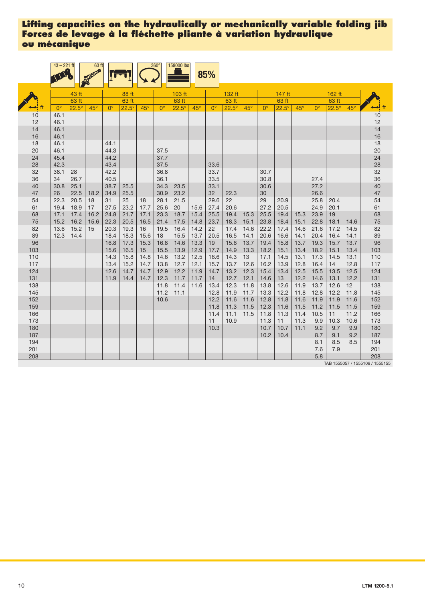|            | $43 - 221$ ft |              | 63 ft        |              |              |              | $360^\circ$  | 159000 lbs   |              | 85%          |              |              |              |              |              |              |              |            |                                 |
|------------|---------------|--------------|--------------|--------------|--------------|--------------|--------------|--------------|--------------|--------------|--------------|--------------|--------------|--------------|--------------|--------------|--------------|------------|---------------------------------|
|            |               | 43 ft        |              |              | 88 ft        |              |              | 103 ft       |              |              | 132 ft       |              |              | 147 ft       |              |              | 162 ft       |            |                                 |
|            |               | 63 ft        |              |              | 63 ft        |              |              | 63 ft        |              |              | 63 ft        |              |              | 63 ft        |              |              | 63 ft        |            |                                 |
|            | $0^{\circ}$   | $22.5^\circ$ | $45^\circ$   | $0^{\circ}$  | $22.5^\circ$ | $45^\circ$   | $0^{\circ}$  | $22.5^\circ$ | $45^\circ$   | $0^{\circ}$  | $22.5^\circ$ | $45^\circ$   | $0^{\circ}$  | $22.5^\circ$ | $45^\circ$   | $0^{\circ}$  | $22.5^\circ$ | $45^\circ$ | ft                              |
| 10         | 46.1          |              |              |              |              |              |              |              |              |              |              |              |              |              |              |              |              |            | 10                              |
| 12         | 46.1          |              |              |              |              |              |              |              |              |              |              |              |              |              |              |              |              |            | 12                              |
| 14         | 46.1          |              |              |              |              |              |              |              |              |              |              |              |              |              |              |              |              |            | 14                              |
| 16         | 46.1          |              |              |              |              |              |              |              |              |              |              |              |              |              |              |              |              |            | 16                              |
| 18         | 46.1          |              |              | 44.1         |              |              |              |              |              |              |              |              |              |              |              |              |              |            | 18                              |
| 20         | 46.1          |              |              | 44.3         |              |              | 37.5         |              |              |              |              |              |              |              |              |              |              |            | 20                              |
| 24         | 45.4          |              |              | 44.2         |              |              | 37.7         |              |              |              |              |              |              |              |              |              |              |            | 24                              |
| 28         | 42.3          |              |              | 43.4         |              |              | 37.5         |              |              | 33.6         |              |              |              |              |              |              |              |            | 28                              |
| 32         | 38.1          | 28           |              | 42.2         |              |              | 36.8         |              |              | 33.7         |              |              | 30.7         |              |              |              |              |            | 32                              |
| 36         | 34            | 26.7         |              | 40.5         |              |              | 36.1         |              |              | 33.5         |              |              | 30.8         |              |              | 27.4         |              |            | 36                              |
| 40         | 30.8          | 25.1         |              | 38.7         | 25.5         |              | 34.3         | 23.5         |              | 33.1         |              |              | 30.6         |              |              | 27.2         |              |            | 40                              |
| 47         | 26            | 22.5         | 18.2         | 34.9         | 25.5         |              | 30.9         | 23.2         |              | 32           | 22.3         |              | 30           |              |              | 26.6         |              |            | 47                              |
| 54         | 22.3          | 20.5         | 18           | 31           | 25           | 18           | 28.1         | 21.5         |              | 29.6         | 22           |              | 29           | 20.9         |              | 25.8         | 20.4         |            | 54                              |
| 61         | 19.4          | 18.9         | 17           | 27.5         | 23.2         | 17.7         | 25.6         | 20           | 15.6         | 27.4         | 20.6         |              | 27.2         | 20.5         |              | 24.9         | 20.1         |            | 61                              |
| 68<br>75   | 17.1<br>15.2  | 17.4<br>16.2 | 16.2<br>15.6 | 24.8<br>22.3 | 21.7<br>20.5 | 17.1<br>16.5 | 23.3<br>21.4 | 18.7<br>17.5 | 15.4<br>14.8 | 25.5<br>23.7 | 19.4<br>18.3 | 15.3<br>15.1 | 25.5<br>23.8 | 19.4<br>18.4 | 15.3<br>15.1 | 23.9<br>22.8 | 19<br>18.1   | 14.6       | 68<br>75                        |
| 82         | 13.6          | 15.2         | 15           | 20.3         | 19.3         | 16           | 19.5         | 16.4         | 14.2         | 22           | 17.4         | 14.6         | 22.2         | 17.4         | 14.6         | 21.6         | 17.2         | 14.5       | 82                              |
| 89         | 12.3          | 14.4         |              | 18.4         | 18.3         | 15.6         | 18           | 15.5         | 13.7         | 20.5         | 16.5         | 14.1         | 20.6         | 16.6         | 14.1         | 20.4         | 16.4         | 14.1       | 89                              |
| 96         |               |              |              | 16.8         | 17.3         | 15.3         | 16.8         | 14.6         | 13.3         | 19           | 15.6         | 13.7         | 19.4         | 15.8         | 13.7         | 19.3         | 15.7         | 13.7       | 96                              |
| 103        |               |              |              | 15.6         | 16.5         | 15           | 15.5         | 13.9         | 12.9         | 17.7         | 14.9         | 13.3         | 18.2         | 15.1         | 13.4         | 18.2         | 15.1         | 13.4       | 103                             |
| 110        |               |              |              | 14.3         | 15.8         | 14.8         | 14.6         | 13.2         | 12.5         | 16.6         | 14.3         | 13           | 17.1         | 14.5         | 13.1         | 17.3         | 14.5         | 13.1       | 110                             |
| 117        |               |              |              | 13.4         | 15.2         | 14.7         | 13.8         | 12.7         | 12.1         | 15.7         | 13.7         | 12.6         | 16.2         | 13.9         | 12.8         | 16.4         | 14           | 12.8       | 117                             |
| 124        |               |              |              | 12.6         | 14.7         | 14.7         | 12.9         | 12.2         | 11.9         | 14.7         | 13.2         | 12.3         | 15.4         | 13.4         | 12.5         | 15.5         | 13.5         | 12.5       | 124                             |
| 131        |               |              |              | 11.9         | 14.4         | 14.7         | 12.3         | 11.7         | 11.7         | 14           | 12.7         | 12.1         | 14.6         | 13           | 12.2         | 14.6         | 13.1         | 12.2       | 131                             |
| 138        |               |              |              |              |              |              | 11.8         | 11.4         | 11.6         | 13.4         | 12.3         | 11.8         | 13.8         | 12.6         | 11.9         | 13.7         | 12.6         | 12         | 138                             |
| 145        |               |              |              |              |              |              | 11.2         | 11.1         |              | 12.8         | 11.9         | 11.7         | 13.3         | 12.2         | 11.8         | 12.8         | 12.2         | 11.8       | 145                             |
| 152        |               |              |              |              |              |              | 10.6         |              |              | 12.2         | 11.6         | 11.6         | 12.8         | 11.8         | 11.6         | 11.9         | 11.9         | 11.6       | 152                             |
| 159        |               |              |              |              |              |              |              |              |              | 11.8         | 11.3         | 11.5         | 12.3         | 11.6         | 11.5         | 11.2         | 11.5         | 11.5       | 159                             |
| 166        |               |              |              |              |              |              |              |              |              | 11.4         | 11.1         | 11.5         | 11.8         | 11.3         | 11.4         | 10.5         | 11           | 11.2       | 166                             |
| 173        |               |              |              |              |              |              |              |              |              | 11           | 10.9         |              | 11.3         | 11           | 11.3         | 9.9          | 10.3         | 10.6       | 173                             |
| 180        |               |              |              |              |              |              |              |              |              | 10.3         |              |              | 10.7         | 10.7         | 11.1         | 9.2          | 9.7          | 9.9        | 180                             |
| 187        |               |              |              |              |              |              |              |              |              |              |              |              | 10.2         | 10.4         |              | 8.7          | 9.1          | 9.2        | 187                             |
| 194        |               |              |              |              |              |              |              |              |              |              |              |              |              |              |              | 8.1          | 8.5          | 8.5        | 194                             |
| 201<br>208 |               |              |              |              |              |              |              |              |              |              |              |              |              |              |              | 7.6<br>5.8   | 7.9          |            | 201<br>208                      |
|            |               |              |              |              |              |              |              |              |              |              |              |              |              |              |              |              |              |            | TAB 1555057 / 1555106 / 1555155 |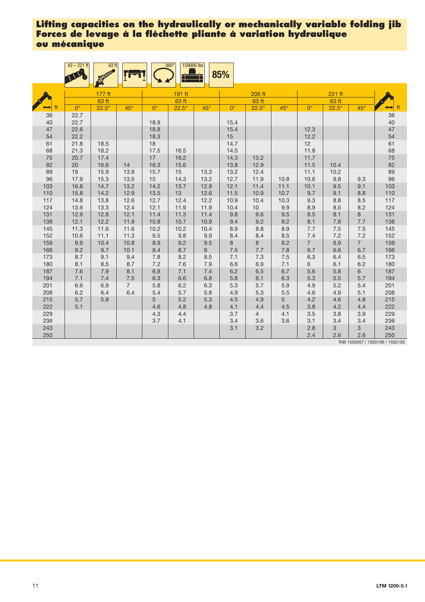|     | $43 - 221$ ft | $63$ ft      |                |             | 159000 lbs<br>$360^\circ$ |            | 85%         |                |            |                |              |                |                                 |
|-----|---------------|--------------|----------------|-------------|---------------------------|------------|-------------|----------------|------------|----------------|--------------|----------------|---------------------------------|
|     |               | 177 ft       |                |             | 191 ft                    |            |             | 206 ft         |            |                | 221 ft       |                |                                 |
|     |               | 63 ft        |                |             | 63 ft                     |            |             | 63 ft          |            |                | 63 ft        |                |                                 |
|     | $0^{\circ}$   | $22.5^\circ$ | $45^\circ$     | $0^{\circ}$ | $22.5^\circ$              | $45^\circ$ | $0^{\circ}$ | $22.5^\circ$   | $45^\circ$ | $0^{\circ}$    | $22.5^\circ$ | $45^\circ$     | $\leftrightarrow$ ft            |
| 36  | 22.7          |              |                |             |                           |            |             |                |            |                |              |                | 36                              |
| 40  | 22.7          |              |                | 18.9        |                           |            | 15.4        |                |            |                |              |                | 40                              |
| 47  | 22.6          |              |                | 18.8        |                           |            | 15.4        |                |            | 12.3           |              |                | 47                              |
| 54  | 22.2          |              |                | 18.3        |                           |            | 15          |                |            | 12.2           |              |                | 54                              |
| 61  | 21.8          | 18.5         |                | 18          |                           |            | 14.7        |                |            | 12             |              |                | 61                              |
| 68  | 21.3          | 18.2         |                | 17.5        | 16.5                      |            | 14.5        |                |            | 11.8           |              |                | 68                              |
| 75  | 20.7          | 17.4         |                | 17          | 16.2                      |            | 14.3        | 13.2           |            | 11.7           |              |                | 75                              |
| 82  | 20            | 16.6         | 14             | 16.3        | 15.6                      |            | 13.8        | 12.9           |            | 11.5           | 10.4         |                | 82                              |
| 89  | 19            | 15.9         | 13.9           | 15.7        | 15                        | 13.3       | 13.2        | 12.4           |            | 11.1           | 10.2         |                | 89                              |
| 96  | 17.9          | 15.3         | 13.5           | 15          | 14.3                      | 13.2       | 12.7        | 11.9           | 10.8       | 10.6           | 9.8          | 9.3            | 96                              |
| 103 | 16.8          | 14.7         | 13.2           | 14.2        | 13.7                      | 12.9       | 12.1        | 11.4           | 11.1       | 10.1           | 9.5          | 9.1            | 103                             |
| 110 | 15.8          | 14.2         | 12.9           | 13.5        | 13                        | 12.6       | 11.5        | 10.9           | 10.7       | 9.7            | 9.1          | 8.8            | 110                             |
| 117 | 14.8          | 13.8         | 12.6           | 12.7        | 12.4                      | 12.2       | 10.9        | 10.4           | 10.3       | 9.3            | 8.8          | 8.5            | 117                             |
| 124 | 13.9          | 13.3         | 12.4           | 12.1        | 11.9                      | 11.9       | 10.4        | 10             | 9.9        | 8.9            | 8.5          | 8.2            | 124                             |
| 131 | 12.9          | 12.8         | 12.1           | 11.4        | 11.3                      | 11.4       | 9.8         | 9.6            | 9.5        | 8.5            | 8.1          | 8              | 131                             |
| 138 | 12.1          | 12.2         | 11.9           | 10.8        | 10.7                      | 10.9       | 9.4         | 9.2            | 9.2        | 8.1            | 7.8          | 7.7            | 138                             |
| 145 | 11.3          | 11.6         | 11.6           | 10.2        | 10.2                      | 10.4       | 8.9         | 8.8            | 8.9        | 7.7            | 7.5          | 7.5            | 145                             |
| 152 | 10.6          | 11.1         | 11.3           | 9.5         | 9.8                       | 9.9        | 8.4         | 8.4            | 8.5        | 7.4            | 7.2          | 7.2            | 152                             |
| 159 | 9.9           | 10.4         | 10.8           | 8.9         | 9.2                       | 9.5        | 8           | 8              | 8.2        | $\overline{7}$ | 6.9          | $\overline{7}$ | 159                             |
| 166 | 9.2           | 9.7          | 10.1           | 8.4         | 8.7                       | 9          | 7.5         | 7.7            | 7.8        | 6.7            | 6.6          | 6.7            | 166                             |
| 173 | 8.7           | 9.1          | 9.4            | 7.8         | 8.2                       | 8.5        | 7.1         | 7.3            | 7.5        | 6.3            | 6.4          | 6.5            | 173                             |
| 180 | 8.1           | 8.5          | 8.7            | 7.2         | 7.6                       | 7.9        | 6.6         | 6.9            | 7.1        | 6              | 6.1          | 6.2            | 180                             |
| 187 | 7.6           | 7.9          | 8.1            | 6.8         | 7.1                       | 7.4        | 6.2         | 6.5            | 6.7        | 5.6            | 5.8          | 6              | 187                             |
| 194 | 7.1           | 7.4          | $7.5$          | 6.3         | 6.6                       | 6.8        | 5.8         | 6.1            | 6.3        | 5.3            | 5.5          | 5.7            | 194                             |
| 201 | 6.6           | 6.9          | $\overline{7}$ | 5.8         | 6.2                       | 6.3        | 5.3         | 5.7            | 5.9        | 4.9            | 5.2          | 5.4            | 201                             |
| 208 | 6.2           | 6.4          | 6.4            | 5.4         | 5.7                       | 5.8        | 4.9         | 5.3            | 5.5        | 4.6            | 4.9          | 5.1            | 208                             |
| 215 | 5.7           | 5.9          |                | 5           | 5.2                       | 5.3        | 4.5         | 4.9            | 5          | 4.2            | 4.6          | 4.8            | 215                             |
| 222 | 5.1           |              |                | 4.6         | 4.8                       | 4.8        | 4.1         | 4.4            | 4.5        | 3.8            | 4.2          | 4.4            | 222                             |
| 229 |               |              |                | 4.3         | 4.4                       |            | 3.7         | $\overline{4}$ | 4.1        | 3.5            | 3.8          | 3.9            | 229                             |
| 236 |               |              |                | 3.7         | 4.1                       |            | 3.4         | 3.6            | 3.6        | 3.1            | 3.4          | 3.4            | 236                             |
| 243 |               |              |                |             |                           |            | 3.1         | 3.2            |            | 2.8            | 3            | 3              | 243                             |
| 250 |               |              |                |             |                           |            |             |                |            | 2.4            | 2.6          | 2.6            | 250                             |
|     |               |              |                |             |                           |            |             |                |            |                |              |                | TAB 1555057 / 1555106 / 1555155 |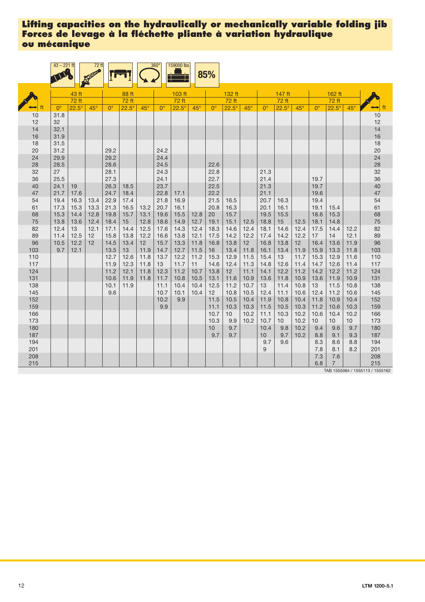|            | $43 - 221$ ft |              | 72 ft      |              |              |            | 360 <sup>°</sup> | 159000 lbs   |              | 85%          |              |              |              |                 |              |                 |                |              |                                 |
|------------|---------------|--------------|------------|--------------|--------------|------------|------------------|--------------|--------------|--------------|--------------|--------------|--------------|-----------------|--------------|-----------------|----------------|--------------|---------------------------------|
|            |               | 43 ft        |            |              | 88 ft        |            |                  | 103 ft       |              |              | 132 ft       |              |              | 147 ft          |              |                 | 162 ft         |              |                                 |
|            |               | 72 ft        |            |              | 72 ft        |            |                  | 72 ft        |              |              | 72 ft        |              |              | 72 ft           |              |                 | 72 ft          |              |                                 |
|            | $0^{\circ}$   | $22.5^\circ$ | $45^\circ$ | $0^{\circ}$  | $22.5^\circ$ | $45^\circ$ | $0^{\circ}$      | $22.5^\circ$ | $45^\circ$   | $0^{\circ}$  | $22.5^\circ$ | $45^\circ$   | $0^{\circ}$  | $22.5^\circ$    | $45^\circ$   | $0^{\circ}$     | $22.5^\circ$   | $45^\circ$   |                                 |
| 10         | 31.8          |              |            |              |              |            |                  |              |              |              |              |              |              |                 |              |                 |                |              | 10                              |
| 12         | 32            |              |            |              |              |            |                  |              |              |              |              |              |              |                 |              |                 |                |              | 12                              |
| 14         | 32.1          |              |            |              |              |            |                  |              |              |              |              |              |              |                 |              |                 |                |              | $\frac{14}{16}$<br>18           |
| 16         | 31.9          |              |            |              |              |            |                  |              |              |              |              |              |              |                 |              |                 |                |              |                                 |
| 18         | 31.5          |              |            |              |              |            |                  |              |              |              |              |              |              |                 |              |                 |                |              |                                 |
| 20         | 31.2          |              |            | 29.2         |              |            | 24.2             |              |              |              |              |              |              |                 |              |                 |                |              | 20                              |
| 24         | 29.9          |              |            | 29.2         |              |            | 24.4             |              |              |              |              |              |              |                 |              |                 |                |              | 24                              |
| 28         | 28.5          |              |            | 28.6         |              |            | 24.5             |              |              | 22.6         |              |              |              |                 |              |                 |                |              | 28                              |
| 32         | 27            |              |            | 28.1         |              |            | 24.3             |              |              | 22.8         |              |              | 21.3         |                 |              |                 |                |              | 32                              |
| 36<br>40   | 25.5<br>24.1  | 19           |            | 27.3<br>26.3 | 18.5         |            | 24.1<br>23.7     |              |              | 22.7<br>22.5 |              |              | 21.4<br>21.3 |                 |              | 19.7<br>19.7    |                |              | 36<br>40                        |
| 47         | 21.7          | 17.6         |            | 24.7         | 18.4         |            | 22.8             | 17.1         |              | 22.2         |              |              | 21.1         |                 |              | 19.6            |                |              | 47                              |
| 54         | 19.4          | 16.3         | 13.4       | 22.9         | 17.4         |            | 21.8             | 16.9         |              | 21.5         | 16.5         |              | 20.7         | 16.3            |              | 19.4            |                |              | 54                              |
| 61         | 17.3          | 15.3         | 13.3       | 21.3         | 16.5         | 13.2       | 20.7             | 16.1         |              | 20.8         | 16.3         |              | 20.1         | 16.1            |              | 19.1            | 15.4           |              | 61                              |
| 68         | 15.3          | 14.4         | 12.8       | 19.8         | 15.7         | 13.1       | 19.6             | 15.5         | 12.8         | 20           | 15.7         |              | 19.5         | 15.5            |              | 18.6            | 15.3           |              | 68                              |
| 75         | 13.8          | 13.6         | 12.4       | 18.4         | 15           | 12.8       | 18.6             | 14.9         | 12.7         | 19.1         | 15.1         | 12.5         | 18.8         | 15              | 12.5         | 18.1            | 14.8           |              | 75                              |
| 82         | 12.4          | 13           | 12.1       | 17.1         | 14.4         | 12.5       | 17.6             | 14.3         | 12.4         | 18.3         | 14.6         | 12.4         | 18.1         | 14.6            | 12.4         | 17.5            | 14.4           | 12.2         | 82                              |
| 89         | 11.4          | 12.5         | 12         | 15.8         | 13.8         | 12.2       | 16.6             | 13.8         | 12.1         | 17.5         | 14.2         | 12.2         | 17.4         | 14.2            | 12.2         | 17              | 14             | 12.1         | 89                              |
| 96         | 10.5          | 12.2         | 12         | 14.5         | 13.4         | 12         | 15.7             | 13.3         | 11.8         | 16.8         | 13.8         | 12           | 16.8         | 13.8            | 12           | 16.4            | 13.6           | 11.9         | 96                              |
| 103        | 9.7           | 12.1         |            | 13.5         | 13           | 11.9       | 14.7             | 12.7         | 11.5         | 16           | 13.4         | 11.8         | 16.1         | 13.4            | 11.9         | 15.9            | 13.3           | 11.8         | 103                             |
| 110        |               |              |            | 12.7         | 12.6         | 11.8       | 13.7             | 12.2         | 11.2         | 15.3         | 12.9         | 11.5         | 15.4         | 13              | 11.7         | 15.3            | 12.9           | 11.6         | 110                             |
| 117        |               |              |            | 11.9         | 12.3         | 11.8       | 13               | 11.7         | 11           | 14.6         | 12.4         | 11.3         | 14.8         | 12.6            | 11.4         | 14.7            | 12.6           | 11.4         | 117                             |
| 124        |               |              |            | 11.2         | 12.1         | 11.8       | 12.3             | 11.2         | 10.7         | 13.8         | 12           | 11.1         | 14.1         | 12.2            | 11.2         | 14.2            | 12.2           | 11.2         | 124                             |
| 131        |               |              |            | 10.6         | 11.9         | 11.8       | 11.7             | 10.8         | 10.5         | 13.1         | 11.6         | 10.9         | 13.6         | 11.8            | 10.9         | 13.6            | 11.9           | 10.9         | 131                             |
| 138<br>145 |               |              |            | 10.1<br>9.6  | 11.9         |            | 11.1<br>10.7     | 10.4<br>10.1 | 10.4<br>10.4 | 12.5<br>12   | 11.2<br>10.8 | 10.7<br>10.5 | 13<br>12.4   | 11.4<br>11.1    | 10.8<br>10.6 | 13<br>12.4      | 11.5<br>11.2   | 10.8<br>10.6 | 138<br>145                      |
| 152        |               |              |            |              |              |            | 10.2             | 9.9          |              | 11.5         | 10.5         | 10.4         | 11.9         | 10.8            | 10.4         | 11.8            | 10.9           | 10.4         | 152                             |
| 159        |               |              |            |              |              |            | 9.9              |              |              | 11.1         | 10.3         | 10.3         | 11.5         | 10.5            | 10.3         | 11.2            | 10.6           | 10.3         | 159                             |
| 166        |               |              |            |              |              |            |                  |              |              | 10.7         | 10           | 10.2         | 11.1         | 10.3            | 10.2         | 10.6            | 10.4           | 10.2         | 166                             |
| 173        |               |              |            |              |              |            |                  |              |              | 10.3         | 9.9          | 10.2         | 10.7         | 10 <sup>1</sup> | 10.2         | 10 <sup>1</sup> | 10             | 10           | 173                             |
| 180        |               |              |            |              |              |            |                  |              |              | $10$         | 9.7          |              | 10.4         | 9.8             | 10.2         | 9.4             | 9.6            | 9.7          | 180                             |
| 187        |               |              |            |              |              |            |                  |              |              | 9.7          | 9.7          |              | 10           | 9.7             | 10.2         | 8.8             | 9.1            | 9.3          | 187                             |
| 194        |               |              |            |              |              |            |                  |              |              |              |              |              | 9.7          | 9.6             |              | 8.3             | 8.6            | 8.8          | 194                             |
| 201        |               |              |            |              |              |            |                  |              |              |              |              |              | 9            |                 |              | 7.8             | 8.1            | 8.2          | 201                             |
| 208        |               |              |            |              |              |            |                  |              |              |              |              |              |              |                 |              | 7.3             | 7.6            |              | 208                             |
| 215        |               |              |            |              |              |            |                  |              |              |              |              |              |              |                 |              | 6.8             | $\overline{7}$ |              | 215                             |
|            |               |              |            |              |              |            |                  |              |              |              |              |              |              |                 |              |                 |                |              | TAB 1555064 / 1555113 / 1555162 |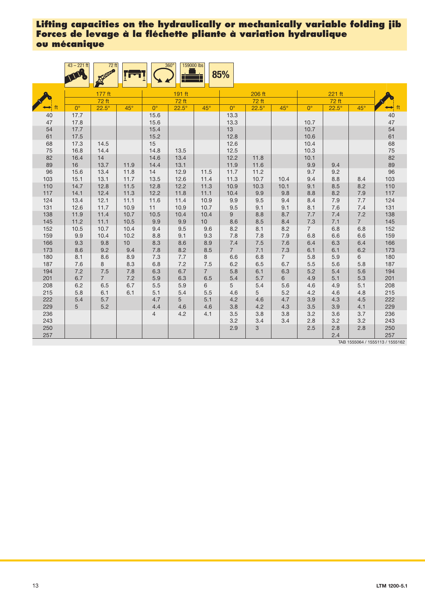|            | $43 - 221$ ft | $72$ ft        |              |                | 159000 lbs<br>$360^\circ$ |                | 85%            |              |                |                |              |                |                                 |
|------------|---------------|----------------|--------------|----------------|---------------------------|----------------|----------------|--------------|----------------|----------------|--------------|----------------|---------------------------------|
|            |               | 177 ft         |              |                | 191 ft                    |                |                | 206 ft       |                |                | $221$ ft     |                |                                 |
|            |               | 72 ft          |              |                | 72 ft                     |                |                | 72 ft        |                |                | 72 ft        |                |                                 |
|            | $0^{\circ}$   | $22.5^\circ$   | $45^\circ$   | $0^{\circ}$    | $22.5^\circ$              | $45^\circ$     | $0^{\circ}$    | $22.5^\circ$ | $45^\circ$     | $0^{\circ}$    | $22.5^\circ$ | $45^{\circ}$   | $\rightarrow$ ft                |
| 40         | 17.7          |                |              | 15.6           |                           |                | 13.3           |              |                |                |              |                | 40                              |
| 47         | 17.8          |                |              | 15.6           |                           |                | 13.3           |              |                | 10.7           |              |                | 47                              |
| 54         | 17.7          |                |              | 15.4           |                           |                | 13             |              |                | 10.7           |              |                | 54                              |
| 61         | 17.5          |                |              | 15.2           |                           |                | 12.8           |              |                | 10.6           |              |                | 61                              |
| 68         | 17.3          | 14.5           |              | 15             |                           |                | 12.6           |              |                | 10.4           |              |                | 68                              |
| 75         | 16.8          | 14.4           |              | 14.8           | 13.5                      |                | 12.5           |              |                | 10.3           |              |                | 75                              |
| 82         | 16.4          | 14             |              | 14.6           | 13.4                      |                | 12.2           | 11.8         |                | 10.1           |              |                | 82<br>89                        |
| 89         | 16            | 13.7           | 11.9         | 14.4           | 13.1                      |                | 11.9           | 11.6         |                | 9.9            | 9.4          |                |                                 |
| 96         | 15.6          | 13.4           | 11.8         | 14             | 12.9                      | 11.5           | 11.7           | 11.2         |                | 9.7            | 9.2          |                | 96                              |
| 103        | 15.1          | 13.1           | 11.7         | 13.5           | 12.6                      | 11.4           | 11.3           | 10.7         | 10.4           | 9.4            | 8.8          | 8.4            | 103                             |
| 110        | 14.7          | 12.8           | 11.5         | 12.8           | 12.2                      | 11.3           | 10.9           | 10.3         | 10.1           | 9.1            | 8.5          | 8.2            | 110                             |
| 117        | 14.1          | 12.4           | 11.3         | 12.2           | 11.8                      | 11.1           | 10.4           | 9.9          | 9.8            | 8.8            | 8.2          | 7.9            | 117                             |
| 124<br>131 | 13.4<br>12.6  | 12.1<br>11.7   | 11.1<br>10.9 | 11.6<br>11     | 11.4<br>10.9              | 10.9<br>10.7   | 9.9<br>9.5     | 9.5<br>9.1   | 9.4<br>9.1     | 8.4<br>8.1     | 7.9<br>7.6   | 7.7<br>7.4     | 124<br>131                      |
| 138        | 11.9          | 11.4           | 10.7         | 10.5           | 10.4                      | 10.4           | 9              | 8.8          | 8.7            | 7.7            | 7.4          | 7.2            | 138                             |
| 145        | 11.2          | 11.1           | 10.5         | 9.9            | 9.9                       | 10             | 8.6            | 8.5          | 8.4            | 7.3            | 7.1          | $\overline{7}$ | 145                             |
| 152        | 10.5          | 10.7           | 10.4         | 9.4            | 9.5                       | 9.6            | 8.2            | 8.1          | 8.2            | $\overline{7}$ | 6.8          | 6.8            | 152                             |
| 159        | 9.9           | 10.4           | 10.2         | 8.8            | 9.1                       | 9.3            | 7.8            | 7.8          | 7.9            | 6.8            | 6.6          | 6.6            | 159                             |
| 166        | 9.3           | 9.8            | 10           | 8.3            | 8.6                       | 8.9            | 7.4            | 7.5          | 7.6            | 6.4            | 6.3          | 6.4            | 166                             |
| 173        | 8.6           | 9.2            | 9.4          | 7.8            | 8.2                       | 8.5            | $\overline{7}$ | 7.1          | 7.3            | 6.1            | 6.1          | 6.2            | 173                             |
| 180        | 8.1           | 8.6            | 8.9          | 7.3            | 7.7                       | 8              | 6.6            | 6.8          | $\overline{7}$ | 5.8            | 5.9          | 6              | 180                             |
| 187        | 7.6           | 8              | 8.3          | 6.8            | 7.2                       | 7.5            | 6.2            | 6.5          | 6.7            | 5.5            | 5.6          | 5.8            | 187                             |
| 194        | 7.2           | 7.5            | 7.8          | 6.3            | 6.7                       | $\overline{7}$ | 5.8            | 6.1          | 6.3            | 5.2            | 5.4          | 5.6            | 194                             |
| 201        | 6.7           | $\overline{7}$ | 7.2          | 5.9            | 6.3                       | 6.5            | 5.4            | 5.7          | 6              | 4.9            | 5.1          | 5.3            | 201                             |
| 208        | 6.2           | 6.5            | 6.7          | 5.5            | 5.9                       | 6              | 5              | 5.4          | 5.6            | 4.6            | 4.9          | 5.1            | 208                             |
| 215        | 5.8           | 6.1            | 6.1          | 5.1            | 5.4                       | 5.5            | 4.6            | 5            | 5.2            | 4.2            | 4.6          | 4.8            | 215                             |
| 222        | 5.4           | $5.7\,$        |              | 4.7            | 5                         | 5.1            | 4.2            | 4.6          | 4.7            | 3.9            | 4.3          | 4.5            | 222                             |
| 229        | 5             | 5.2            |              | 4.4            | 4.6                       | 4.6            | 3.8            | 4.2          | 4.3            | 3.5            | 3.9          | 4.1            | 229                             |
| 236        |               |                |              | $\overline{4}$ | 4.2                       | 4.1            | 3.5            | 3.8          | 3.8            | 3.2            | 3.6          | 3.7            | 236                             |
| 243        |               |                |              |                |                           |                | 3.2            | 3.4          | 3.4            | 2.8            | 3.2          | 3.2            | 243                             |
| 250        |               |                |              |                |                           |                | 2.9            | 3            |                | 2.5            | 2.8          | 2.8            | 250                             |
| 257        |               |                |              |                |                           |                |                |              |                |                | 2.4          |                | 257                             |
|            |               |                |              |                |                           |                |                |              |                |                |              |                | TAB 1555064 / 1555113 / 1555162 |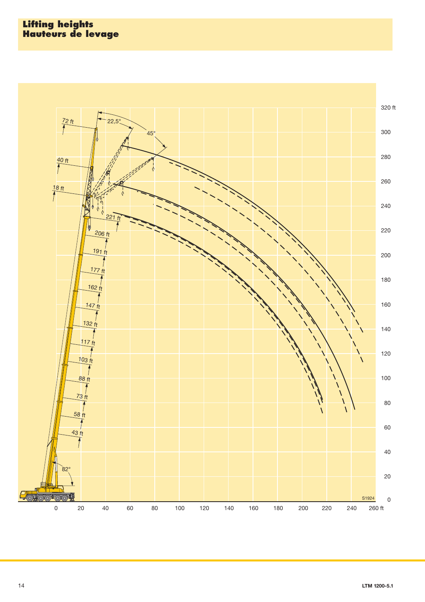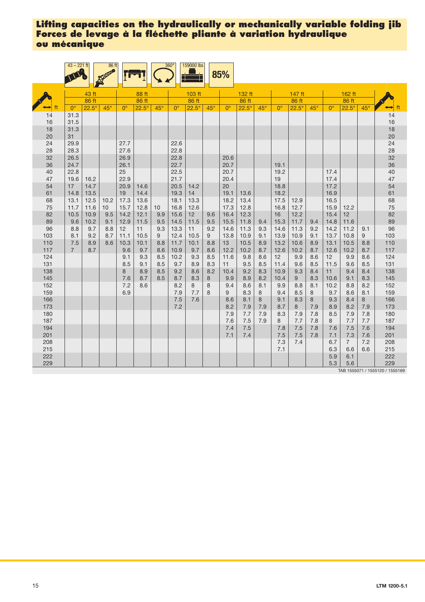|            | $43 - 221$ ft      |                | 86 ft      |                         |                       |            | 360 <sup>°</sup> | 159000 lbs<br>╪       |            | 85%          |                       |            |              |                       |            |              |                       |            |                                 |
|------------|--------------------|----------------|------------|-------------------------|-----------------------|------------|------------------|-----------------------|------------|--------------|-----------------------|------------|--------------|-----------------------|------------|--------------|-----------------------|------------|---------------------------------|
|            |                    |                |            |                         |                       |            |                  |                       |            |              |                       |            |              |                       |            |              |                       |            |                                 |
|            |                    | 43 ft<br>86 ft |            |                         | 88 ft                 |            |                  | 103 ft                |            |              | 132 ft                |            |              | 147 ft                |            |              | 162 ft                |            |                                 |
|            | $0^{\circ}$        | $22.5^\circ$   | $45^\circ$ | $0^{\circ}$             | 86 ft<br>$22.5^\circ$ | $45^\circ$ | $0^{\circ}$      | 86 ft<br>$22.5^\circ$ | $45^\circ$ | $0^{\circ}$  | 86 ft<br>$22.5^\circ$ | $45^\circ$ | $0^{\circ}$  | 86 ft<br>$22.5^\circ$ | $45^\circ$ | $0^{\circ}$  | 86 ft<br>$22.5^\circ$ | $45^\circ$ | $\leftrightarrow$ ft            |
| 14<br>16   | 31.3<br>31.5       |                |            |                         |                       |            |                  |                       |            |              |                       |            |              |                       |            |              |                       |            | 14<br>16                        |
| 18<br>20   | 31.3<br>31         |                |            |                         |                       |            |                  |                       |            |              |                       |            |              |                       |            |              |                       |            | 18<br>20                        |
| 24<br>28   | 29.9<br>28.3       |                |            | 27.7<br>27.6            |                       |            | 22.6<br>22.8     |                       |            |              |                       |            |              |                       |            |              |                       |            | 24<br>28                        |
| 32<br>36   | 26.5<br>24.7       |                |            | 26.9<br>26.1            |                       |            | 22.8<br>22.7     |                       |            | 20.6<br>20.7 |                       |            | 19.1         |                       |            |              |                       |            | 32<br>36                        |
| 40<br>47   | 22.8<br>19.6       | 16.2           |            | 25<br>22.9              |                       |            | 22.5<br>21.7     |                       |            | 20.7<br>20.4 |                       |            | 19.2<br>19   |                       |            | 17.4<br>17.4 |                       |            | 40<br>47                        |
| 54<br>61   | 17<br>14.8         | 14.7<br>13.5   |            | 20.9<br>19              | 14.6<br>14.4          |            | 20.5<br>19.3     | 14.2<br>14            |            | 20<br>19.1   | 13.6                  |            | 18.8<br>18.2 |                       |            | 17.2<br>16.9 |                       |            | 54<br>61                        |
| 68<br>75   | 13.1<br>11.7       | 12.5<br>11.6   | 10.2<br>10 | 17.3<br>15.7            | 13.6<br>12.8          | 10         | 18.1<br>16.8     | 13.3<br>12.6          |            | 18.2<br>17.3 | 13.4<br>12.8          |            | 17.5<br>16.8 | 12.9<br>12.7          |            | 16.5<br>15.9 | 12.2                  |            | 68<br>75                        |
| 82<br>89   | 10.5<br>9.6        | 10.9<br>10.2   | 9.5<br>9.1 | 14.2<br>12.9            | 12.1<br>11.5          | 9.9<br>9.5 | 15.6<br>14.5     | 12<br>11.5            | 9.6<br>9.5 | 16.4<br>15.5 | 12.3<br>11.8          | 9.4        | 16<br>15.3   | 12.2<br>11.7          | 9.4        | 15.4<br>14.8 | 12<br>11.6            |            | 82<br>89                        |
| 96<br>103  | 8.8<br>8.1         | 9.7<br>9.2     | 8.8<br>8.7 | 12 <sup>2</sup><br>11.1 | 11<br>10.5            | 9.3<br>9   | 13.3<br>12.4     | 11<br>10.5            | 9.2<br>9   | 14.6<br>13.8 | 11.3<br>10.9          | 9.3<br>9.1 | 14.6<br>13.9 | 11.3<br>10.9          | 9.2<br>9.1 | 14.2<br>13.7 | 11.2<br>10.8          | 9.1<br>9   | 96<br>103                       |
| 110<br>117 | 7.5<br>$7^{\circ}$ | 8.9<br>8.7     | 8.6        | 10.3<br>9.6             | 10.1<br>9.7           | 8.8<br>8.6 | 11.7<br>10.9     | 10.1<br>9.7           | 8.8<br>8.6 | 13<br>12.2   | 10.5<br>10.2          | 8.9<br>8.7 | 13.2<br>12.6 | 10.6<br>10.2          | 8.9<br>8.7 | 13.1<br>12.6 | 10.5<br>10.2          | 8.8<br>8.7 | 110<br>117                      |
| 124<br>131 |                    |                |            | 9.1<br>8.5              | 9.3<br>9.1            | 8.5<br>8.5 | 10.2<br>9.7      | 9.3<br>8.9            | 8.5<br>8.3 | 11.6<br>11   | 9.8<br>9.5            | 8.6<br>8.5 | 12<br>11.4   | 9.9<br>9.6            | 8.6<br>8.5 | 12<br>11.5   | 9.9<br>9.6            | 8.6<br>8.5 | 124<br>131                      |
| 138<br>145 |                    |                |            | 8<br>7.6                | 8.9<br>8.7            | 8.5<br>8.5 | 9.2<br>8.7       | 8.6<br>8.3            | 8.2<br>8   | 10.4<br>9.9  | 9.2<br>8.9            | 8.3<br>8.2 | 10.9<br>10.4 | 9.3<br>9              | 8.4<br>8.3 | 11<br>10.6   | 9.4<br>9.1            | 8.4<br>8.3 | 138<br>145                      |
| 152<br>159 |                    |                |            | 7.2<br>6.9              | 8.6                   |            | 8.2<br>7.9       | 8<br>7.7              | 8<br>8     | 9.4<br>9     | 8.6<br>8.3            | 8.1<br>8   | 9.9<br>9.4   | 8.8<br>8.5            | 8.1<br>8   | 10.2<br>9.7  | 8.8<br>8.6            | 8.2<br>8.1 | 152<br>159                      |
| 166<br>173 |                    |                |            |                         |                       |            | 7.5<br>7.2       | 7.6                   |            | 8.6<br>8.2   | 8.1<br>7.9            | 8<br>7.9   | 9.1<br>8.7   | 8.3<br>8              | 8<br>7.9   | 9.3<br>8.9   | 8.4<br>8.2            | 8<br>7.9   | 166<br>173                      |
| 180<br>187 |                    |                |            |                         |                       |            |                  |                       |            | 7.9<br>7.6   | 7.7<br>7.5            | 7.9<br>7.9 | 8.3<br>8     | 7.9<br>7.7            | 7.8<br>7.8 | 8.5<br>8     | 7.9<br>7.7            | 7.8<br>7.7 | 180<br>187                      |
| 194<br>201 |                    |                |            |                         |                       |            |                  |                       |            | 7.4<br>7.1   | 7.5<br>7.4            |            | 7.8<br>7.5   | 7.5<br>7.5            | 7.8<br>7.8 | 7.6<br>7.1   | 7.5<br>7.3            | 7.6<br>7.6 | 194<br>201                      |
| 208<br>215 |                    |                |            |                         |                       |            |                  |                       |            |              |                       |            | 7.3<br>7.1   | 7.4                   |            | 6.7<br>6.3   | $\overline{7}$<br>6.6 | 7.2<br>6.6 | 208<br>215                      |
| 222<br>229 |                    |                |            |                         |                       |            |                  |                       |            |              |                       |            |              |                       |            | 5.9<br>5.3   | 6.1<br>5.6            |            | 222<br>229                      |
|            |                    |                |            |                         |                       |            |                  |                       |            |              |                       |            |              |                       |            |              |                       |            | TAB 1555071 / 1555120 / 1555169 |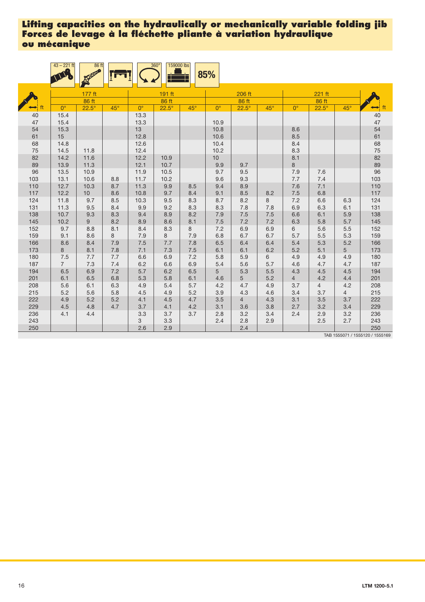|            | $43 - 221$ ft  | 86 ft                 |            |              | $360^\circ$<br>159000 lbs |            | 85%         |                       |            |                       |                       |                |                      |
|------------|----------------|-----------------------|------------|--------------|---------------------------|------------|-------------|-----------------------|------------|-----------------------|-----------------------|----------------|----------------------|
|            |                | 177 ft                |            |              | 191 ft                    |            |             | 206 ft                |            |                       | 221 ft                |                |                      |
|            | $0^{\circ}$    | 86 ft<br>$22.5^\circ$ | $45^\circ$ | $0^{\circ}$  | 86 ft<br>$22.5^\circ$     | $45^\circ$ | $0^{\circ}$ | 86 ft<br>$22.5^\circ$ | $45^\circ$ | $0^{\circ}$           | 86 ft<br>$22.5^\circ$ | $45^\circ$     |                      |
| 40         | 15.4           |                       |            | 13.3         |                           |            |             |                       |            |                       |                       |                | 40                   |
| 47         | 15.4           |                       |            | 13.3         |                           |            | 10.9        |                       |            |                       |                       |                | 47                   |
| 54         | 15.3           |                       |            | 13           |                           |            | 10.8        |                       |            | 8.6                   |                       |                | 54                   |
| 61         | 15             |                       |            | 12.8         |                           |            | 10.6        |                       |            | 8.5                   |                       |                | 61                   |
| 68         | 14.8           |                       |            | 12.6         |                           |            | 10.4        |                       |            | 8.4                   |                       |                |                      |
| 75         | 14.5           | 11.8                  |            | 12.4         |                           |            | 10.2        |                       |            | 8.3                   |                       |                | 68<br>75<br>82<br>89 |
| 82         | 14.2           | 11.6                  |            | 12.2         | 10.9                      |            | $10$        |                       |            | 8.1                   |                       |                |                      |
| 89         | 13.9           | 11.3                  |            | 12.1         | 10.7                      |            | 9.9         | 9.7                   |            | 8                     |                       |                |                      |
| 96         | 13.5           | 10.9                  |            | 11.9         | 10.5                      |            | 9.7         | 9.5                   |            | 7.9                   | 7.6                   |                | 96                   |
| 103        | 13.1           | 10.6                  | 8.8        | 11.7         | 10.2                      |            | 9.6         | 9.3                   |            | 7.7                   | 7.4                   |                | 103                  |
| 110<br>117 | 12.7<br>12.2   | 10.3<br>10            | 8.7<br>8.6 | 11.3<br>10.8 | 9.9<br>9.7                | 8.5<br>8.4 | 9.4<br>9.1  | 8.9<br>8.5            | 8.2        | 7.6<br>7.5            | 7.1<br>6.8            |                | 110<br>117           |
| 124        | 11.8           | 9.7                   | 8.5        | 10.3         | 9.5                       | 8.3        | 8.7         | 8.2                   | 8          | 7.2                   | 6.6                   | 6.3            | 124                  |
| 131        | 11.3           | 9.5                   | 8.4        | 9.9          | 9.2                       | 8.3        | 8.3         | 7.8                   | 7.8        | 6.9                   | 6.3                   | 6.1            | 131                  |
| 138        | 10.7           | 9.3                   | 8.3        | 9.4          | 8.9                       | 8.2        | 7.9         | 7.5                   | 7.5        | 6.6                   | 6.1                   | 5.9            | 138                  |
| 145        | 10.2           | 9                     | 8.2        | 8.9          | 8.6                       | 8.1        | 7.5         | 7.2                   | 7.2        | 6.3                   | 5.8                   | 5.7            | 145                  |
| 152        | 9.7            | 8.8                   | 8.1        | 8.4          | 8.3                       | 8          | 7.2         | 6.9                   | 6.9        | 6                     | 5.6                   | 5.5            | 152                  |
| 159        | 9.1            | 8.6                   | 8          | 7.9          | 8                         | 7.9        | 6.8         | 6.7                   | 6.7        | 5.7                   | 5.5                   | 5.3            | 159                  |
| 166        | 8.6            | 8.4                   | 7.9        | 7.5          | 7.7                       | 7.8        | 6.5         | 6.4                   | 6.4        | 5.4                   | 5.3                   | 5.2            | 166                  |
| 173        | 8              | 8.1                   | 7.8        | 7.1          | 7.3                       | 7.5        | 6.1         | 6.1                   | 6.2        | 5.2                   | 5.1                   | 5              | 173                  |
| 180        | 7.5            | 7.7                   | 7.7        | 6.6          | 6.9                       | 7.2        | 5.8         | 5.9                   | 6          | 4.9                   | 4.9                   | 4.9            | 180                  |
| 187        | $\overline{7}$ | 7.3                   | 7.4        | 6.2          | 6.6                       | 6.9        | 5.4         | 5.6                   | 5.7        | 4.6                   | 4.7                   | 4.7            | 187                  |
| 194        | 6.5            | 6.9                   | 7.2        | 5.7          | 6.2                       | 6.5        | 5           | 5.3                   | 5.5        | 4.3                   | 4.5                   | 4.5            | 194                  |
| 201<br>208 | 6.1<br>5.6     | 6.5<br>6.1            | 6.8<br>6.3 | 5.3<br>4.9   | 5.8<br>5.4                | 6.1<br>5.7 | 4.6<br>4.2  | 5<br>4.7              | 5.2<br>4.9 | $\overline{4}$<br>3.7 | 4.2<br>$\overline{4}$ | 4.4<br>4.2     | 201<br>208           |
| 215        | 5.2            | 5.6                   | 5.8        | 4.5          | 4.9                       | 5.2        | 3.9         | 4.3                   | 4.6        | 3.4                   | 3.7                   | $\overline{4}$ | 215                  |
| 222        | 4.9            | 5.2                   | 5.2        | 4.1          | 4.5                       | 4.7        | 3.5         | $\overline{4}$        | 4.3        | 3.1                   | 3.5                   | 3.7            | 222                  |
| 229        | 4.5            | 4.8                   | 4.7        | 3.7          | 4.1                       | 4.2        | 3.1         | 3.6                   | 3.8        | 2.7                   | 3.2                   | 3.4            | 229                  |
| 236        | 4.1            | 4.4                   |            | 3.3          | 3.7                       | 3.7        | 2.8         | 3.2                   | 3.4        | 2.4                   | 2.9                   | 3.2            | 236                  |
| 243        |                |                       |            | 3            | 3.3                       |            | 2.4         | 2.8                   | 2.9        |                       | 2.5                   | 2.7            | 243                  |
| 250        |                |                       |            | 2.6          | 2.9                       |            |             | 2.4                   |            |                       |                       |                | 250                  |

TAB 1555071 / 1555120 / 1555169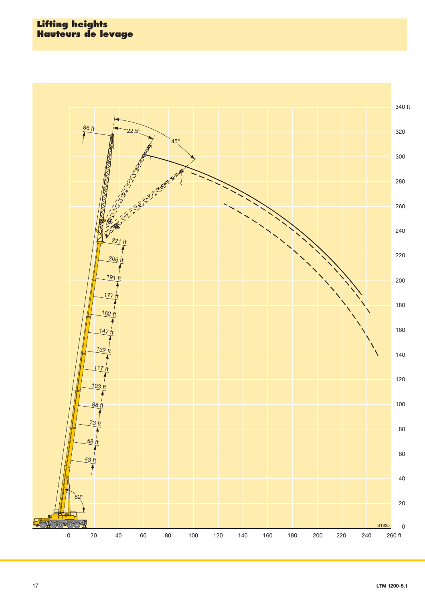## **Lifting heights Hauteurs de levage**

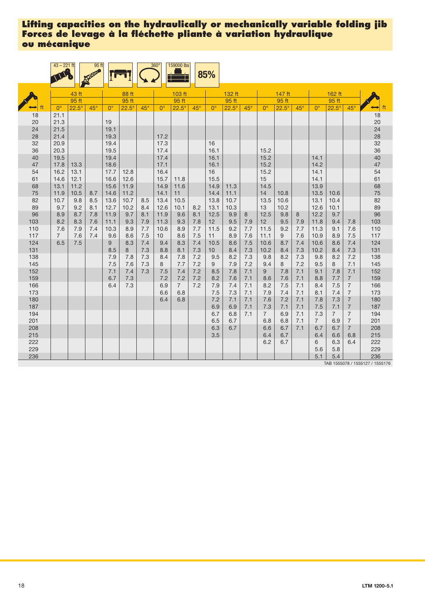|            | $43 - 221$ ft  |              | 95 ft      |                      |              |            | $360^\circ$     | 159000 lbs     |            | 85%             |              |            |                 |                  |            |                |                |                                  |                                 |
|------------|----------------|--------------|------------|----------------------|--------------|------------|-----------------|----------------|------------|-----------------|--------------|------------|-----------------|------------------|------------|----------------|----------------|----------------------------------|---------------------------------|
|            |                | 43 ft        |            |                      | 88 ft        |            |                 | 103 ft         |            |                 | 132 ft       |            |                 | 147 ft           |            |                | 162 ft         |                                  |                                 |
|            |                | $95$ ft      |            |                      | 95 ft        |            |                 | 95 ft          |            |                 | 95 ft        |            |                 | 95 <sub>ft</sub> |            |                | 95ft           |                                  |                                 |
|            | $0^{\circ}$    | $22.5^\circ$ | $45^\circ$ | $\mathbf{O}^{\circ}$ | $22.5^\circ$ | $45^\circ$ | $0^{\circ}$     | $22.5^\circ$   | $45^\circ$ | $0^{\circ}$     | $22.5^\circ$ | $45^\circ$ | $0^{\circ}$     | $22.5^\circ$     | $45^\circ$ | $0^{\circ}$    | $22.5^\circ$   | $45^\circ$                       | $\mapsto$ ft                    |
| 18         | 21.1           |              |            |                      |              |            |                 |                |            |                 |              |            |                 |                  |            |                |                |                                  | 18                              |
| 20         | 21.3           |              |            | 19                   |              |            |                 |                |            |                 |              |            |                 |                  |            |                |                |                                  | 20                              |
| 24         | 21.5           |              |            | 19.1                 |              |            |                 |                |            |                 |              |            |                 |                  |            |                |                |                                  | 24                              |
| 28         | 21.4           |              |            | 19.3                 |              |            | 17.2            |                |            |                 |              |            |                 |                  |            |                |                |                                  | 28                              |
| 32         | 20.9           |              |            | 19.4                 |              |            | 17.3            |                |            | 16              |              |            |                 |                  |            |                |                |                                  | 32                              |
| 36         | 20.3           |              |            | 19.5                 |              |            | 17.4            |                |            | 16.1            |              |            | 15.2            |                  |            |                |                |                                  | 36                              |
| 40         | 19.5           |              |            | 19.4                 |              |            | 17.4            |                |            | 16.1            |              |            | 15.2            |                  |            | 14.1           |                |                                  | 40                              |
| 47         | 17.8           | 13.3         |            | 18.6                 |              |            | 17.1            |                |            | 16.1            |              |            | 15.2            |                  |            | 14.2           |                |                                  | 47                              |
| 54         | 16.2           | 13.1         |            | 17.7                 | 12.8         |            | 16.4            |                |            | 16              |              |            | 15.2            |                  |            | 14.1           |                |                                  | 54                              |
| 61         | 14.6           | 12.1         |            | 16.6                 | 12.6         |            | 15.7            | 11.8           |            | 15.5            |              |            | 15              |                  |            | 14.1           |                |                                  | 61                              |
| 68         | 13.1           | 11.2         |            | 15.6                 | 11.9         |            | 14.9<br>14.1    | 11.6           |            | 14.9            | 11.3         |            | 14.5            |                  |            | 13.9           |                |                                  | 68                              |
| 75<br>82   | 11.9<br>10.7   | 10.5<br>9.8  | 8.7<br>8.5 | 14.6<br>13.6         | 11.2<br>10.7 | 8.5        | 13.4            | 11<br>10.5     |            | 14.4<br>13.8    | 11.1<br>10.7 |            | 14<br>13.5      | 10.8<br>10.6     |            | 13.5<br>13.1   | 10.6<br>10.4   |                                  | 75<br>82                        |
| 89         | 9.7            | 9.2          | 8.1        | 12.7                 | 10.2         | 8.4        | 12.6            | 10.1           | 8.2        | 13.1            | 10.3         |            | 13              | 10.2             |            | 12.6           | 10.1           |                                  | 89                              |
| 96         | 8.9            | 8.7          | 7.8        | 11.9                 | 9.7          | 8.1        | 11.9            | 9.6            | 8.1        | 12.5            | 9.9          | 8          | 12.5            | 9.8              | 8          | 12.2           | 9.7            |                                  | 96                              |
| 103        | 8.2            | 8.3          | 7.6        | 11.1                 | 9.3          | 7.9        | 11.3            | 9.3            | 7.8        | 12              | 9.5          | 7.9        | 12              | 9.5              | 7.9        | 11.8           | 9.4            | 7.8                              | 103                             |
| 110        | 7.6            | 7.9          | 7.4        | 10.3                 | 8.9          | 7.7        | 10.6            | 8.9            | 7.7        | 11.5            | 9.2          | 7.7        | 11.5            | 9.2              | 7.7        | 11.3           | 9.1            | 7.6                              | 110                             |
| 117        | $\overline{7}$ | 7.6          | 7.4        | 9.6                  | 8.6          | 7.5        | 10 <sup>1</sup> | 8.6            | 7.5        | 11              | 8.9          | 7.6        | 11.1            | 9                | 7.6        | 10.9           | 8.9            | 7.5                              | 117                             |
| 124        | 6.5            | 7.5          |            | 9                    | 8.3          | 7.4        | 9.4             | 8.3            | 7.4        | 10.5            | 8.6          | 7.5        | 10.6            | 8.7              | 7.4        | 10.6           | 8.6            | 7.4                              | 124                             |
| 131        |                |              |            | 8.5                  | 8            | 7.3        | 8.8             | 8.1            | 7.3        | 10 <sup>1</sup> | 8.4          | 7.3        | 10.2            | 8.4              | 7.3        | 10.2           | 8.4            | 7.3                              | 131                             |
| 138        |                |              |            | 7.9                  | 7.8          | 7.3        | 8.4             | 7.8            | 7.2        | 9.5             | 8.2          | 7.3        | 9.8             | 8.2              | 7.3        | 9.8            | 8.2            | 7.2                              | 138                             |
| 145        |                |              |            | 7.5                  | 7.6          | 7.3        | 8               | 7.7            | 7.2        | 9               | 7.9          | 7.2        | 9.4             | 8                | 7.2        | 9.5            | 8              | 7.1                              | 145                             |
| 152        |                |              |            | 7.1                  | 7.4          | 7.3        | 7.5             | 7.4            | 7.2        | 8.5             | 7.8          | 7.1        | 9               | 7.8              | 7.1        | 9.1            | 7.8            | 7.1                              | 152                             |
| 159        |                |              |            | 6.7                  | 7.3          |            | 7.2             | 7.2            | 7.2        | 8.2             | 7.6          | 7.1        | 8.6             | 7.6              | 7.1        | 8.8            | 7.7            | $\overline{7}$                   | 159                             |
| 166        |                |              |            | 6.4                  | 7.3          |            | 6.9             | $\overline{7}$ | 7.2        | 7.9             | 7.4          | 7.1        | 8.2             | 7.5              | 7.1        | 8.4            | 7.5            | $\overline{7}$                   | 166                             |
| 173        |                |              |            |                      |              |            | 6.6             | 6.8            |            | 7.5             | 7.3          | 7.1        | 7.9             | 7.4              | 7.1        | 8.1            | 7.4            | $\overline{7}$                   | 173                             |
| 180<br>187 |                |              |            |                      |              |            | 6.4             | 6.8            |            | 7.2<br>6.9      | 7.1<br>6.9   | 7.1<br>7.1 | 7.6<br>7.3      | 7.2<br>7.1       | 7.1<br>7.1 | 7.8<br>7.5     | 7.3<br>7.1     | $\overline{7}$<br>$\overline{7}$ | 180<br>187                      |
| 194        |                |              |            |                      |              |            |                 |                |            | 6.7             | 6.8          | 7.1        | $7\overline{ }$ | 6.9              | 7.1        | 7.3            | $\overline{7}$ | $\overline{7}$                   | 194                             |
| 201        |                |              |            |                      |              |            |                 |                |            | 6.5             | 6.7          |            | 6.8             | 6.8              | 7.1        | $\overline{7}$ | 6.9            | $\overline{7}$                   | 201                             |
| 208        |                |              |            |                      |              |            |                 |                |            | 6.3             | 6.7          |            | 6.6             | 6.7              | 7.1        | 6.7            | 6.7            | $\overline{7}$                   | 208                             |
| 215        |                |              |            |                      |              |            |                 |                |            | 3.5             |              |            | 6.4             | 6.7              |            | 6.4            | 6.6            | 6.8                              | 215                             |
| 222        |                |              |            |                      |              |            |                 |                |            |                 |              |            | 6.2             | 6.7              |            | 6              | 6.3            | 6.4                              | 222                             |
| 229        |                |              |            |                      |              |            |                 |                |            |                 |              |            |                 |                  |            | 5.6            | 5.8            |                                  | 229                             |
| 236        |                |              |            |                      |              |            |                 |                |            |                 |              |            |                 |                  |            | 5.1            | 5.4            |                                  | 236                             |
|            |                |              |            |                      |              |            |                 |                |            |                 |              |            |                 |                  |            |                |                |                                  | TAB 1555078 / 1555127 / 1555176 |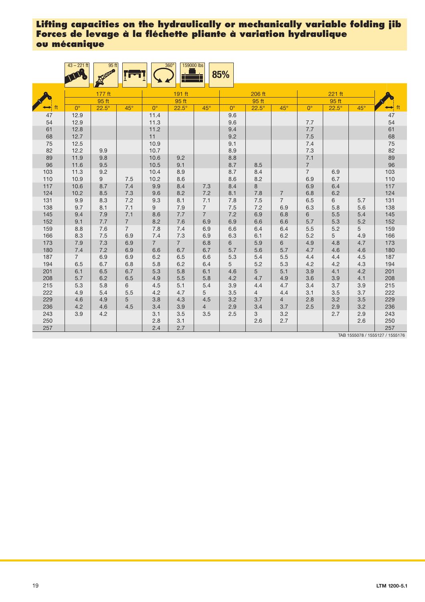|            | $43 - 221$ ft  | 95 <sub>ft</sub> |                |                | 159000 lbs<br>$360^\circ$ |                | 85%         |                |                                  |                |              |            |            |
|------------|----------------|------------------|----------------|----------------|---------------------------|----------------|-------------|----------------|----------------------------------|----------------|--------------|------------|------------|
|            |                | $177$ ft         |                |                | 191 ft                    |                |             | 206 ft         |                                  |                | 221 ft       |            |            |
|            |                | 95 ft            |                |                | 95 ft                     |                |             | 95 ft          |                                  |                | 95 ft        |            |            |
| ft         | $0^{\circ}$    | $22.5^\circ$     | $45^{\circ}$   | $0^{\circ}$    | $22.5^\circ$              | $45^\circ$     | $0^{\circ}$ | $22.5^\circ$   | $45^\circ$                       | $0^{\circ}$    | $22.5^\circ$ | $45^\circ$ | ft         |
| 47         | 12.9           |                  |                | 11.4           |                           |                | 9.6         |                |                                  |                |              |            | $47\,$     |
| 54         | 12.9           |                  |                | 11.3           |                           |                | 9.6         |                |                                  | 7.7            |              |            | 54         |
| 61         | 12.8           |                  |                | 11.2           |                           |                | 9.4         |                |                                  | $7.7\,$        |              |            | 61         |
| 68         | 12.7           |                  |                | 11             |                           |                | 9.2         |                |                                  | 7.5            |              |            | 68         |
| 75         | 12.5           |                  |                | 10.9           |                           |                | 9.1         |                |                                  | $7.4\,$        |              |            | 75<br>82   |
| 82         | 12.2           | 9.9              |                | 10.7           |                           |                | 8.9         |                |                                  | 7.3            |              |            |            |
| 89         | 11.9           | 9.8              |                | 10.6           | 9.2                       |                | 8.8         |                |                                  | 7.1            |              |            | 89         |
| 96         | 11.6           | 9.5              |                | 10.5           | 9.1                       |                | 8.7         | 8.5            |                                  | $\overline{7}$ |              |            | 96         |
| 103        | 11.3           | 9.2              |                | 10.4           | 8.9                       |                | 8.7         | 8.4            |                                  | $\overline{7}$ | 6.9          |            | 103        |
| 110        | 10.9           | 9                | 7.5            | 10.2           | 8.6                       |                | 8.6         | 8.2<br>8       |                                  | 6.9            | 6.7          |            | 110        |
| 117<br>124 | 10.6<br>10.2   | 8.7              | 7.4            | 9.9            | 8.4                       | 7.3            | 8.4         |                |                                  | 6.9            | 6.4          |            | 117<br>124 |
| 131        | 9.9            | 8.5<br>8.3       | 7.3<br>7.2     | 9.6<br>9.3     | 8.2<br>8.1                | 7.2<br>7.1     | 8.1<br>7.8  | 7.8<br>7.5     | $\overline{7}$<br>$\overline{7}$ | 6.8<br>6.5     | 6.2<br>6     | 5.7        | 131        |
| 138        | 9.7            | 8.1              | 7.1            | 9              | 7.9                       | $\overline{7}$ | 7.5         | 7.2            | 6.9                              | 6.3            | 5.8          | 5.6        | 138        |
| 145        | 9.4            | 7.9              | 7.1            | 8.6            | 7.7                       | $\overline{7}$ | 7.2         | 6.9            | 6.8                              | 6              | 5.5          | 5.4        | 145        |
| 152        | 9.1            | 7.7              | $\overline{7}$ | 8.2            | $7.6\,$                   | 6.9            | 6.9         | 6.6            | 6.6                              | 5.7            | 5.3          | 5.2        | 152        |
| 159        | 8.8            | 7.6              | $\overline{7}$ | 7.8            | 7.4                       | 6.9            | 6.6         | 6.4            | 6.4                              | $5.5\,$        | 5.2          | 5          | 159        |
| 166        | 8.3            | 7.5              | 6.9            | 7.4            | 7.3                       | 6.9            | 6.3         | 6.1            | 6.2                              | 5.2            | 5            | 4.9        | 166        |
| 173        | 7.9            | 7.3              | 6.9            | $\overline{7}$ | $\overline{7}$            | 6.8            | 6           | 5.9            | 6                                | 4.9            | 4.8          | 4.7        | 173        |
| 180        | $7.4$          | 7.2              | 6.9            | 6.6            | 6.7                       | 6.7            | 5.7         | 5.6            | 5.7                              | 4.7            | 4.6          | 4.6        | 180        |
| 187        | $\overline{7}$ | 6.9              | 6.9            | 6.2            | 6.5                       | 6.6            | 5.3         | 5.4            | 5.5                              | 4.4            | 4.4          | 4.5        | 187        |
| 194        | 6.5            | 6.7              | 6.8            | 5.8            | 6.2                       | 6.4            | 5           | 5.2            | 5.3                              | 4.2            | 4.2          | 4.3        | 194        |
| 201        | 6.1            | 6.5              | 6.7            | 5.3            | 5.8                       | 6.1            | 4.6         | 5              | 5.1                              | 3.9            | 4.1          | 4.2        | 201        |
| 208        | 5.7            | 6.2              | 6.5            | 4.9            | 5.5                       | 5.8            | 4.2         | 4.7            | 4.9                              | 3.6            | 3.9          | 4.1        | 208        |
| 215        | 5.3            | 5.8              | 6              | 4.5            | 5.1                       | 5.4            | 3.9         | 4.4            | 4.7                              | 3.4            | 3.7          | 3.9        | 215        |
| 222        | 4.9            | 5.4              | 5.5            | 4.2            | 4.7                       | 5              | 3.5         | $\overline{4}$ | 4.4                              | 3.1            | 3.5          | 3.7        | 222        |
| 229        | 4.6            | 4.9              | 5              | 3.8            | 4.3                       | 4.5            | 3.2         | 3.7            | $\overline{4}$                   | 2.8            | 3.2          | 3.5        | 229        |
| 236        | 4.2            | 4.6              | 4.5            | 3.4            | 3.9                       | $\overline{4}$ | 2.9         | 3.4            | 3.7                              | 2.5            | 2.9          | 3.2        | 236        |
| 243        | 3.9            | 4.2              |                | 3.1            | 3.5                       | 3.5            | 2.5         | 3              | 3.2                              |                | 2.7          | 2.9        | 243        |
| 250        |                |                  |                | 2.8            | 3.1                       |                |             | 2.6            | 2.7                              |                |              | 2.6        | 250        |
| 257        |                |                  |                | 2.4            | 2.7                       |                |             |                |                                  |                |              |            | 257        |

TAB 1555078 / 1555127 / 1555176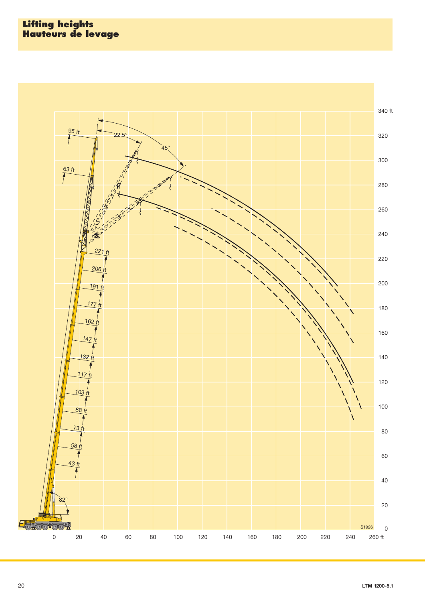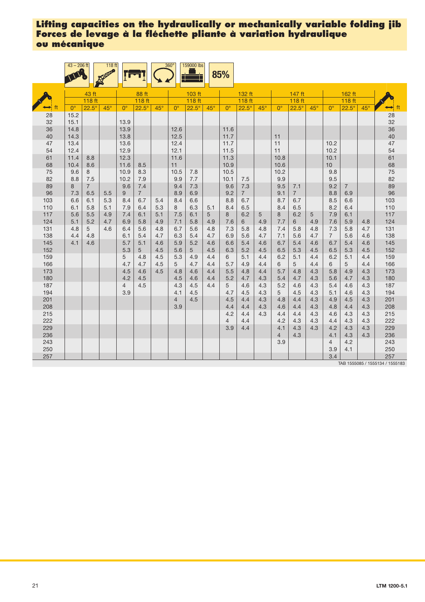|            | $43 - 206$ ft |                | 118 <sub>ft</sub> |                |                |            | $360^\circ$    | 159000 lbs   |            | 85%                |                |            |                    |                 |            |                 |                |            |                      |
|------------|---------------|----------------|-------------------|----------------|----------------|------------|----------------|--------------|------------|--------------------|----------------|------------|--------------------|-----------------|------------|-----------------|----------------|------------|----------------------|
|            |               | 43 ft          |                   |                | 88 ft          |            |                | 103 ft       |            |                    | 132 ft         |            |                    | 147 ft          |            |                 | 162 ft         |            |                      |
|            |               | 118 ft         |                   |                | 118 ft         |            |                | 118 ft       |            |                    | 118 ft         |            |                    | 118 ft          |            |                 | 118 ft         |            |                      |
|            | $0^{\circ}$   | $22.5^\circ$   | $45^\circ$        | $0^{\circ}$    | $22.5^\circ$   | $45^\circ$ | $0^{\circ}$    | $22.5^\circ$ | $45^\circ$ | $\mathsf{O}^\circ$ | $22.5^\circ$   | $45^\circ$ | $\mathsf{O}^\circ$ | $22.5^\circ$    | $45^\circ$ | $0^{\circ}$     | $22.5^\circ$   | $45^\circ$ | $\leftrightarrow$ ft |
| 28         | 15.2          |                |                   |                |                |            |                |              |            |                    |                |            |                    |                 |            |                 |                |            | 28                   |
| 32         | 15.1          |                |                   | 13.9           |                |            |                |              |            |                    |                |            |                    |                 |            |                 |                |            | 32                   |
| 36         | 14.8          |                |                   | 13.9           |                |            | 12.6           |              |            | 11.6               |                |            |                    |                 |            |                 |                |            | 36                   |
| 40         | 14.3          |                |                   | 13.8           |                |            | 12.5           |              |            | 11.7               |                |            | 11                 |                 |            |                 |                |            | 40                   |
| 47         | 13.4          |                |                   | 13.6           |                |            | 12.4           |              |            | 11.7               |                |            | 11                 |                 |            | 10.2            |                |            | 47                   |
| 54<br>61   | 12.4<br>11.4  | 8.8            |                   | 12.9<br>12.3   |                |            | 12.1<br>11.6   |              |            | 11.5<br>11.3       |                |            | 11<br>10.8         |                 |            | 10.2<br>10.1    |                |            | 54<br>61             |
| 68         | 10.4          | 8.6            |                   | 11.6           | 8.5            |            | 11             |              |            | 10.9               |                |            | 10.6               |                 |            | 10 <sup>1</sup> |                |            | 68                   |
| 75         | 9.6           | 8              |                   | 10.9           | 8.3            |            | 10.5           | 7.8          |            | 10.5               |                |            | 10.2               |                 |            | 9.8             |                |            | 75                   |
| 82         | 8.8           | 7.5            |                   | 10.2           | 7.9            |            | 9.9            | 7.7          |            | 10.1               | 7.5            |            | 9.9                |                 |            | 9.5             |                |            | 82                   |
| 89         | 8             | $\overline{7}$ |                   | 9.6            | 7.4            |            | 9.4            | 7.3          |            | 9.6                | 7.3            |            | 9.5                | 7.1             |            | 9.2             | $\overline{7}$ |            | 89                   |
| 96         | 7.3           | 6.5            | 5.5               | 9              | $\overline{7}$ |            | 8.9            | 6.9          |            | 9.2                | $\overline{7}$ |            | 9.1                | $7\overline{ }$ |            | 8.8             | 6.9            |            | 96                   |
| 103        | 6.6           | 6.1            | 5.3               | 8.4            | 6.7            | 5.4        | 8.4            | 6.6          |            | 8.8                | 6.7            |            | 8.7                | 6.7             |            | 8.5             | 6.6            |            | 103                  |
| 110        | 6.1           | 5.8            | 5.1               | 7.9            | 6.4            | 5.3        | 8              | 6.3          | 5.1        | 8.4                | 6.5            |            | 8.4                | 6.5             |            | 8.2             | 6.4            |            | 110                  |
| 117        | 5.6           | 5.5            | 4.9               | 7.4            | 6.1            | 5.1        | 7.5            | 6.1          | 5          | 8                  | 6.2            | 5          | 8                  | 6.2             | 5          | 7.9             | 6.1            |            | 117                  |
| 124        | 5.1           | 5.2            | 4.7               | 6.9            | 5.8            | 4.9        | 7.1            | 5.8          | 4.9        | 7.6                | 6              | 4.9        | 7.7                | 6               | 4.9        | 7.6             | 5.9            | 4.8        | 124                  |
| 131        | 4.8           | 5              | 4.6               | 6.4            | 5.6            | 4.8        | 6.7            | 5.6          | 4.8        | 7.3                | 5.8            | 4.8        | 7.4                | 5.8             | 4.8        | 7.3             | 5.8            | 4.7        | 131                  |
| 138        | 4.4           | 4.8            |                   | 6.1            | 5.4            | 4.7        | 6.3            | 5.4          | 4.7        | 6.9                | 5.6            | 4.7        | 7.1                | 5.6             | 4.7        | $\overline{7}$  | 5.6            | 4.6        | 138                  |
| 145        | 4.1           | 4.6            |                   | 5.7            | 5.1            | 4.6        | 5.9            | 5.2          | 4.6        | 6.6                | 5.4            | 4.6        | 6.7                | 5.4             | 4.6        | 6.7             | 5.4            | 4.6        | 145                  |
| 152        |               |                |                   | 5.3            | 5              | 4.5        | 5.6            | 5            | 4.5        | 6.3                | 5.2            | 4.5        | 6.5                | 5.3             | 4.5        | 6.5             | 5.3            | 4.5        | 152                  |
| 159        |               |                |                   | 5              | 4.8            | 4.5        | 5.3            | 4.9          | 4.4        | 6                  | 5.1            | 4.4        | 6.2                | 5.1             | 4.4        | 6.2             | 5.1            | 4.4        | 159                  |
| 166        |               |                |                   | 4.7            | 4.7            | 4.5        | 5              | 4.7          | 4.4        | 5.7                | 4.9            | 4.4        | 6                  | 5               | 4.4        | 6               | 5              | 4.4        | 166                  |
| 173        |               |                |                   | 4.5<br>4.2     | 4.6            | 4.5        | 4.8            | 4.6          | 4.4<br>4.4 | 5.5<br>5.2         | 4.8            | 4.4        | 5.7                | 4.8             | 4.3        | 5.8             | 4.9            | 4.3        | 173                  |
| 180<br>187 |               |                |                   | $\overline{4}$ | 4.5<br>4.5     |            | 4.5<br>4.3     | 4.6<br>4.5   | 4.4        | 5                  | 4.7<br>4.6     | 4.3<br>4.3 | 5.4<br>5.2         | 4.7<br>4.6      | 4.3<br>4.3 | 5.6<br>5.4      | 4.7<br>4.6     | 4.3<br>4.3 | 180<br>187           |
| 194        |               |                |                   | 3.9            |                |            | 4.1            | 4.5          |            | 4.7                | 4.5            | 4.3        | 5                  | 4.5             | 4.3        | 5.1             | 4.6            | 4.3        | 194                  |
| 201        |               |                |                   |                |                |            | $\overline{4}$ | 4.5          |            | 4.5                | 4.4            | 4.3        | 4.8                | 4.4             | 4.3        | 4.9             | 4.5            | 4.3        | 201                  |
| 208        |               |                |                   |                |                |            | 3.9            |              |            | 4.4                | 4.4            | 4.3        | 4.6                | 4.4             | 4.3        | 4.8             | 4.4            | 4.3        | 208                  |
| 215        |               |                |                   |                |                |            |                |              |            | 4.2                | 4.4            | 4.3        | 4.4                | 4.4             | 4.3        | 4.6             | 4.3            | 4.3        | 215                  |
| 222        |               |                |                   |                |                |            |                |              |            | $\overline{4}$     | 4.4            |            | 4.2                | 4.3             | 4.3        | 4.4             | 4.3            | 4.3        | 222                  |
| 229        |               |                |                   |                |                |            |                |              |            | 3.9                | 4.4            |            | 4.1                | 4.3             | 4.3        | 4.2             | 4.3            | 4.3        | 229                  |
| 236        |               |                |                   |                |                |            |                |              |            |                    |                |            | $\overline{4}$     | 4.3             |            | 4.1             | 4.3            | 4.3        | 236                  |
| 243        |               |                |                   |                |                |            |                |              |            |                    |                |            | 3.9                |                 |            | $\overline{4}$  | 4.2            |            | 243                  |
| 250        |               |                |                   |                |                |            |                |              |            |                    |                |            |                    |                 |            | 3.9             | 4.1            |            | 250                  |
| 257        |               |                |                   |                |                |            |                |              |            |                    |                |            |                    |                 |            | 3.4             |                |            | 257                  |

85 / 1555134 / 15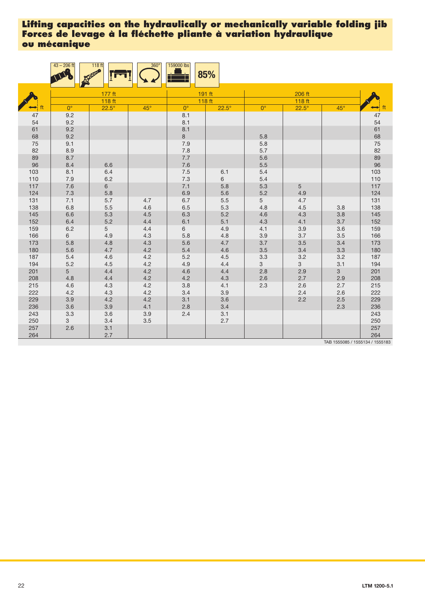|            | $43 - 206$ ft   | 118 ft            | $360^\circ$ | 159000 lbs     | 85%          |                |              |                                 |            |
|------------|-----------------|-------------------|-------------|----------------|--------------|----------------|--------------|---------------------------------|------------|
|            |                 | 177 ft            |             |                | 191 ft       |                | 206 ft       |                                 |            |
|            |                 | 118 <sub>ft</sub> |             |                | 118 ft       |                | 118 ft       |                                 |            |
| ft         | $0^{\circ}$     | $22.5^\circ$      | $45^\circ$  | $0^{\circ}$    | $22.5^\circ$ | $0^{\circ}$    | $22.5^\circ$ | $45^\circ$                      | ft         |
| 47         | 9.2             |                   |             | 8.1            |              |                |              |                                 | 47         |
| 54         | 9.2             |                   |             | 8.1            |              |                |              |                                 | 54         |
| 61         | 9.2             |                   |             | 8.1            |              |                |              |                                 | 61         |
| 68         | 9.2             |                   |             | $8\phantom{.}$ |              | 5.8            |              |                                 | 68         |
| 75         | 9.1             |                   |             | $7.9$          |              | 5.8            |              |                                 | 75<br>82   |
| 82         | 8.9             |                   |             | 7.8            |              | 5.7            |              |                                 |            |
| 89         | 8.7             |                   |             | $7.7\,$        |              | 5.6            |              |                                 | 89<br>96   |
| 96         | 8.4             | 6.6               |             | $7.6\,$        |              | 5.5            |              |                                 |            |
| 103        | 8.1             | 6.4               |             | $7.5\,$        | 6.1          | 5.4            |              |                                 | 103        |
| 110        | 7.9             | 6.2               |             | $7.3$          | 6            | $5.4\,$        |              |                                 | 110        |
| 117        | 7.6             | 6                 |             | 7.1            | 5.8          | 5.3            | 5            |                                 | 117        |
| 124        | 7.3             | 5.8               |             | 6.9            | 5.6          | 5.2            | 4.9          |                                 | 124        |
| 131        | 7.1             | 5.7               | 4.7         | $6.7\,$        | $5.5\,$      | 5 <sup>5</sup> | 4.7          |                                 | 131        |
| 138        | 6.8             | 5.5               | 4.6         | 6.5            | 5.3          | 4.8            | 4.5          | 3.8                             | 138        |
| 145        | 6.6             | $5.3\,$           | 4.5         | 6.3            | 5.2          | 4.6            | 4.3          | 3.8                             | 145        |
| 152        | 6.4             | 5.2               | 4.4         | 6.1            | 5.1          | 4.3            | 4.1          | 3.7                             | 152        |
| 159        | 6.2             | 5                 | 4.4         | 6              | 4.9          | 4.1            | 3.9          | 3.6                             | 159        |
| 166<br>173 | 6<br>5.8        | 4.9               | 4.3<br>4.3  | 5.8<br>5.6     | 4.8<br>4.7   | 3.9<br>3.7     | 3.7<br>3.5   | 3.5<br>3.4                      | 166<br>173 |
| 180        | 5.6             | 4.8<br>4.7        | 4.2         | 5.4            | 4.6          | 3.5            | 3.4          | 3.3                             | 180        |
| 187        | 5.4             | 4.6               | 4.2         | $5.2\,$        | $4.5\,$      | 3.3            | 3.2          | 3.2                             | 187        |
| 194        | 5.2             | 4.5               | 4.2         | 4.9            | 4.4          | $\mathbf{3}$   | $\mathbf{3}$ | 3.1                             | 194        |
| 201        | $5\phantom{.0}$ | 4.4               | 4.2         | 4.6            | 4.4          | 2.8            | 2.9          | 3                               | 201        |
| 208        | 4.8             | 4.4               | 4.2         | 4.2            | 4.3          | 2.6            | 2.7          | 2.9                             | 208        |
| 215        | 4.6             | 4.3               | 4.2         | 3.8            | 4.1          | 2.3            | 2.6          | 2.7                             | 215        |
| 222        | 4.2             | 4.3               | 4.2         | 3.4            | 3.9          |                | 2.4          | 2.6                             | 222        |
| 229        | 3.9             | 4.2               | 4.2         | 3.1            | 3.6          |                | 2.2          | 2.5                             | 229        |
| 236        | 3.6             | 3.9               | 4.1         | 2.8            | 3.4          |                |              | 2.3                             | 236        |
| 243        | 3.3             | 3.6               | 3.9         | 2.4            | 3.1          |                |              |                                 | 243        |
| 250        | 3               | 3.4               | 3.5         |                | 2.7          |                |              |                                 | 250        |
| 257        | 2.6             | 3.1               |             |                |              |                |              |                                 | 257        |
| 264        |                 | 2.7               |             |                |              |                |              |                                 | 264        |
|            |                 |                   |             |                |              |                |              | TAB 1555085 / 1555134 / 1555183 |            |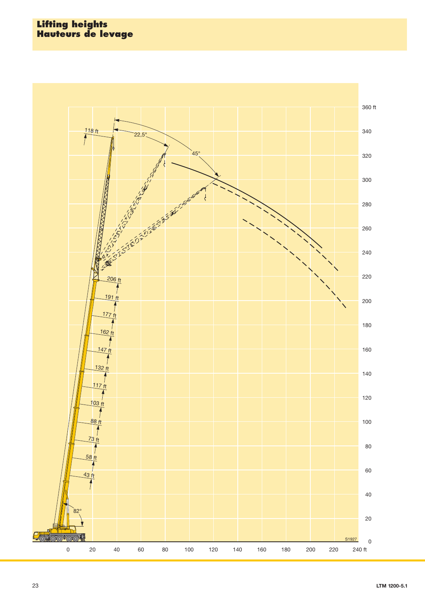### **Lifting heights Hauteurs de levage**

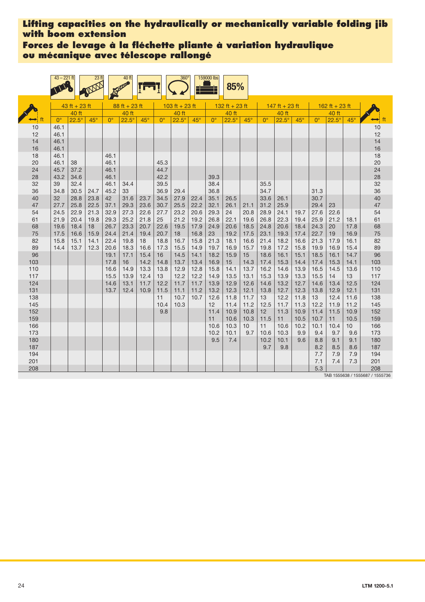**Forces de levage à la fléchette pliante à variation hydraulique ou mécanique avec télescope rallongé**

|            | $43 - 221$ ft |                 | 23 <sub>ft</sub> |              | 40 ft           |              |              | $360^\circ$    |            | 159000 lbs   | 85%            |              |              |                  |              |             |                |                 |                      |
|------------|---------------|-----------------|------------------|--------------|-----------------|--------------|--------------|----------------|------------|--------------|----------------|--------------|--------------|------------------|--------------|-------------|----------------|-----------------|----------------------|
|            |               | $43$ ft + 23 ft |                  |              | $88 ft + 23 ft$ |              |              | 103 ft + 23 ft |            |              | 132 ft + 23 ft |              |              | $147$ ft + 23 ft |              |             | 162 ft + 23 ft |                 |                      |
|            |               | 40 ft           |                  |              | 40 ft           |              |              | 40 ft          |            |              | 40 ft          |              |              | 40 ft            |              |             | 40 ft          |                 |                      |
|            | $0^{\circ}$   | $22.5^\circ$    | $45^\circ$       | $0^{\circ}$  | $22.5^\circ$    | $45^{\circ}$ | $0^{\circ}$  | $22.5^\circ$   | $45^\circ$ | $0^{\circ}$  | $22.5^\circ$   | $45^\circ$   | $0^{\circ}$  | $22.5^\circ$     | $45^\circ$   | $0^{\circ}$ | $22.5^\circ$   | $45^\circ$      | $\leftrightarrow$ ft |
| 10         | 46.1          |                 |                  |              |                 |              |              |                |            |              |                |              |              |                  |              |             |                |                 | 10                   |
| 12         | 46.1          |                 |                  |              |                 |              |              |                |            |              |                |              |              |                  |              |             |                |                 | 12                   |
| 14         | 46.1          |                 |                  |              |                 |              |              |                |            |              |                |              |              |                  |              |             |                |                 | 14                   |
| 16         | 46.1          |                 |                  |              |                 |              |              |                |            |              |                |              |              |                  |              |             |                |                 | 16                   |
| 18         | 46.1          |                 |                  | 46.1         |                 |              |              |                |            |              |                |              |              |                  |              |             |                |                 | 18                   |
| 20         | 46.1          | 38              |                  | 46.1         |                 |              | 45.3         |                |            |              |                |              |              |                  |              |             |                |                 | 20                   |
| 24         | 45.7          | 37.2            |                  | 46.1         |                 |              | 44.7         |                |            |              |                |              |              |                  |              |             |                |                 | 24                   |
| 28         | 43.2          | 34.6            |                  | 46.1         |                 |              | 42.2         |                |            | 39.3         |                |              |              |                  |              |             |                |                 | 28                   |
| 32         | 39<br>34.8    | 32.4<br>30.5    | 24.7             | 46.1<br>45.2 | 34.4<br>33      |              | 39.5<br>36.9 | 29.4           |            | 38.4<br>36.8 |                |              | 35.5<br>34.7 |                  |              | 31.3        |                |                 | 32<br>36             |
| 36<br>40   | 32            | 28.8            | 23.8             | 42           | 31.6            | 23.7         | 34.5         | 27.9           | 22.4       | 35.1         | 26.5           |              | 33.6         | 26.1             |              | 30.7        |                |                 | 40                   |
| 47         | 27.7          | 25.8            | 22.5             | 37.1         | 29.3            | 23.6         | 30.7         | 25.5           | 22.2       | 32.1         | 26.1           | 21.1         | 31.2         | 25.9             |              | 29.4        | 23             |                 | 47                   |
| 54         | 24.5          | 22.9            | 21.3             | 32.9         | 27.3            | 22.6         | 27.7         | 23.2           | 20.6       | 29.3         | 24             | 20.8         | 28.9         | 24.1             | 19.7         | 27.6        | 22.6           |                 | 54                   |
| 61         | 21.9          | 20.4            | 19.8             | 29.3         | 25.2            | 21.8         | 25           | 21.2           | 19.2       | 26.8         | 22.1           | 19.6         | 26.8         | 22.3             | 19.4         | 25.9        | 21.2           | 18.1            | 61                   |
| 68         | 19.6          | 18.4            | 18               | 26.7         | 23.3            | 20.7         | 22.6         | 19.5           | 17.9       | 24.9         | 20.6           | 18.5         | 24.8         | 20.6             | 18.4         | 24.3        | 20             | 17.8            | 68                   |
| 75         | 17.5          | 16.6            | 15.9             | 24.4         | 21.4            | 19.4         | 20.7         | 18             | 16.8       | 23           | 19.2           | 17.5         | 23.1         | 19.3             | 17.4         | 22.7        | 19             | 16.9            | 75                   |
| 82         | 15.8          | 15.1            | 14.1             | 22.4         | 19.8            | 18           | 18.8         | 16.7           | 15.8       | 21.3         | 18.1           | 16.6         | 21.4         | 18.2             | 16.6         | 21.3        | 17.9           | 16.1            | 82                   |
| 89         | 14.4          | 13.7            | 12.3             | 20.6         | 18.3            | 16.6         | 17.3         | 15.5           | 14.9       | 19.7         | 16.9           | 15.7         | 19.8         | 17.2             | 15.8         | 19.9        | 16.9           | 15.4            | 89                   |
| 96         |               |                 |                  | 19.1         | 17.1            | 15.4         | 16           | 14.5           | 14.1       | 18.2         | 15.9           | 15           | 18.6         | 16.1             | 15.1         | 18.5        | 16.1           | 14.7            | 96                   |
| 103        |               |                 |                  | 17.8         | 16              | 14.2         | 14.8         | 13.7           | 13.4       | 16.9         | 15             | 14.3         | 17.4         | 15.3             | 14.4         | 17.4        | 15.3           | 14.1            | 103                  |
| 110        |               |                 |                  | 16.6         | 14.9            | 13.3         | 13.8         | 12.9           | 12.8       | 15.8         | 14.1           | 13.7         | 16.2         | 14.6             | 13.9         | 16.5        | 14.5           | 13.6            | 110                  |
| 117        |               |                 |                  | 15.5         | 13.9            | 12.4         | 13           | 12.2           | 12.2       | 14.9         | 13.5           | 13.1         | 15.3         | 13.9             | 13.3         | 15.5        | 14             | 13              | 117                  |
| 124        |               |                 |                  | 14.6         | 13.1            | 11.7         | 12.2         | 11.7           | 11.7       | 13.9         | 12.9           | 12.6         | 14.6         | 13.2             | 12.7         | 14.6        | 13.4           | 12.5            | 124                  |
| 131<br>138 |               |                 |                  | 13.7         | 12.4            | 10.9         | 11.5<br>11   | 11.1<br>10.7   | 11.2       | 13.2<br>12.6 | 12.3<br>11.8   | 12.1<br>11.7 | 13.8         | 12.7<br>12.2     | 12.3<br>11.8 | 13.8<br>13  | 12.9<br>12.4   | 12.1<br>11.6    | 131<br>138           |
| 145        |               |                 |                  |              |                 |              | 10.4         | 10.3           | 10.7       | 12           | 11.4           | 11.2         | 13<br>12.5   | 11.7             | 11.3         | 12.2        | 11.9           | 11.2            | 145                  |
| 152        |               |                 |                  |              |                 |              | 9.8          |                |            | 11.4         | 10.9           | 10.8         | 12           | 11.3             | 10.9         | 11.4        | 11.5           | 10.9            | 152                  |
| 159        |               |                 |                  |              |                 |              |              |                |            | 11           | 10.6           | 10.3         | 11.5         | 11               | 10.5         | 10.7        | 11             | 10.5            | 159                  |
| 166        |               |                 |                  |              |                 |              |              |                |            | 10.6         | 10.3           | 10           | 11           | 10.6             | 10.2         | 10.1        | 10.4           | 10 <sup>1</sup> | 166                  |
| 173        |               |                 |                  |              |                 |              |              |                |            | 10.2         | 10.1           | 9.7          | 10.6         | 10.3             | 9.9          | 9.4         | 9.7            | 9.6             | 173                  |
| 180        |               |                 |                  |              |                 |              |              |                |            | 9.5          | 7.4            |              | 10.2         | 10.1             | 9.6          | 8.8         | 9.1            | 9.1             | 180                  |
| 187        |               |                 |                  |              |                 |              |              |                |            |              |                |              | 9.7          | 9.8              |              | 8.2         | 8.5            | 8.6             | 187                  |
| 194        |               |                 |                  |              |                 |              |              |                |            |              |                |              |              |                  |              | 7.7         | 7.9            | 7.9             | 194                  |
| 201        |               |                 |                  |              |                 |              |              |                |            |              |                |              |              |                  |              | 7.1         | 7.4            | 7.3             | 201                  |
| 208        |               |                 |                  |              |                 |              |              |                |            |              |                |              |              |                  |              | 5.3         |                |                 | 208                  |

TAB 1555638 / 1555687 / 1555736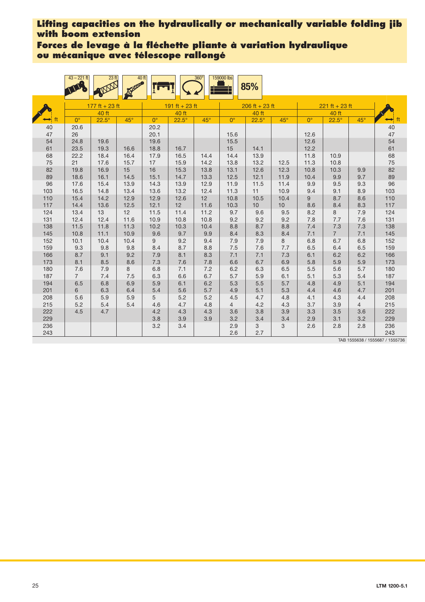**Forces de levage à la fléchette pliante à variation hydraulique ou mécanique avec télescope rallongé**

|          | $43 - 221$ ft  | 23 <sup>ft</sup> | 40ft<br>3500 |              |                | $360^\circ$  | 159000 lbs   | 85%              |              |             |                  |                |          |
|----------|----------------|------------------|--------------|--------------|----------------|--------------|--------------|------------------|--------------|-------------|------------------|----------------|----------|
|          |                | 177 ft + 23 ft   |              |              | 191 ft + 23 ft |              |              | $206$ ft + 23 ft |              |             | $221$ ft + 23 ft |                |          |
|          |                | 40 ft            |              |              | 40 ft          |              |              | 40 ft            |              |             | 40 ft            |                |          |
| ft       | $0^{\circ}$    | $22.5^\circ$     | $45^\circ$   | $0^{\circ}$  | $22.5^\circ$   | $45^\circ$   | $0^{\circ}$  | $22.5^\circ$     | $45^\circ$   | $0^{\circ}$ | $22.5^\circ$     | $45^{\circ}$   | ⇔        |
| 40       | 20.6           |                  |              | 20.2         |                |              |              |                  |              |             |                  |                | 40       |
| 47       | 26             |                  |              | 20.1         |                |              | 15.6         |                  |              | 12.6        |                  |                | 47       |
| 54       | 24.8           | 19.6             |              | 19.6         |                |              | 15.5         |                  |              | 12.6        |                  |                | 54       |
| 61       | 23.5           | 19.3             | 16.6         | 18.8         | 16.7           |              | 15           | 14.1             |              | 12.2        |                  |                | 61       |
| 68       | 22.2           | 18.4             | 16.4         | 17.9         | 16.5           | 14.4         | 14.4         | 13.9             |              | 11.8        | 10.9             |                | 68       |
| 75       | 21             | 17.6             | 15.7         | 17           | 15.9           | 14.2         | 13.8         | 13.2             | 12.5         | 11.3        | 10.8             |                | 75       |
| 82<br>89 | 19.8<br>18.6   | 16.9             | 15<br>14.5   | 16           | 15.3           | 13.8         | 13.1         | 12.6<br>12.1     | 12.3<br>11.9 | 10.8        | 10.3             | 9.9<br>9.7     | 82       |
| 96       | 17.6           | 16.1<br>15.4     | 13.9         | 15.1<br>14.3 | 14.7<br>13.9   | 13.3<br>12.9 | 12.5<br>11.9 | 11.5             | 11.4         | 10.4<br>9.9 | 9.9<br>9.5       | 9.3            | 89<br>96 |
| 103      | 16.5           | 14.8             | 13.4         | 13.6         | 13.2           | 12.4         | 11.3         | 11               | 10.9         | 9.4         | 9.1              | 8.9            | 103      |
| 110      | 15.4           | 14.2             | 12.9         | 12.9         | 12.6           | 12           | 10.8         | 10.5             | 10.4         | 9           | 8.7              | 8.6            | 110      |
| 117      | 14.4           | 13.6             | 12.5         | 12.1         | 12             | 11.6         | 10.3         | 10               | 10           | 8.6         | 8.4              | 8.3            | 117      |
| 124      | 13.4           | 13               | 12           | 11.5         | 11.4           | 11.2         | 9.7          | 9.6              | 9.5          | 8.2         | 8                | 7.9            | 124      |
| 131      | 12.4           | 12.4             | 11.6         | 10.9         | 10.8           | 10.8         | 9.2          | 9.2              | 9.2          | 7.8         | 7.7              | 7.6            | 131      |
| 138      | 11.5           | 11.8             | 11.3         | 10.2         | 10.3           | 10.4         | 8.8          | 8.7              | 8.8          | 7.4         | 7.3              | 7.3            | 138      |
| 145      | 10.8           | 11.1             | 10.9         | 9.6          | 9.7            | 9.9          | 8.4          | 8.3              | 8.4          | 7.1         | $7^{\circ}$      | 7.1            | 145      |
| 152      | 10.1           | 10.4             | 10.4         | 9            | 9.2            | 9.4          | 7.9          | 7.9              | 8            | 6.8         | 6.7              | 6.8            | 152      |
| 159      | 9.3            | 9.8              | 9.8          | 8.4          | 8.7            | 8.8          | 7.5          | 7.6              | 7.7          | 6.5         | 6.4              | 6.5            | 159      |
| 166      | 8.7            | 9.1              | 9.2          | 7.9          | 8.1            | 8.3          | 7.1          | 7.1              | 7.3          | 6.1         | 6.2              | 6.2            | 166      |
| 173      | 8.1            | 8.5              | 8.6          | 7.3          | 7.6            | 7.8          | 6.6          | 6.7              | 6.9          | 5.8         | 5.9              | 5.9            | 173      |
| 180      | 7.6            | 7.9              | 8            | 6.8          | 7.1            | 7.2          | 6.2          | 6.3              | 6.5          | 5.5         | 5.6              | 5.7            | 180      |
| 187      | $\overline{7}$ | 7.4              | 7.5          | 6.3          | 6.6            | 6.7          | 5.7          | 5.9              | 6.1          | 5.1         | 5.3              | 5.4            | 187      |
| 194      | 6.5            | 6.8              | 6.9          | 5.9          | 6.1            | 6.2          | 5.3          | 5.5              | 5.7          | 4.8         | 4.9              | 5.1            | 194      |
| 201      | 6              | 6.3              | 6.4          | 5.4          | 5.6            | 5.7          | 4.9          | 5.1              | 5.3          | 4.4         | 4.6              | 4.7            | 201      |
| 208      | 5.6            | 5.9              | 5.9          | 5            | 5.2            | 5.2          | 4.5          | 4.7              | 4.8          | 4.1         | 4.3              | 4.4            | 208      |
| 215      | 5.2            | 5.4              | 5.4          | 4.6          | 4.7            | 4.8          | 4            | 4.2              | 4.3          | 3.7         | 3.9              | $\overline{4}$ | 215      |
| 222      | 4.5            | 4.7              |              | 4.2          | 4.3            | 4.3          | 3.6          | 3.8              | 3.9          | 3.3         | 3.5              | 3.6            | 222      |
| 229      |                |                  |              | 3.8          | 3.9            | 3.9          | 3.2          | 3.4              | 3.4          | 2.9         | 3.1              | 3.2            | 229      |
| 236      |                |                  |              | 3.2          | 3.4            |              | 2.9          | 3                | 3            | 2.6         | 2.8              | 2.8            | 236      |
| 243      |                |                  |              |              |                |              | 2.6          | 2.7              |              |             |                  |                | 243      |

TAB 1555638 / 1555687 / 1555736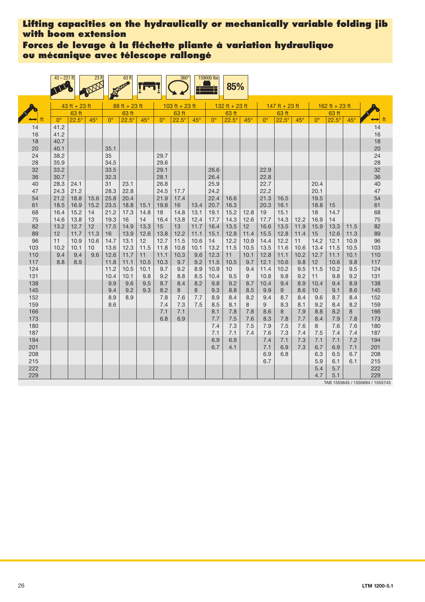**Forces de levage à la fléchette pliante à variation hydraulique ou mécanique avec télescope rallongé**

|            | $43 - 221$ ft |                 | 23 <sub>ft</sub> |              | 63 ft           |              |              | 360 <sup>°</sup> |              | 159000 lbs   | 85%                    |              |              |                |              |                         |                |              |                                           |
|------------|---------------|-----------------|------------------|--------------|-----------------|--------------|--------------|------------------|--------------|--------------|------------------------|--------------|--------------|----------------|--------------|-------------------------|----------------|--------------|-------------------------------------------|
|            |               | $43$ ft + 23 ft |                  |              | $88 ft + 23 ft$ |              |              | 103 ft + 23 ft   |              |              | 132 ft + 23 ft         |              |              | 147 ft + 23 ft |              |                         | 162 ft + 23 ft |              |                                           |
|            |               | 63 ft           |                  |              | 63 ft           |              |              | 63 ft            |              |              | 63 ft                  |              |              | 63 ft          |              |                         | 63 ft          |              |                                           |
|            | $0^{\circ}$   | $22.5^\circ$    | $45^\circ$       | $0^{\circ}$  | $22.5^\circ$    | $45^\circ$   | $0^{\circ}$  | $22.5^\circ$     | $45^\circ$   | $0^{\circ}$  | $22.5^\circ$           | $45^\circ$   | $0^{\circ}$  | $22.5^\circ$   | $45^\circ$   | $0^{\circ}$             | $22.5^\circ$   | $45^\circ$   |                                           |
| 14<br>16   | 41.2<br>41.2  |                 |                  |              |                 |              |              |                  |              |              |                        |              |              |                |              |                         |                |              | 14<br>16                                  |
| 18<br>20   | 40.7<br>40.1  |                 |                  | 35.1         |                 |              |              |                  |              |              |                        |              |              |                |              |                         |                |              | 18<br>20                                  |
| 24<br>28   | 38.2<br>35.9  |                 |                  | 35<br>34.5   |                 |              | 29.7<br>29.6 |                  |              |              |                        |              |              |                |              |                         |                |              | 24<br>28                                  |
| 32<br>36   | 33.2<br>30.7  |                 |                  | 33.5<br>32.3 |                 |              | 29.1<br>28.1 |                  |              | 26.6<br>26.4 |                        |              | 22.9<br>22.8 |                |              |                         |                |              | 32<br>36                                  |
| 40<br>47   | 28.3<br>24.3  | 24.1<br>21.2    |                  | 31<br>28.3   | 23.1<br>22.8    |              | 26.8<br>24.5 | 17.7             |              | 25.9<br>24.2 |                        |              | 22.7<br>22.2 |                |              | 20.4<br>20.1            |                |              | 40<br>47                                  |
| 54<br>61   | 21.2<br>18.5  | 18.8<br>16.9    | 15.6<br>15.2     | 25.8<br>23.5 | 20.4<br>18.8    | 15.1         | 21.9<br>19.8 | 17.4<br>16       | 13.4         | 22.4<br>20.7 | 16.6<br>16.3           |              | 21.3<br>20.3 | 16.5<br>16.1   |              | 19.5<br>18.8            | 15             |              | 54<br>61                                  |
| 68<br>75   | 16.4<br>14.6  | 15.2<br>13.8    | 14<br>13         | 21.2<br>19.3 | 17.3<br>16      | 14.8<br>14   | 18<br>16.4   | 14.8<br>13.8     | 13.1<br>12.4 | 19.1<br>17.7 | 15.2<br>14.3           | 12.8<br>12.6 | 19<br>17.7   | 15.1<br>14.3   | 12.2         | 18<br>16.9              | 14.7<br>14     |              | 68<br>75                                  |
| 82<br>89   | 13.2<br>12    | 12.7<br>11.7    | 12<br>11.3       | 17.5<br>16   | 14.9<br>13.9    | 13.3<br>12.6 | 15<br>13.8   | 13<br>12.2       | 11.7<br>11.1 | 16.4<br>15.1 | 13.5<br>12.8           | 12<br>11.4   | 16.6<br>15.5 | 13.5<br>12.8   | 11.9<br>11.4 | 15.9<br>15              | 13.3<br>12.6   | 11.5<br>11.3 | 82<br>89                                  |
| 96<br>103  | 11<br>10.2    | 10.9<br>10.1    | 10.6<br>10       | 14.7<br>13.6 | 13.1<br>12.3    | 12<br>11.5   | 12.7<br>11.8 | 11.5<br>10.8     | 10.6<br>10.1 | 14<br>13.2   | 12.2<br>11.5           | 10.9<br>10.5 | 14.4<br>13.5 | 12.2<br>11.6   | 11<br>10.6   | 14.2<br>13.4            | 12.1<br>11.5   | 10.9<br>10.5 | 96<br>103                                 |
| 110<br>117 | 9.4<br>8.8    | 9.4<br>8.9      | 9.6              | 12.6<br>11.8 | 11.7<br>11.1    | 11<br>10.5   | 11.1<br>10.3 | 10.3<br>9.7      | 9.6<br>9.2   | 12.3<br>11.5 | 11<br>10.5             | 10.1<br>9.7  | 12.8<br>12.1 | 11.1<br>10.6   | 10.2<br>9.8  | 12.7<br>12              | 11.1<br>10.6   | 10.1<br>9.8  | 110<br>117                                |
| 124<br>131 |               |                 |                  | 11.2<br>10.4 | 10.5<br>10.1    | 10.1<br>9.8  | 9.7<br>9.2   | 9.2<br>8.8       | 8.9<br>8.5   | 10.9<br>10.4 | 10 <sup>1</sup><br>9.5 | 9.4<br>9     | 11.4<br>10.8 | 10.2<br>9.8    | 9.5<br>9.2   | 11.5<br>11              | 10.2<br>9.8    | 9.5<br>9.2   | 124<br>131                                |
| 138<br>145 |               |                 |                  | 9.9<br>9.4   | 9.6<br>9.2      | 9.5<br>9.3   | 8.7<br>8.2   | 8.4<br>8         | 8.2<br>8     | 9.8<br>9.3   | 9.2<br>8.8             | 8.7<br>8.5   | 10.4<br>9.9  | 9.4<br>9       | 8.9<br>8.6   | 10.4<br>10 <sup>°</sup> | 9.4<br>9.1     | 8.9<br>8.6   | 138<br>145                                |
| 152<br>159 |               |                 |                  | 8.9<br>8.6   | 8.9             |              | 7.8<br>7.4   | 7.6<br>7.3       | 7.7<br>7.5   | 8.9<br>8.5   | 8.4<br>8.1             | 8.2<br>8     | 9.4<br>9     | 8.7<br>8.3     | 8.4<br>8.1   | 9.6<br>9.2              | 8.7<br>8.4     | 8.4<br>8.2   | 152<br>159                                |
| 166<br>173 |               |                 |                  |              |                 |              | 7.1<br>6.8   | 7.1<br>6.9       |              | 8.1<br>7.7   | 7.8<br>7.5             | 7.8<br>7.6   | 8.6          | 8              | 7.9<br>7.7   | 8.8                     | 8.2            | 8            | 166<br>173                                |
| 180        |               |                 |                  |              |                 |              |              |                  |              | 7.4          | 7.3                    | 7.5          | 8.3<br>7.9   | 7.8<br>7.5     | 7.6          | 8.4<br>8                | 7.9<br>7.6     | 7.8<br>7.6   | 180                                       |
| 187<br>194 |               |                 |                  |              |                 |              |              |                  |              | 7.1<br>6.9   | 7.1<br>6.9             | 7.4          | 7.6<br>7.4   | 7.3<br>7.1     | 7.4<br>7.3   | 7.5<br>7.1              | 7.4<br>7.1     | 7.4<br>7.2   | 187<br>194                                |
| 201<br>208 |               |                 |                  |              |                 |              |              |                  |              | 6.7          | 4.1                    |              | 7.1<br>6.9   | 6.9<br>6.8     | 7.3          | 6.7<br>6.3              | 6.9<br>6.5     | 7.1<br>6.7   | 201<br>208                                |
| 215<br>222 |               |                 |                  |              |                 |              |              |                  |              |              |                        |              | 6.7          |                |              | 5.9<br>5.4              | 6.1<br>5.7     | 6.1          | 215<br>222                                |
| 229        |               |                 |                  |              |                 |              |              |                  |              |              |                        |              |              |                |              | 4.7                     | 5.1            |              | 229<br>TAD <i>ACCCOAC</i> / ACCCOOA / ACC |

TAB 1555645 / 1555694 / 1555743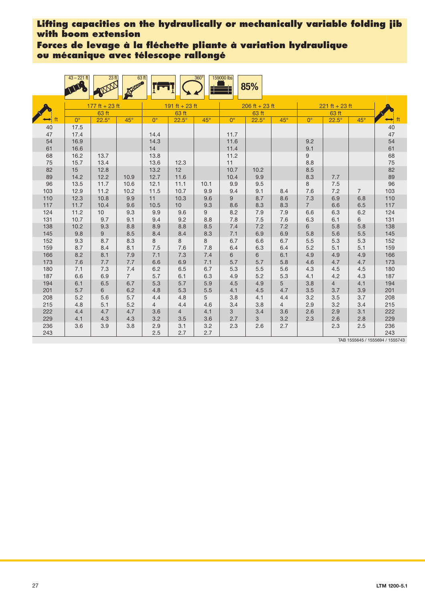**Forces de levage à la fléchette pliante à variation hydraulique ou mécanique avec télescope rallongé**

|            | $43 - 221$ ft | 23 <sup>ft</sup> | 63 ft<br><b>SAFER</b> |                       |                | $360^\circ$ | 159000 lbs  | 85%              |                       |                |                  |                |            |
|------------|---------------|------------------|-----------------------|-----------------------|----------------|-------------|-------------|------------------|-----------------------|----------------|------------------|----------------|------------|
|            |               | 177 ft + 23 ft   |                       |                       | 191 ft + 23 ft |             |             | $206$ ft + 23 ft |                       |                | $221 ft + 23 ft$ |                |            |
|            |               | 63 ft            |                       |                       | 63 ft          |             |             | 63 ft            |                       |                | 63 ft            |                |            |
| ft         | $0^{\circ}$   | $22.5^\circ$     | $45^{\circ}$          | $0^{\circ}$           | $22.5^\circ$   | $45^\circ$  | $0^{\circ}$ | $22.5^\circ$     | $45^\circ$            | $0^{\circ}$    | $22.5^\circ$     | $45^{\circ}$   | ⊷          |
| 40         | 17.5          |                  |                       |                       |                |             |             |                  |                       |                |                  |                | 40         |
| 47         | 17.4          |                  |                       | 14.4                  |                |             | 11.7        |                  |                       |                |                  |                | 47         |
| 54         | 16.9          |                  |                       | 14.3                  |                |             | 11.6        |                  |                       | 9.2            |                  |                | 54         |
| 61         | 16.6          |                  |                       | 14                    |                |             | 11.4        |                  |                       | 9.1            |                  |                | 61         |
| 68<br>75   | 16.2<br>15.7  | 13.7<br>13.4     |                       | 13.8<br>13.6          | 12.3           |             | 11.2<br>11  |                  |                       | 9<br>8.8       |                  |                | 68<br>75   |
| 82         | 15            | 12.8             |                       | 13.2                  | 12             |             | 10.7        | 10.2             |                       | 8.5            |                  |                | 82         |
| 89         | 14.2          | 12.2             | 10.9                  | 12.7                  | 11.6           |             | 10.4        | 9.9              |                       | 8.3            | 7.7              |                | 89         |
| 96         | 13.5          | 11.7             | 10.6                  | 12.1                  | 11.1           | 10.1        | 9.9         | 9.5              |                       | 8              | 7.5              |                | 96         |
| 103        | 12.9          | 11.2             | 10.2                  | 11.5                  | 10.7           | 9.9         | 9.4         | 9.1              | 8.4                   | 7.6            | 7.2              | $\overline{7}$ | 103        |
| 110        | 12.3          | 10.8             | 9.9                   | 11                    | 10.3           | 9.6         | 9           | 8.7              | 8.6                   | 7.3            | 6.9              | 6.8            | 110        |
| 117        | 11.7          | 10.4             | 9.6                   | 10.5                  | 10             | 9.3         | 8.6         | 8.3              | 8.3                   | $\overline{7}$ | 6.6              | 6.5            | 117        |
| 124        | 11.2          | 10               | 9.3                   | 9.9                   | 9.6            | 9           | 8.2         | 7.9              | 7.9                   | 6.6            | 6.3              | 6.2            | 124        |
| 131        | 10.7          | 9.7              | 9.1                   | 9.4                   | 9.2            | 8.8         | 7.8         | 7.5              | 7.6                   | 6.3            | 6.1              | 6              | 131        |
| 138        | 10.2          | 9.3              | 8.8                   | 8.9                   | 8.8            | 8.5         | 7.4         | 7.2              | 7.2                   | 6              | 5.8              | 5.8            | 138        |
| 145        | 9.8           | 9                | 8.5                   | 8.4                   | 8.4            | 8.3         | 7.1         | 6.9              | 6.9                   | 5.8            | 5.6              | 5.5            | 145        |
| 152        | 9.3           | 8.7              | 8.3                   | 8                     | 8              | 8           | 6.7         | 6.6              | 6.7                   | 5.5            | 5.3              | 5.3            | 152        |
| 159        | 8.7           | 8.4              | 8.1                   | 7.5                   | 7.6            | 7.8         | 6.4         | 6.3              | 6.4                   | 5.2            | 5.1              | 5.1            | 159        |
| 166        | 8.2           | 8.1              | 7.9                   | 7.1                   | 7.3            | 7.4         | 6           | 6                | 6.1                   | 4.9            | 4.9              | 4.9            | 166        |
| 173        | 7.6           | 7.7              | 7.7                   | 6.6                   | 6.9            | 7.1         | 5.7         | 5.7              | 5.8                   | 4.6            | 4.7              | 4.7            | 173        |
| 180        | 7.1           | 7.3              | 7.4                   | 6.2                   | 6.5            | 6.7         | 5.3         | 5.5              | 5.6                   | 4.3            | 4.5              | 4.5            | 180        |
| 187        | 6.6           | 6.9              | $\overline{7}$        | 5.7                   | 6.1            | 6.3         | 4.9         | 5.2              | 5.3                   | 4.1            | 4.2              | 4.3            | 187        |
| 194        | 6.1           | 6.5              | 6.7                   | 5.3                   | 5.7            | 5.9         | 4.5         | 4.9              | 5                     | 3.8            | 4                | 4.1            | 194        |
| 201        | 5.7           | 6                | 6.2                   | 4.8                   | 5.3            | 5.5         | 4.1         | 4.5              | 4.7                   | 3.5            | 3.7              | 3.9            | 201        |
| 208<br>215 | 5.2<br>4.8    | 5.6<br>5.1       | 5.7<br>5.2            | 4.4<br>$\overline{4}$ | 4.8<br>4.4     | 5<br>4.6    | 3.8<br>3.4  | 4.1<br>3.8       | 4.4<br>$\overline{4}$ | 3.2<br>2.9     | 3.5<br>3.2       | 3.7<br>3.4     | 208<br>215 |
| 222        | 4.4           | 4.7              | 4.7                   | 3.6                   | 4              | 4.1         | 3           | 3.4              | 3.6                   | 2.6            | 2.9              | 3.1            | 222        |
| 229        | 4.1           | 4.3              | 4.3                   | 3.2                   | $3.5\,$        | 3.6         | 2.7         | 3                | 3.2                   | 2.3            | 2.6              | 2.8            | 229        |
| 236        | 3.6           | 3.9              | 3.8                   | 2.9                   | 3.1            | 3.2         | 2.3         | 2.6              | 2.7                   |                | 2.3              | 2.5            | 236        |
| 243        |               |                  |                       | 2.5                   | 2.7            | 2.7         |             |                  |                       |                |                  |                | 243        |

TAB 1555645 / 1555694 / 1555743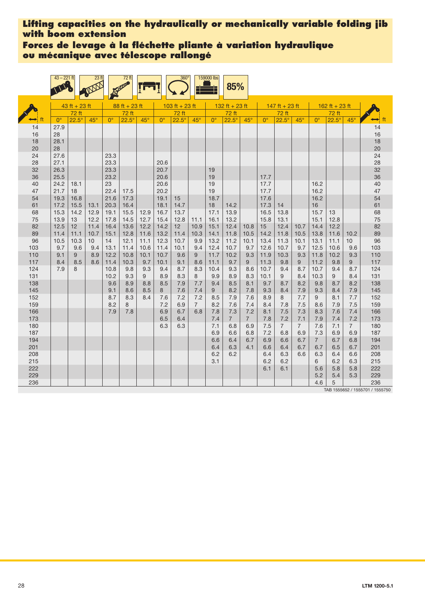**Forces de levage à la fléchette pliante à variation hydraulique ou mécanique avec télescope rallongé**

|            | $43 - 221$ ft |                 | 23 <sub>ft</sub> |                      | 72 ft           |             |              | $360^\circ$    |                | 159000 lbs   | 85%                   |                       |              |                       |                |              |                |                |               |
|------------|---------------|-----------------|------------------|----------------------|-----------------|-------------|--------------|----------------|----------------|--------------|-----------------------|-----------------------|--------------|-----------------------|----------------|--------------|----------------|----------------|---------------|
|            |               | $43$ ft + 23 ft |                  |                      | $88 ft + 23 ft$ |             |              | 103 ft + 23 ft |                |              | 132 ft + 23 ft        |                       |              | $147$ ft + 23 ft      |                |              | 162 ft + 23 ft |                |               |
|            |               | 72 ft           |                  |                      | 72 ft           |             |              | 72 ft          |                |              | 72 ft                 |                       |              | 72 ft                 |                |              | 72 ft          |                |               |
|            | $0^{\circ}$   | $22.5^\circ$    | $45^\circ$       | $\mathbf{O}^{\circ}$ | $22.5^\circ$    | $45^\circ$  | $0^{\circ}$  | $22.5^\circ$   | $45^\circ$     | $0^{\circ}$  | $22.5^\circ$          | $45^\circ$            | $0^{\circ}$  | $22.5^\circ$          | $45^{\circ}$   | $0^{\circ}$  | $22.5^\circ$   | $45^\circ$     | $\rightarrow$ |
| 14         | 27.9          |                 |                  |                      |                 |             |              |                |                |              |                       |                       |              |                       |                |              |                |                | 14            |
| 16         | 28            |                 |                  |                      |                 |             |              |                |                |              |                       |                       |              |                       |                |              |                |                | 16            |
| 18<br>20   | 28.1<br>28    |                 |                  |                      |                 |             |              |                |                |              |                       |                       |              |                       |                |              |                |                | 18<br>20      |
| 24         | 27.6          |                 |                  | 23.3                 |                 |             |              |                |                |              |                       |                       |              |                       |                |              |                |                | 24            |
| 28         | 27.1          |                 |                  | 23.3                 |                 |             | 20.6         |                |                |              |                       |                       |              |                       |                |              |                |                | 28            |
| 32<br>36   | 26.3<br>25.5  |                 |                  | 23.3<br>23.2         |                 |             | 20.7<br>20.6 |                |                | 19<br>19     |                       |                       | 17.7         |                       |                |              |                |                | 32<br>36      |
| 40         | 24.2          | 18.1            |                  | 23                   |                 |             | 20.6         |                |                | 19           |                       |                       | 17.7         |                       |                | 16.2         |                |                | 40            |
| 47         | 21.7          | 18              |                  | 22.4                 | 17.5            |             | 20.2         |                |                | 19           |                       |                       | 17.7         |                       |                | 16.2         |                |                | 47            |
| 54<br>61   | 19.3<br>17.2  | 16.8<br>15.5    | 13.1             | 21.6<br>20.3         | 17.3<br>16.4    |             | 19.1<br>18.1 | 15<br>14.7     |                | 18.7<br>18   | 14.2                  |                       | 17.6<br>17.3 | 14                    |                | 16.2<br>16   |                |                | 54<br>61      |
| 68         | 15.3          | 14.2            | 12.9             | 19.1                 | 15.5            | 12.9        | 16.7         | 13.7           |                | 17.1         | 13.9                  |                       | 16.5         | 13.8                  |                | 15.7         | 13             |                | 68            |
| 75         | 13.9          | 13              | 12.2             | 17.8                 | 14.5            | 12.7        | 15.4         | 12.8           | 11.1           | 16.1         | 13.2                  |                       | 15.8         | 13.1                  |                | 15.1         | 12.8           |                | 75            |
| 82         | 12.5          | 12              | 11.4             | 16.4                 | 13.6            | 12.2        | 14.2         | 12             | 10.9           | 15.1         | 12.4                  | 10.8                  | 15           | 12.4                  | 10.7           | 14.4         | 12.2           |                | 82            |
| 89         | 11.4          | 11.1            | 10.7             | 15.1                 | 12.8            | 11.6        | 13.2         | 11.4           | 10.3           | 14.1         | 11.8                  | 10.5                  | 14.2         | 11.8                  | 10.5           | 13.8         | 11.6           | 10.2           | 89            |
| 96         | 10.5          | 10.3            | 10 <sup>°</sup>  | 14                   | 12.1            | 11.1        | 12.3         | 10.7           | 9.9            | 13.2         | 11.2                  | 10.1                  | 13.4         | 11.3                  | 10.1           | 13.1         | 11.1           | 10             | 96            |
| 103        | 9.7           | 9.6             | 9.4              | 13.1                 | 11.4            | 10.6        | 11.4         | 10.1           | 9.4            | 12.4         | 10.7                  | 9.7                   | 12.6         | 10.7                  | 9.7            | 12.5         | 10.6           | 9.6            | 103           |
| 110<br>117 | 9.1<br>8.4    | 9<br>8.5        | 8.9<br>8.6       | 12.2<br>11.4         | 10.8<br>10.3    | 10.1<br>9.7 | 10.7<br>10.1 | 9.6<br>9.1     | 9<br>8.6       | 11.7<br>11.1 | 10.2<br>9.7           | 9.3<br>9              | 11.9<br>11.3 | 10.3<br>9.8           | 9.3<br>9       | 11.8<br>11.2 | 10.2<br>9.8    | 9.3<br>9       | 110<br>117    |
| 124        | 7.9           | 8               |                  | 10.8                 | 9.8             | 9.3         | 9.4          | 8.7            | 8.3            | 10.4         | 9.3                   | 8.6                   | 10.7         | 9.4                   | 8.7            | 10.7         | 9.4            | 8.7            | 124           |
| 131        |               |                 |                  | 10.2                 | 9.3             | 9           | 8.9          | 8.3            | 8              | 9.9          | 8.9                   | 8.3                   | 10.1         | 9                     | 8.4            | 10.3         | 9              | 8.4            | 131           |
| 138        |               |                 |                  | 9.6                  | 8.9             | 8.8         | 8.5          | 7.9            | 7.7            | 9.4          | 8.5                   | 8.1                   | 9.7          | 8.7                   | 8.2            | 9.8          | 8.7            | 8.2            | 138           |
| 145        |               |                 |                  | 9.1                  | 8.6             | 8.5         | 8            | 7.6            | 7.4            | 9            | 8.2                   | 7.8                   | 9.3          | 8.4                   | 7.9            | 9.3          | 8.4            | 7.9            | 145           |
| 152        |               |                 |                  | 8.7                  | 8.3             | 8.4         | 7.6          | 7.2            | 7.2            | 8.5          | 7.9                   | 7.6                   | 8.9          | 8                     | 7.7            | 9            | 8.1            | 7.7            | 152           |
| 159        |               |                 |                  | 8.2                  | 8               |             | 7.2          | 6.9            | $\overline{7}$ | 8.2          | 7.6                   | 7.4                   | 8.4          | 7.8                   | 7.5            | 8.6          | 7.9            | 7.5            | 159           |
| 166<br>173 |               |                 |                  | 7.9                  | 7.8             |             | 6.9<br>6.5   | 6.7<br>6.4     | 6.8            | 7.8          | 7.3                   | 7.2<br>$\overline{7}$ | 8.1          | 7.5                   | 7.3<br>7.1     | 8.3          | 7.6            | 7.4<br>7.2     | 166<br>173    |
| 180        |               |                 |                  |                      |                 |             | 6.3          | 6.3            |                | 7.4<br>7.1   | $\overline{7}$<br>6.8 | 6.9                   | 7.8<br>7.5   | 7.2<br>$\overline{7}$ | $\overline{7}$ | 7.9<br>7.6   | 7.4<br>7.1     | $\overline{7}$ | 180           |
| 187        |               |                 |                  |                      |                 |             |              |                |                | 6.9          | 6.6                   | 6.8                   | 7.2          | 6.8                   | 6.9            | 7.3          | 6.9            | 6.9            | 187           |
| 194        |               |                 |                  |                      |                 |             |              |                |                | 6.6          | 6.4                   | 6.7                   | 6.9          | 6.6                   | 6.7            | $7^{\circ}$  | 6.7            | 6.8            | 194           |
| 201        |               |                 |                  |                      |                 |             |              |                |                | 6.4          | 6.3                   | 4.1                   | 6.6          | 6.4                   | 6.7            | 6.7          | 6.5            | 6.7            | 201           |
| 208        |               |                 |                  |                      |                 |             |              |                |                | 6.2          | 6.2                   |                       | 6.4          | 6.3                   | 6.6            | 6.3          | 6.4            | 6.6            | 208           |
| 215        |               |                 |                  |                      |                 |             |              |                |                | 3.1          |                       |                       | 6.2          | 6.2                   |                | 6            | 6.2            | 6.3            | 215           |
| 222        |               |                 |                  |                      |                 |             |              |                |                |              |                       |                       | 6.1          | 6.1                   |                | 5.6          | 5.8            | 5.8            | 222           |
| 229        |               |                 |                  |                      |                 |             |              |                |                |              |                       |                       |              |                       |                | 5.2          | 5.4            | 5.3            | 229           |
| 236        |               |                 |                  |                      |                 |             |              |                |                |              |                       |                       |              |                       |                | 4.6          | 5              |                | 236           |

TAB 1555652 / 1555701 / 1555750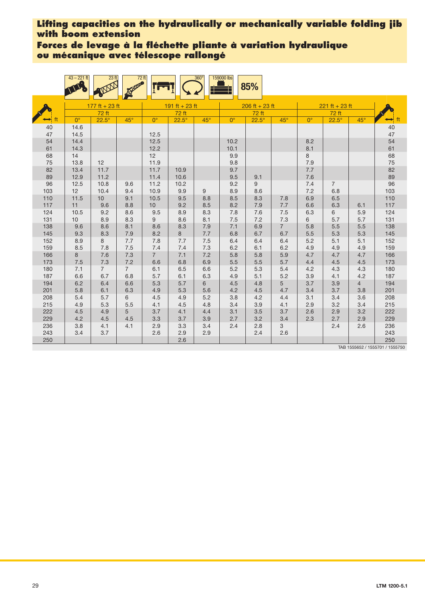**Forces de levage à la fléchette pliante à variation hydraulique ou mécanique avec télescope rallongé**

|            | $43 - 221$ ft | 23 <sub>ft</sub>      | $72$ ft               |                 |                | $360^\circ$ | 159000 lbs  | 85%              |                |             |                  |                |                                 |
|------------|---------------|-----------------------|-----------------------|-----------------|----------------|-------------|-------------|------------------|----------------|-------------|------------------|----------------|---------------------------------|
|            |               | $177$ ft + 23 ft      |                       |                 | 191 ft + 23 ft |             |             | $206$ ft + 23 ft |                |             | $221 ft + 23 ft$ |                |                                 |
|            |               | 72 ft                 |                       |                 | 72 ft          |             |             | 72 ft            |                |             | 72 ft            |                |                                 |
| ft         | $0^{\circ}$   | $22.5^\circ$          | $45^\circ$            | $0^{\circ}$     | $22.5^\circ$   | $45^\circ$  | $0^{\circ}$ | $22.5^\circ$     | $45^\circ$     | $0^{\circ}$ | $22.5^\circ$     | $45^{\circ}$   | $\leftrightarrow$ ft            |
| 40         | 14.6          |                       |                       |                 |                |             |             |                  |                |             |                  |                | $40\,$                          |
| 47         | 14.5          |                       |                       | 12.5            |                |             |             |                  |                |             |                  |                | 47                              |
| 54         | 14.4          |                       |                       | 12.5            |                |             | 10.2        |                  |                | 8.2         |                  |                | 54                              |
| 61         | 14.3          |                       |                       | 12.2            |                |             | 10.1        |                  |                | 8.1         |                  |                | 61                              |
| 68         | 14            |                       |                       | 12              |                |             | 9.9         |                  |                | 8           |                  |                | 68                              |
| 75         | 13.8          | 12                    |                       | 11.9            |                |             | 9.8         |                  |                | 7.9         |                  |                | 75                              |
| 82         | 13.4          | 11.7                  |                       | 11.7            | 10.9           |             | 9.7         |                  |                | $7.7\,$     |                  |                | 82                              |
| 89         | 12.9          | 11.2                  |                       | 11.4            | 10.6           |             | 9.5         | 9.1              |                | 7.6         |                  |                | 89                              |
| 96         | 12.5          | 10.8                  | 9.6                   | 11.2            | 10.2           |             | 9.2         | 9                |                | $7.4$       | $\overline{7}$   |                | 96                              |
| 103        | 12            | 10.4                  | 9.4                   | 10.9            | 9.9            | 9           | 8.9         | 8.6              |                | 7.2         | 6.8              |                | 103                             |
| 110        | 11.5          | 10                    | 9.1                   | 10.5            | 9.5            | 8.8         | 8.5         | 8.3              | 7.8            | 6.9         | 6.5              |                | 110                             |
| 117        | 11            | 9.6                   | 8.8                   | 10 <sup>1</sup> | 9.2            | 8.5         | 8.2         | 7.9              | 7.7            | 6.6         | 6.3              | 6.1            | 117                             |
| 124        | 10.5          | 9.2                   | 8.6                   | 9.5             | 8.9            | 8.3         | 7.8         | 7.6              | 7.5            | 6.3         | 6                | 5.9            | 124                             |
| 131        | 10            | 8.9                   | 8.3                   | 9               | 8.6            | 8.1         | 7.5         | 7.2              | 7.3            | 6           | 5.7              | 5.7            | 131                             |
| 138        | 9.6           | 8.6                   | 8.1                   | 8.6             | 8.3            | 7.9         | 7.1         | 6.9              | $\overline{7}$ | 5.8         | 5.5              | 5.5            | 138                             |
| 145        | 9.3           | 8.3                   | 7.9                   | 8.2             | 8              | 7.7         | 6.8         | 6.7              | 6.7            | 5.5         | 5.3              | 5.3            | 145                             |
| 152        | 8.9           | 8                     | 7.7                   | 7.8             | 7.7            | 7.5         | 6.4         | 6.4              | 6.4            | 5.2         | 5.1              | 5.1            | 152                             |
| 159        | 8.5           | 7.8                   | 7.5                   | 7.4             | 7.4            | 7.3         | 6.2         | 6.1              | 6.2            | 4.9         | 4.9              | 4.9            | 159                             |
| 166        | 8             | 7.6                   | 7.3                   | $\overline{7}$  | 7.1            | 7.2         | 5.8         | 5.8<br>5.5       | 5.9            | 4.7         | 4.7<br>4.5       | 4.7            | 166                             |
| 173        | 7.5<br>7.1    | 7.3<br>$\overline{7}$ | 7.2<br>$\overline{7}$ | 6.6<br>6.1      | 6.8            | 6.9<br>6.6  | 5.5<br>5.2  | 5.3              | 5.7<br>5.4     | 4.4         | 4.3              | 4.5            | 173<br>180                      |
| 180<br>187 | 6.6           | 6.7                   | 6.8                   | 5.7             | 6.5<br>6.1     | 6.3         | 4.9         | 5.1              | 5.2            | 4.2<br>3.9  | 4.1              | 4.3<br>4.2     | 187                             |
| 194        | 6.2           | 6.4                   | 6.6                   | 5.3             | 5.7            | 6           | 4.5         | 4.8              | 5              | 3.7         | 3.9              | $\overline{4}$ | 194                             |
| 201        | 5.8           | 6.1                   | 6.3                   | 4.9             | 5.3            | 5.6         | 4.2         | 4.5              | 4.7            | 3.4         | 3.7              | 3.8            | 201                             |
| 208        | 5.4           | 5.7                   | 6                     | 4.5             | 4.9            | 5.2         | 3.8         | 4.2              | 4.4            | 3.1         | 3.4              | 3.6            | 208                             |
| 215        | 4.9           | 5.3                   | 5.5                   | 4.1             | 4.5            | 4.8         | 3.4         | 3.9              | 4.1            | 2.9         | 3.2              | 3.4            | 215                             |
| 222        | 4.5           | 4.9                   | 5                     | 3.7             | 4.1            | 4.4         | 3.1         | 3.5              | 3.7            | 2.6         | 2.9              | 3.2            | 222                             |
| 229        | 4.2           | 4.5                   | 4.5                   | 3.3             | 3.7            | 3.9         | 2.7         | 3.2              | 3.4            | 2.3         | 2.7              | 2.9            | 229                             |
| 236        | 3.8           | 4.1                   | 4.1                   | 2.9             | 3.3            | 3.4         | 2.4         | 2.8              | 3              |             | 2.4              | 2.6            | 236                             |
| 243        | 3.4           | 3.7                   |                       | 2.6             | 2.9            | 2.9         |             | 2.4              | 2.6            |             |                  |                | 243                             |
| 250        |               |                       |                       |                 | 2.6            |             |             |                  |                |             |                  |                | 250                             |
|            |               |                       |                       |                 |                |             |             |                  |                |             |                  |                | TAB 1555652 / 1555701 / 1555750 |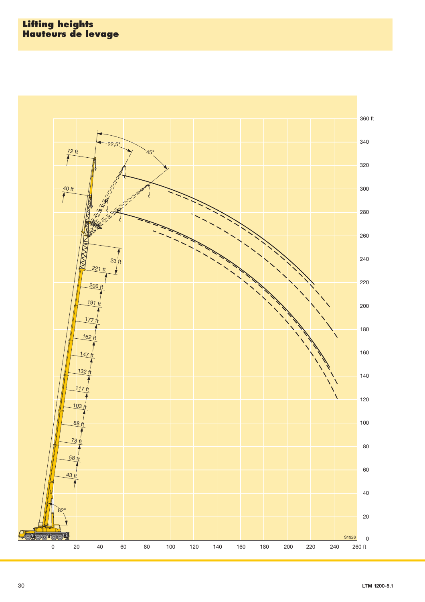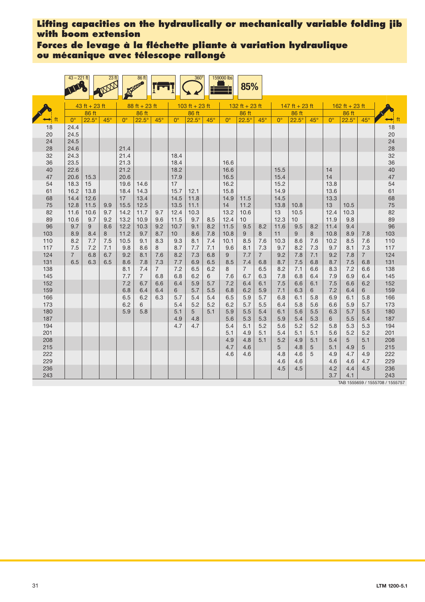## **Forces de levage à la fléchette pliante à variation hydraulique ou mécanique avec télescope rallongé**

|            | $43 - 221$ ft      |                 | 23 <sup>ft</sup> |              | 86 ft                 |                |                 | $360^\circ$    |            | 159000 lbs   | 85%            |                       |              |                        |            |              |                |                       |                     |
|------------|--------------------|-----------------|------------------|--------------|-----------------------|----------------|-----------------|----------------|------------|--------------|----------------|-----------------------|--------------|------------------------|------------|--------------|----------------|-----------------------|---------------------|
|            |                    | $43$ ft + 23 ft |                  |              | $88 ft + 23 ft$       |                |                 | 103 ft + 23 ft |            |              | 132 ft + 23 ft |                       |              | 147 ft + 23 ft         |            |              | 162 ft + 23 ft |                       |                     |
|            |                    | 86 ft           |                  |              | 86 ft                 |                | 86 ft           |                |            | 86 ft        |                |                       | 86 ft        |                        |            | 86 ft        |                |                       |                     |
|            | $0^{\circ}$        | $22.5^\circ$    | $45^\circ$       | $0^{\circ}$  | $22.5^\circ$          | $45^\circ$     | $0^{\circ}$     | $22.5^\circ$   | $45^\circ$ | $0^{\circ}$  | $22.5^\circ$   | $45^\circ$            | $0^{\circ}$  | $22.5^\circ$           | $45^\circ$ | $0^{\circ}$  | $22.5^\circ$   | $45^\circ$            | ft<br>$\rightarrow$ |
| 18<br>20   | 24.4<br>24.5       |                 |                  |              |                       |                |                 |                |            |              |                |                       |              |                        |            |              |                |                       | 18<br>20            |
| 24<br>28   | 24.5<br>24.6       |                 |                  | 21.4         |                       |                |                 |                |            |              |                |                       |              |                        |            |              |                |                       | 24<br>28            |
| 32<br>36   | 24.3<br>23.5       |                 |                  | 21.4<br>21.3 |                       |                | 18.4<br>18.4    |                |            | 16.6         |                |                       |              |                        |            |              |                |                       | 32<br>36            |
| 40<br>47   | 22.6<br>20.6       | 15.3            |                  | 21.2<br>20.6 |                       |                | 18.2<br>17.9    |                |            | 16.6<br>16.5 |                |                       | 15.5<br>15.4 |                        |            | 14<br>14     |                |                       | 40<br>47            |
| 54         | 18.3               | 15              |                  | 19.6         | 14.6                  |                | 17              |                |            | 16.2         |                |                       | 15.2         |                        |            | 13.8         |                |                       | 54                  |
| 61         | 16.2<br>14.4       | 13.8<br>12.6    |                  | 18.4<br>17   | 14.3                  |                | 15.7<br>14.5    | 12.1<br>11.8   |            | 15.8         |                |                       | 14.9<br>14.5 |                        |            | 13.6         |                |                       | 61                  |
| 68<br>75   | 12.8               | 11.5            | 9.9              | 15.5         | 13.4<br>12.5          |                | 13.5            | 11.1           |            | 14.9<br>14   | 11.5<br>11.2   |                       | 13.8         | 10.8                   |            | 13.3<br>13   | 10.5           |                       | 68<br>75            |
| 82         | 11.6               | 10.6            | 9.7              | 14.2         | 11.7                  | 9.7            | 12.4            | 10.3           |            | 13.2         | 10.6           |                       | 13           | 10.5                   |            | 12.4         | 10.3           |                       | 82                  |
| 89<br>96   | 10.6<br>9.7        | 9.7<br>9        | 9.2<br>8.6       | 13.2<br>12.2 | 10.9<br>10.3          | 9.6<br>9.2     | 11.5<br>10.7    | 9.7<br>9.1     | 8.5<br>8.2 | 12.4<br>11.5 | 10<br>9.5      | 8.2                   | 12.3<br>11.6 | 10 <sup>1</sup><br>9.5 | 8.2        | 11.9<br>11.4 | 9.8<br>9.4     |                       | 89<br>96            |
| 103        | 8.9                | 8.4             | 8                | 11.2         | 9.7                   | 8.7            | 10 <sup>°</sup> | 8.6            | 7.8        | 10.8         | 9              | 8                     | 11           | 9                      | 8          | 10.8         | 8.9            | 7.8                   | 103                 |
| 110        | 8.2                | 7.7             | 7.5              | 10.5         | 9.1                   | 8.3            | 9.3             | 8.1            | 7.4        | 10.1         | 8.5            | 7.6                   | 10.3         | 8.6                    | 7.6        | 10.2         | 8.5            | 7.6                   | 110                 |
| 117        | 7.5                | 7.2             | 7.1              | 9.8          | 8.6                   | 8              | 8.7             | 7.7            | 7.1        | 9.6          | 8.1            | 7.3                   | 9.7          | 8.2                    | 7.3        | 9.7          | 8.1            | 7.3<br>$\overline{7}$ | 117                 |
| 124<br>131 | $7^{\circ}$<br>6.5 | 6.8<br>6.3      | 6.7<br>6.5       | 9.2<br>8.6   | 8.1<br>7.8            | 7.6<br>7.3     | 8.2<br>7.7      | 7.3<br>6.9     | 6.8<br>6.5 | 9<br>8.5     | 7.7<br>7.4     | $\overline{7}$<br>6.8 | 9.2<br>8.7   | 7.8<br>7.5             | 7.1<br>6.8 | 9.2<br>8.7   | 7.8<br>7.5     | 6.8                   | 124<br>131          |
| 138        |                    |                 |                  | 8.1          | 7.4                   | $\overline{7}$ | 7.2             | 6.5            | 6.2        | 8            | $\overline{7}$ | 6.5                   | 8.2          | 7.1                    | 6.6        | 8.3          | 7.2            | 6.6                   | 138                 |
| 145<br>152 |                    |                 |                  | 7.7<br>7.2   | $\overline{7}$<br>6.7 | 6.8<br>6.6     | 6.8<br>6.4      | 6.2<br>5.9     | 6<br>5.7   | 7.6<br>7.2   | 6.7<br>6.4     | 6.3<br>6.1            | 7.8<br>7.5   | 6.8<br>6.6             | 6.4<br>6.1 | 7.9<br>7.5   | 6.9<br>6.6     | 6.4<br>6.2            | 145<br>152          |
| 159        |                    |                 |                  | 6.8          | 6.4                   | 6.4            | 6               | 5.7            | 5.5        | 6.8          | 6.2            | 5.9                   | 7.1          | 6.3                    | 6          | 7.2          | 6.4            | 6                     | 159                 |
| 166        |                    |                 |                  | 6.5          | 6.2                   | 6.3            | 5.7             | 5.4            | 5.4        | 6.5          | 5.9            | 5.7                   | 6.8          | 6.1                    | 5.8        | 6.9          | 6.1            | 5.8                   | 166                 |
| 173<br>180 |                    |                 |                  | 6.2<br>5.9   | 6<br>5.8              |                | 5.4<br>5.1      | 5.2<br>5       | 5.2<br>5.1 | 6.2<br>5.9   | 5.7<br>5.5     | 5.5<br>5.4            | 6.4<br>6.1   | 5.8<br>5.6             | 5.6<br>5.5 | 6.6<br>6.3   | 5.9<br>5.7     | 5.7<br>5.5            | 173<br>180          |
| 187        |                    |                 |                  |              |                       |                | 4.9             | 4.8            |            | 5.6          | 5.3            | 5.3                   | 5.9          | 5.4                    | 5.3        | 6            | 5.5            | 5.4                   | 187                 |
| 194        |                    |                 |                  |              |                       |                | 4.7             | 4.7            |            | 5.4          | 5.1            | 5.2                   | 5.6          | 5.2                    | 5.2        | 5.8          | 5.3            | 5.3                   | 194                 |
| 201<br>208 |                    |                 |                  |              |                       |                |                 |                |            | 5.1<br>4.9   | 4.9<br>4.8     | 5.1<br>5.1            | 5.4<br>5.2   | 5.1<br>4.9             | 5.1<br>5.1 | 5.6<br>5.4   | 5.2<br>5       | 5.2<br>5.1            | 201<br>208          |
| 215        |                    |                 |                  |              |                       |                |                 |                |            | 4.7          | 4.6            |                       | 5            | 4.8                    | 5          | 5.1          | 4.9            | 5                     | 215                 |
| 222<br>229 |                    |                 |                  |              |                       |                |                 |                |            | 4.6          | 4.6            |                       | 4.8<br>4.6   | 4.6<br>4.6             | 5          | 4.9<br>4.6   | 4.7<br>4.6     | 4.9<br>4.7            | 222<br>229          |
| 236        |                    |                 |                  |              |                       |                |                 |                |            |              |                |                       | 4.5          | 4.5                    |            | 4.2          | 4.4            | 4.5                   | 236                 |
| 243        |                    |                 |                  |              |                       |                |                 |                |            |              |                |                       |              |                        |            | 3.7          | 4.1            |                       | 243                 |

TAB 1555659 / 1555708 / 1555757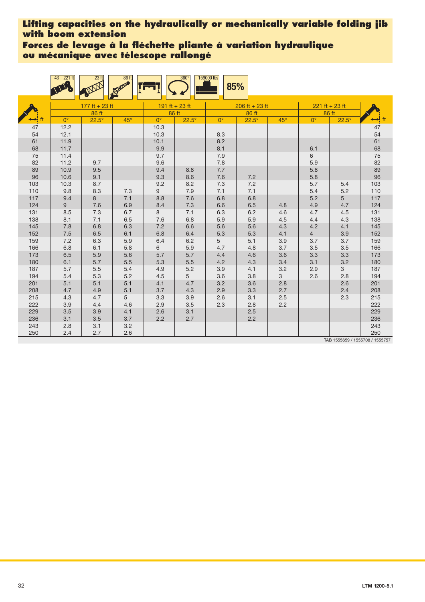**Forces de levage à la fléchette pliante à variation hydraulique ou mécanique avec télescope rallongé**

|            | $43 - 221$ ft | 23 <sub>ft</sub> | 86 ft      |                | $360^\circ$  | 159000 lbs  | 85%              |            |                |                  |                                 |
|------------|---------------|------------------|------------|----------------|--------------|-------------|------------------|------------|----------------|------------------|---------------------------------|
|            |               | 177 ft + 23 ft   |            | 191 ft + 23 ft |              |             | $206$ ft + 23 ft |            |                | $221 ft + 23 ft$ |                                 |
|            |               | 86 ft            |            |                | 86 ft        |             | 86 ft            |            |                | 86 ft            |                                 |
|            | $0^{\circ}$   | $22.5^\circ$     | $45^\circ$ | $0^{\circ}$    | $22.5^\circ$ | $0^{\circ}$ | $22.5^\circ$     | $45^\circ$ | $0^{\circ}$    | $22.5^\circ$     | ft                              |
| 47         | 12.2          |                  |            | 10.3           |              |             |                  |            |                |                  | 47                              |
| 54         | 12.1          |                  |            | 10.3           |              | 8.3         |                  |            |                |                  | 54                              |
| 61         | 11.9          |                  |            | 10.1           |              | 8.2         |                  |            |                |                  | 61                              |
| 68         | 11.7          |                  |            | 9.9            |              | 8.1         |                  |            | 6.1            |                  | 68                              |
| 75         | 11.4          |                  |            | 9.7            |              | 7.9         |                  |            | 6              |                  | 75                              |
| 82         | 11.2          | 9.7              |            | 9.6            |              | 7.8         |                  |            | 5.9            |                  | 82                              |
| 89         | 10.9          | 9.5              |            | 9.4            | 8.8          | 7.7         |                  |            | 5.8            |                  | 89                              |
| 96         | 10.6          | 9.1              |            | 9.3            | 8.6          | 7.6         | 7.2              |            | 5.8            |                  | 96                              |
| 103        | 10.3          | 8.7              |            | 9.2            | 8.2          | 7.3         | 7.2              |            | 5.7            | 5.4              | 103                             |
| 110        | 9.8           | 8.3              | 7.3        | 9              | 7.9          | 7.1         | 7.1              |            | 5.4            | 5.2              | 110                             |
| 117        | 9.4           | 8                | 7.1        | 8.8            | 7.6          | 6.8         | 6.8              |            | 5.2            | 5                | 117                             |
| 124<br>131 | 9             | 7.6              | 6.9        | 8.4<br>8       | 7.3          | 6.6         | 6.5              | 4.8<br>4.6 | 4.9<br>4.7     | 4.7              | 124                             |
| 138        | 8.5           | 7.3<br>7.1       | 6.7        |                | 7.1          | 6.3<br>5.9  | 6.2              | 4.5        | 4.4            | 4.5              | 131<br>138                      |
| 145        | 8.1<br>7.8    | 6.8              | 6.5<br>6.3 | 7.6<br>7.2     | 6.8<br>6.6   | 5.6         | 5.9<br>5.6       | 4.3        | 4.2            | 4.3<br>4.1       | 145                             |
| 152        | 7.5           | 6.5              | 6.1        | 6.8            | 6.4          | 5.3         | 5.3              | 4.1        | $\overline{4}$ | 3.9              | 152                             |
| 159        | 7.2           | 6.3              | 5.9        | 6.4            | 6.2          | 5           | 5.1              | 3.9        | 3.7            | 3.7              | 159                             |
| 166        | 6.8           | 6.1              | 5.8        | 6              | 5.9          | 4.7         | 4.8              | 3.7        | 3.5            | 3.5              | 166                             |
| 173        | 6.5           | 5.9              | 5.6        | 5.7            | 5.7          | 4.4         | 4.6              | 3.6        | 3.3            | 3.3              | 173                             |
| 180        | 6.1           | 5.7              | $5.5\,$    | 5.3            | 5.5          | 4.2         | 4.3              | 3.4        | 3.1            | 3.2              | 180                             |
| 187        | 5.7           | 5.5              | 5.4        | 4.9            | 5.2          | 3.9         | 4.1              | 3.2        | 2.9            | 3                | 187                             |
| 194        | 5.4           | 5.3              | 5.2        | 4.5            | 5            | 3.6         | 3.8              | 3          | 2.6            | 2.8              | 194                             |
| 201        | 5.1           | 5.1              | 5.1        | 4.1            | 4.7          | 3.2         | 3.6              | 2.8        |                | 2.6              | 201                             |
| 208        | 4.7           | 4.9              | 5.1        | 3.7            | 4.3          | 2.9         | 3.3              | 2.7        |                | 2.4              | 208                             |
| 215        | 4.3           | 4.7              | 5          | 3.3            | 3.9          | 2.6         | 3.1              | 2.5        |                | 2.3              | 215                             |
| 222        | 3.9           | 4.4              | 4.6        | 2.9            | 3.5          | 2.3         | 2.8              | 2.2        |                |                  | 222                             |
| 229        | 3.5           | 3.9              | 4.1        | 2.6            | 3.1          |             | 2.5              |            |                |                  | 229                             |
| 236        | 3.1           | 3.5              | 3.7        | 2.2            | 2.7          |             | 2.2              |            |                |                  | 236                             |
| 243        | 2.8           | 3.1              | $3.2\,$    |                |              |             |                  |            |                |                  | 243                             |
| 250        | 2.4           | 2.7              | 2.6        |                |              |             |                  |            |                |                  | 250                             |
|            |               |                  |            |                |              |             |                  |            |                |                  | TAB 1555659 / 1555708 / 1555757 |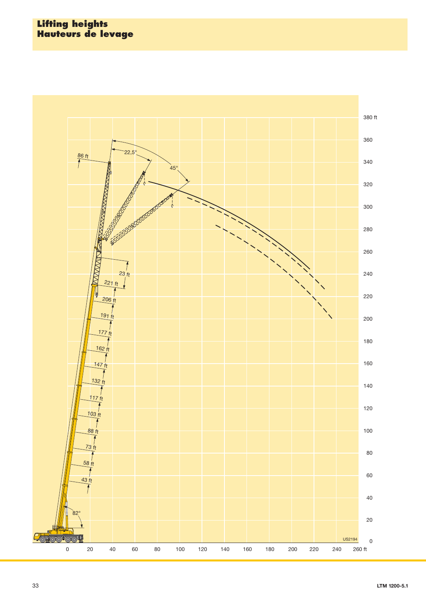#### **Lifting heights Hauteurs de levage**

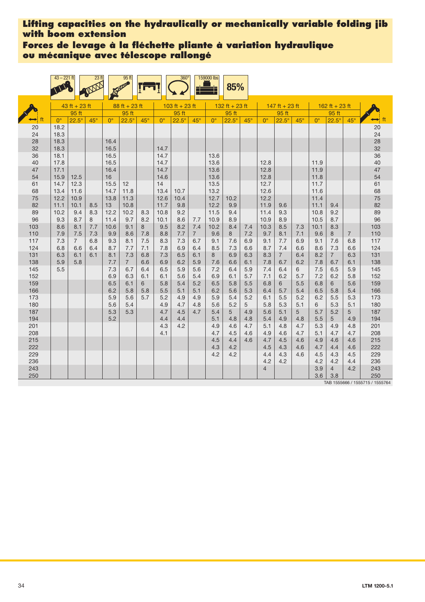**Forces de levage à la fléchette pliante à variation hydraulique ou mécanique avec télescope rallongé**

|            | $43 - 221$ ft |                        | 23 <sub>ft</sub> |              | 95 ft              |            |              | 360 <sup>°</sup> |                       | 159000 lbs   | 85%            |            |                                                                                                                                                                                                                                                                                                                                                                                                                                                                                                                                                                                                                                |            |            |            |                       |            |            |
|------------|---------------|------------------------|------------------|--------------|--------------------|------------|--------------|------------------|-----------------------|--------------|----------------|------------|--------------------------------------------------------------------------------------------------------------------------------------------------------------------------------------------------------------------------------------------------------------------------------------------------------------------------------------------------------------------------------------------------------------------------------------------------------------------------------------------------------------------------------------------------------------------------------------------------------------------------------|------------|------------|------------|-----------------------|------------|------------|
|            |               | $43$ ft + 23 ft        |                  |              | $88 ft + 23 ft$    |            |              | 103 ft + 23 ft   |                       |              | 132 ft + 23 ft |            | $147$ ft + 23 ft<br>162 ft + 23 ft<br>95 ft<br>95 ft<br>$22.5^\circ$<br>$45^\circ$<br>$0^{\circ}$<br>$22.5^\circ$<br>$0^{\circ}$<br>$45^\circ$<br>12.8<br>11.9<br>11.9<br>12.8<br>12.8<br>11.8<br>12.7<br>11.7<br>12.6<br>11.6<br>12.2<br>11.4<br>11.9<br>11.1<br>9.6<br>9.4<br>11.4<br>9.3<br>10.8<br>9.2<br>10.9<br>8.9<br>10.5<br>8.7<br>10.3<br>8.5<br>10.1<br>8.3<br>7.3<br>7.1<br>9.6<br>$\overline{7}$<br>9.7<br>8.1<br>8<br>9.1<br>7.7<br>6.9<br>7.6<br>6.8<br>9.1<br>8.7<br>7.4<br>6.6<br>8.6<br>7.3<br>6.6<br>$\overline{7}$<br>6.4<br>8.3<br>8.2<br>$\overline{7}$<br>6.3<br>6.2<br>7.8<br>6.7<br>7.8<br>6.7<br>6.1 |            |            |            |                       |            |            |
|            |               | 95 ft                  |                  |              | 95 ft              |            |              | 95 ft            |                       |              | 95 ft          |            |                                                                                                                                                                                                                                                                                                                                                                                                                                                                                                                                                                                                                                |            |            |            |                       |            |            |
|            | $0^{\circ}$   | $22.5^\circ$           | $45^\circ$       | $0^{\circ}$  | $22.5^\circ$       | $45^\circ$ | $0^{\circ}$  | $22.5^\circ$     | $45^\circ$            | $0^{\circ}$  | $22.5^\circ$   | $45^\circ$ |                                                                                                                                                                                                                                                                                                                                                                                                                                                                                                                                                                                                                                |            |            |            |                       |            | ft         |
| 20<br>24   | 18.2<br>18.3  |                        |                  |              |                    |            |              |                  |                       |              |                |            |                                                                                                                                                                                                                                                                                                                                                                                                                                                                                                                                                                                                                                |            |            |            |                       |            | 20<br>24   |
| 28<br>32   | 18.3<br>18.3  |                        |                  | 16.4<br>16.5 |                    |            | 14.7         |                  |                       |              |                |            |                                                                                                                                                                                                                                                                                                                                                                                                                                                                                                                                                                                                                                |            |            |            |                       |            | 28<br>32   |
| 36<br>40   | 18.1<br>17.8  |                        |                  | 16.5<br>16.5 |                    |            | 14.7<br>14.7 |                  |                       | 13.6<br>13.6 |                |            |                                                                                                                                                                                                                                                                                                                                                                                                                                                                                                                                                                                                                                |            |            |            |                       |            | 36<br>40   |
| 47<br>54   | 17.1<br>15.9  | 12.5                   |                  | 16.4<br>16   |                    |            | 14.7<br>14.6 |                  |                       | 13.6<br>13.6 |                |            |                                                                                                                                                                                                                                                                                                                                                                                                                                                                                                                                                                                                                                |            |            |            |                       |            | 47<br>54   |
| 61<br>68   | 14.7<br>13.4  | 12.3<br>11.6           |                  | 15.5<br>14.7 | 12<br>11.8         |            | 14<br>13.4   | 10.7             |                       | 13.5<br>13.2 |                |            |                                                                                                                                                                                                                                                                                                                                                                                                                                                                                                                                                                                                                                |            |            |            |                       |            | 61<br>68   |
| 75<br>82   | 12.2<br>11.1  | 10.9<br>10.1           | 8.5              | 13.8<br>13   | 11.3<br>10.8       |            | 12.6<br>11.7 | 10.4<br>9.8      |                       | 12.7<br>12.2 | 10.2<br>9.9    |            |                                                                                                                                                                                                                                                                                                                                                                                                                                                                                                                                                                                                                                |            |            |            |                       |            | 75<br>82   |
| 89<br>96   | 10.2<br>9.3   | 9.4<br>8.7             | 8.3<br>8         | 12.2<br>11.4 | 10.2<br>9.7        | 8.3<br>8.2 | 10.8<br>10.1 | 9.2<br>8.6       | 7.7                   | 11.5<br>10.9 | 9.4<br>8.9     |            |                                                                                                                                                                                                                                                                                                                                                                                                                                                                                                                                                                                                                                |            |            |            |                       |            | 89<br>96   |
| 103<br>110 | 8.6<br>7.9    | 8.1<br>7.5             | 7.7<br>7.3       | 10.6<br>9.9  | 9.1<br>8.6         | 8<br>7.8   | 9.5<br>8.8   | 8.2<br>7.7       | 7.4<br>$\overline{7}$ | 10.2<br>9.6  | 8.4<br>8       | 7.4<br>7.2 |                                                                                                                                                                                                                                                                                                                                                                                                                                                                                                                                                                                                                                |            |            |            |                       |            | 103<br>110 |
| 117<br>124 | 7.3<br>6.8    | $7\overline{ }$<br>6.6 | 6.8<br>6.4       | 9.3<br>8.7   | 8.1<br>7.7         | 7.5<br>7.1 | 8.3<br>7.8   | 7.3<br>6.9       | 6.7<br>6.4            | 9.1<br>8.5   | 7.6<br>7.3     | 6.9<br>6.6 |                                                                                                                                                                                                                                                                                                                                                                                                                                                                                                                                                                                                                                |            |            |            |                       |            | 117<br>124 |
| 131<br>138 | 6.3<br>5.9    | 6.1<br>5.8             | 6.1              | 8.1<br>7.7   | 7.3<br>$7^{\circ}$ | 6.8<br>6.6 | 7.3<br>6.9   | 6.5<br>6.2       | 6.1<br>5.9            | 8<br>7.6     | 6.9<br>6.6     | 6.3<br>6.1 |                                                                                                                                                                                                                                                                                                                                                                                                                                                                                                                                                                                                                                |            |            |            |                       |            | 131<br>138 |
| 145<br>152 | 5.5           |                        |                  | 7.3<br>6.9   | 6.7<br>6.3         | 6.4<br>6.1 | 6.5<br>6.1   | 5.9<br>5.6       | 5.6<br>5.4            | 7.2<br>6.9   | 6.4<br>6.1     | 5.9<br>5.7 | 7.4<br>7.1                                                                                                                                                                                                                                                                                                                                                                                                                                                                                                                                                                                                                     | 6.4<br>6.2 | 6<br>5.7   | 7.5<br>7.2 | 6.5<br>6.2            | 5.9<br>5.8 | 145<br>152 |
| 159<br>166 |               |                        |                  | 6.5<br>6.2   | 6.1<br>5.8         | 6<br>5.8   | 5.8<br>5.5   | 5.4<br>5.1       | 5.2<br>5.1            | 6.5<br>6.2   | 5.8<br>5.6     | 5.5<br>5.3 | 6.8<br>6.4                                                                                                                                                                                                                                                                                                                                                                                                                                                                                                                                                                                                                     | 6<br>5.7   | 5.5<br>5.4 | 6.8<br>6.5 | 6<br>5.8              | 5.6<br>5.4 | 159<br>166 |
| 173<br>180 |               |                        |                  | 5.9<br>5.6   | 5.6<br>5.4         | 5.7        | 5.2<br>4.9   | 4.9<br>4.7       | 4.9<br>4.8            | 5.9<br>5.6   | 5.4<br>5.2     | 5.2<br>5   | 6.1<br>5.8                                                                                                                                                                                                                                                                                                                                                                                                                                                                                                                                                                                                                     | 5.5<br>5.3 | 5.2<br>5.1 | 6.2<br>6   | 5.5<br>5.3            | 5.3<br>5.1 | 173<br>180 |
| 187<br>194 |               |                        |                  | 5.3<br>5.2   | 5.3                |            | 4.7<br>4.4   | 4.5<br>4.4       | 4.7                   | 5.4<br>5.1   | 5<br>4.8       | 4.9<br>4.8 | 5.6<br>5.4                                                                                                                                                                                                                                                                                                                                                                                                                                                                                                                                                                                                                     | 5.1<br>4.9 | 5<br>4.8   | 5.7<br>5.5 | 5.2<br>5              | 5<br>4.9   | 187<br>194 |
| 201<br>208 |               |                        |                  |              |                    |            | 4.3<br>4.1   | 4.2              |                       | 4.9<br>4.7   | 4.6<br>4.5     | 4.7<br>4.6 | 5.1<br>4.9                                                                                                                                                                                                                                                                                                                                                                                                                                                                                                                                                                                                                     | 4.8<br>4.6 | 4.7<br>4.7 | 5.3<br>5.1 | 4.9<br>4.7            | 4.8<br>4.7 | 201<br>208 |
| 215<br>222 |               |                        |                  |              |                    |            |              |                  |                       | 4.5<br>4.3   | 4.4<br>4.2     | 4.6        | 4.7<br>4.5                                                                                                                                                                                                                                                                                                                                                                                                                                                                                                                                                                                                                     | 4.5<br>4.3 | 4.6<br>4.6 | 4.9<br>4.7 | 4.6<br>4.4            | 4.6<br>4.6 | 215<br>222 |
| 229<br>236 |               |                        |                  |              |                    |            |              |                  |                       | 4.2          | 4.2            |            | 4.4<br>4.2                                                                                                                                                                                                                                                                                                                                                                                                                                                                                                                                                                                                                     | 4.3<br>4.2 | 4.6        | 4.5<br>4.2 | 4.3<br>4.2            | 4.5<br>4.4 | 229<br>236 |
| 243<br>250 |               |                        |                  |              |                    |            |              |                  |                       |              |                |            | $\overline{4}$                                                                                                                                                                                                                                                                                                                                                                                                                                                                                                                                                                                                                 |            |            | 3.9<br>3.6 | $\overline{4}$<br>3.8 | 4.2        | 243<br>250 |

TAB 1555666 / 1555715 / 1555764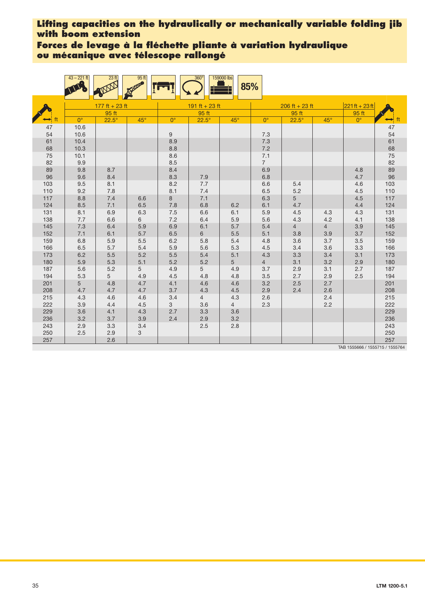**Forces de levage à la fléchette pliante à variation hydraulique ou mécanique avec télescope rallongé**

|            | $43 - 221$ ft | 23 <sub>ft</sub> | 95 <sub>ft</sub> |             | $360^\circ$    | 159000 lbs<br>85% |                |                  |                |                                 |                      |
|------------|---------------|------------------|------------------|-------------|----------------|-------------------|----------------|------------------|----------------|---------------------------------|----------------------|
|            |               | $177$ ft + 23 ft |                  |             | 191 ft + 23 ft |                   |                | $206$ ft + 23 ft |                | $221ft + 23ft$                  |                      |
|            |               | 95 ft            |                  |             | 95 ft          |                   |                | 95 ft            |                | 95 ft                           |                      |
| ft         | $0^{\circ}$   | $22.5^\circ$     | $45^\circ$       | $0^{\circ}$ | $22.5^\circ$   | $45^\circ$        | $0^{\circ}$    | $22.5^\circ$     | $45^\circ$     | $0^{\circ}$                     | $\leftrightarrow$ ft |
| 47         | 10.6          |                  |                  |             |                |                   |                |                  |                |                                 | 47                   |
| 54         | 10.6          |                  |                  | 9           |                |                   | 7.3            |                  |                |                                 | 54                   |
| 61         | 10.4          |                  |                  | 8.9         |                |                   | 7.3            |                  |                |                                 | 61                   |
| 68         | 10.3          |                  |                  | 8.8         |                |                   | 7.2            |                  |                |                                 | 68                   |
| 75         | 10.1          |                  |                  | 8.6         |                |                   | 7.1            |                  |                |                                 | 75                   |
| 82         | 9.9           |                  |                  | 8.5         |                |                   | $\overline{7}$ |                  |                |                                 | 82                   |
| 89         | 9.8           | 8.7              |                  | 8.4         |                |                   | 6.9            |                  |                | 4.8                             | 89                   |
| 96         | 9.6           | 8.4              |                  | 8.3         | 7.9            |                   | 6.8            |                  |                | 4.7                             | 96                   |
| 103        | 9.5           | 8.1              |                  | 8.2         | 7.7            |                   | 6.6            | 5.4              |                | 4.6                             | 103                  |
| 110        | 9.2           | 7.8              |                  | 8.1         | 7.4            |                   | 6.5            | 5.2              |                | 4.5                             | 110                  |
| 117        | 8.8           | 7.4              | 6.6              | 8           | 7.1            | 6.2               | 6.3<br>6.1     | 5<br>4.7         |                | 4.5                             | 117                  |
| 124<br>131 | 8.5<br>8.1    | 7.1              | 6.5<br>6.3       | 7.8         | 6.8<br>6.6     | 6.1               | 5.9            | 4.5              | 4.3            | 4.4                             | 124                  |
| 138        | 7.7           | 6.9<br>6.6       | 6                | 7.5<br>7.2  | 6.4            | 5.9               | 5.6            | 4.3              | 4.2            | 4.3<br>4.1                      | 131<br>138           |
| 145        | 7.3           | 6.4              | 5.9              | 6.9         | 6.1            | 5.7               | 5.4            | $\overline{4}$   | $\overline{4}$ | 3.9                             | 145                  |
| 152        | 7.1           | 6.1              | 5.7              | 6.5         | $6\phantom{1}$ | 5.5               | 5.1            | 3.8              | 3.9            | 3.7                             | 152                  |
| 159        | 6.8           | 5.9              | 5.5              | 6.2         | 5.8            | 5.4               | 4.8            | 3.6              | 3.7            | 3.5                             | 159                  |
| 166        | 6.5           | 5.7              | 5.4              | 5.9         | 5.6            | 5.3               | 4.5            | 3.4              | 3.6            | 3.3                             | 166                  |
| 173        | 6.2           | 5.5              | 5.2              | 5.5         | 5.4            | 5.1               | 4.3            | 3.3              | 3.4            | 3.1                             | 173                  |
| 180        | 5.9           | 5.3              | 5.1              | 5.2         | 5.2            | 5                 | $\overline{4}$ | 3.1              | 3.2            | 2.9                             | 180                  |
| 187        | 5.6           | 5.2              | 5                | 4.9         | 5              | 4.9               | 3.7            | 2.9              | 3.1            | 2.7                             | 187                  |
| 194        | 5.3           | 5                | 4.9              | 4.5         | 4.8            | 4.8               | 3.5            | 2.7              | 2.9            | 2.5                             | 194                  |
| 201        | 5             | 4.8              | 4.7              | 4.1         | 4.6            | 4.6               | 3.2            | 2.5              | 2.7            |                                 | 201                  |
| 208        | 4.7           | 4.7              | 4.7              | 3.7         | 4.3            | 4.5               | 2.9            | 2.4              | 2.6            |                                 | 208                  |
| 215        | 4.3           | 4.6              | 4.6              | 3.4         | $\overline{4}$ | 4.3               | 2.6            |                  | 2.4            |                                 | 215                  |
| 222        | 3.9           | 4.4              | 4.5              | 3           | 3.6            | $\overline{4}$    | 2.3            |                  | 2.2            |                                 | 222                  |
| 229        | 3.6           | 4.1              | 4.3              | 2.7         | 3.3            | 3.6               |                |                  |                |                                 | 229                  |
| 236        | 3.2           | 3.7              | 3.9              | 2.4         | 2.9            | 3.2               |                |                  |                |                                 | 236                  |
| 243        | 2.9           | 3.3              | 3.4              |             | 2.5            | 2.8               |                |                  |                |                                 | 243                  |
| 250        | 2.5           | 2.9              | 3                |             |                |                   |                |                  |                |                                 | 250                  |
| 257        |               | 2.6              |                  |             |                |                   |                |                  |                | TAR 1555666 / 1555715 / 155576/ | 257                  |

TAB 1555666 / 1555715 / 1555764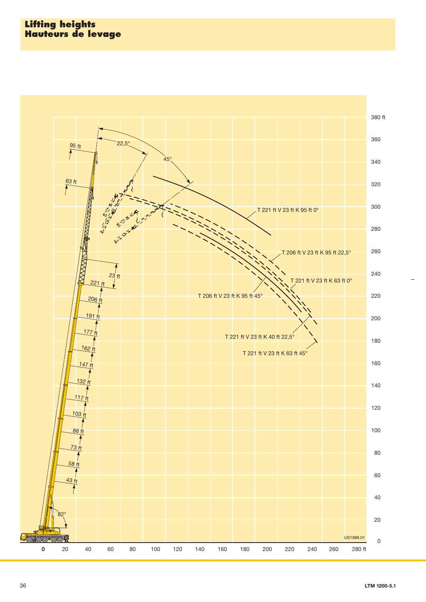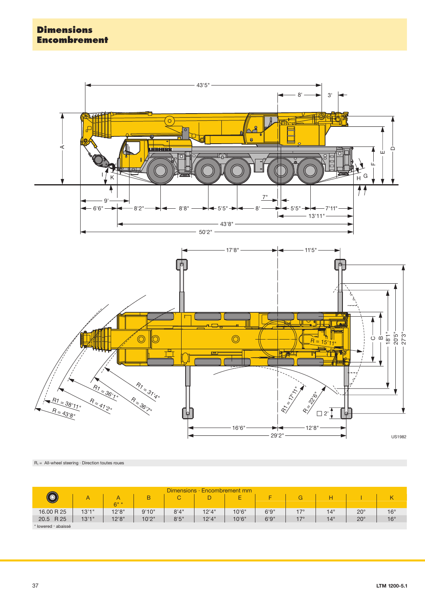

 $R_1 =$  All-wheel steering  $\cdot$  Direction toutes roues

| Dimensions $\cdot$<br><b>Encombrement mm</b> |        |        |       |       |        |        |       |            |            |              |              |
|----------------------------------------------|--------|--------|-------|-------|--------|--------|-------|------------|------------|--------------|--------------|
|                                              |        |        | B     | C     |        | E      |       |            |            |              |              |
|                                              |        | $6" *$ |       |       |        |        |       |            |            |              |              |
| 16.00 R 25                                   | 13'1'' | 12'8'' | 9'10" | 8'4'' | 12'4'' | 10'6"  | 6'9'' | $17^\circ$ | $14^\circ$ | $20^{\circ}$ | $16^{\circ}$ |
| 20.5 R 25                                    | 13'1'' | 12'8'' | 10'2" | 8'5'' | 12'4"  | 10'6'' | 6'9'' | 17°        | $14^\circ$ | $20^{\circ}$ | $16^{\circ}$ |
| * lowered · abaissé                          |        |        |       |       |        |        |       |            |            |              |              |

37 **LTM 1200-**LTM 1200-5.1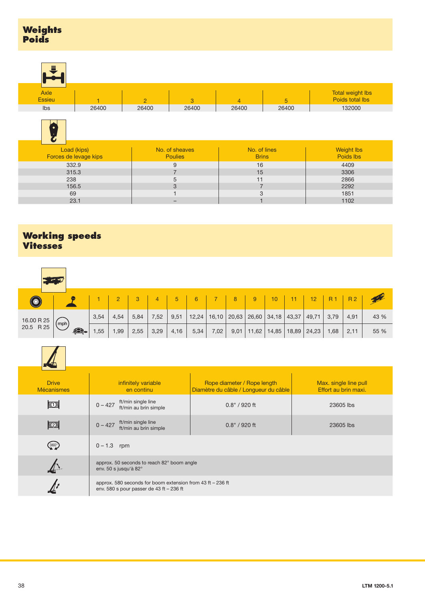| <b>Weights</b> |
|----------------|
| <b>Poids</b>   |

| Е                            |       |       |       |              |       |                                     |
|------------------------------|-------|-------|-------|--------------|-------|-------------------------------------|
| <b>Axle</b><br><b>Essieu</b> |       |       | 3     | $\mathbf{A}$ | b     | Total weight lbs<br>Poids total lbs |
| Ibs                          | 26400 | 26400 | 26400 | 26400        | 26400 | 132000                              |



| Load (kips)           | No. of sheaves | No. of lines | <b>Weight lbs</b> |
|-----------------------|----------------|--------------|-------------------|
| Forces de levage kips | <b>Poulies</b> | <b>Brins</b> | Poids lbs         |
| 332.9                 |                | 16           | 4409              |
| 315.3                 |                | 15           | 3306              |
| 238                   | э              |              | 2866              |
| 156.5                 |                |              | 2292              |
| 69                    |                | 3            | 1851              |
| 23.1                  |                |              | 1102              |

## **Working speeds Vitesses**

|            | $\mathbf{F}$ |      |      |      |      |      |       |      |      |                         |       |       |                     |      |                |      |
|------------|--------------|------|------|------|------|------|-------|------|------|-------------------------|-------|-------|---------------------|------|----------------|------|
| $\bigcirc$ |              |      |      |      | 4    | 5    | 6     |      | 8    | 9                       | 10    |       | 12                  | R 1  | R <sub>2</sub> |      |
| 16.00 R 25 |              | 3,54 | 4,54 | 5,84 | 7,52 | 9,51 | 12,24 |      |      | $16,10$   20,63   26,60 | 34,18 | 43,37 | 49,71               | 3,79 | 4,91           | 43 % |
| 20.5 R 25  | (mph)<br>£.  | ,55  | ,99  | 2,55 | 3,29 | 4,16 | 5,34  | 7,02 | 9,01 | 11,62                   |       |       | $14,85$ 18,89 24,23 | 1,68 | 2,11           | 55 % |



| <b>Drive</b><br><b>Mécanismes</b> | infinitely variable<br>en continu                                                                       | Rope diameter / Rope length<br>Diamètre du câble / Longueur du câble | Max. single line pull<br>Effort au brin maxi. |  |  |  |  |  |
|-----------------------------------|---------------------------------------------------------------------------------------------------------|----------------------------------------------------------------------|-----------------------------------------------|--|--|--|--|--|
| $\mathbb{E}$                      | ft/min single line<br>$0 - 427$<br>ft/min au brin simple                                                | $0.8" / 920$ ft                                                      | 23605 lbs                                     |  |  |  |  |  |
| $\mathbb{Z}$                      | ft/min single line<br>$0 - 427$<br>ft/min au brin simple                                                | $0.8" / 920$ ft                                                      | 23605 lbs                                     |  |  |  |  |  |
| $360^\circ$                       | $0 - 1.3$ rpm                                                                                           |                                                                      |                                               |  |  |  |  |  |
|                                   | approx. 50 seconds to reach 82° boom angle<br>env. 50 s jusqu'à 82°                                     |                                                                      |                                               |  |  |  |  |  |
|                                   | approx. 580 seconds for boom extension from 43 ft - 236 ft<br>env. 580 s pour passer de 43 ft $-236$ ft |                                                                      |                                               |  |  |  |  |  |
|                                   |                                                                                                         |                                                                      |                                               |  |  |  |  |  |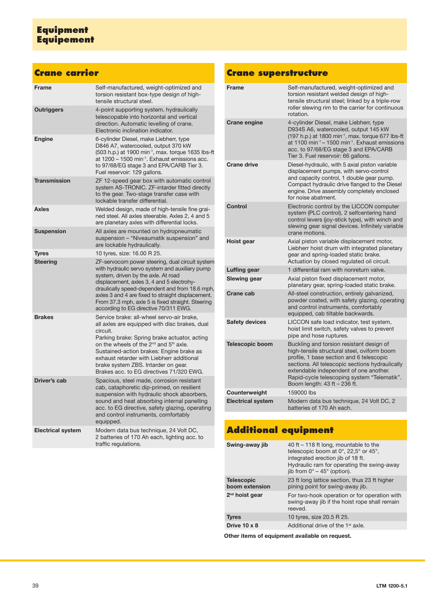## **Equipment Equipement**

## **Crane carrier**

| <b>Frame</b>             | Self-manufactured, weight-optimized and<br>torsion resistant box-type design of high-<br>tensile structural steel.                                                                                                                                                                                                                                                                                   |
|--------------------------|------------------------------------------------------------------------------------------------------------------------------------------------------------------------------------------------------------------------------------------------------------------------------------------------------------------------------------------------------------------------------------------------------|
| <b>Outriggers</b>        | 4-point supporting system, hydraulically<br>telescopable into horizontal and vertical<br>direction. Automatic levelling of crane.<br>Electronic inclination indicator.                                                                                                                                                                                                                               |
| <b>Engine</b>            | 6-cylinder Diesel, make Liebherr, type<br>D846 A7, watercooled, output 370 kW<br>(503 h.p.) at 1900 min <sup>-1</sup> , max. torque 1635 lbs-ft<br>at 1200 - 1500 min <sup>-1</sup> . Exhaust emissions acc.<br>to 97/68/EG stage 3 and EPA/CARB Tier 3.<br>Fuel reservoir: 129 gallons.                                                                                                             |
| <b>Transmission</b>      | ZF 12-speed gear box with automatic control<br>system AS-TRONIC. ZF-intarder fitted directly<br>to the gear. Two-stage transfer case with<br>lockable transfer differential.                                                                                                                                                                                                                         |
| <b>Axles</b>             | Welded design, made of high-tensile fine grai-<br>ned steel. All axles steerable. Axles 2, 4 and 5<br>are planetary axles with differential locks.                                                                                                                                                                                                                                                   |
| <b>Suspension</b>        | All axles are mounted on hydropneumatic<br>suspension - "Niveaumatik suspension" and<br>are lockable hydraulically.                                                                                                                                                                                                                                                                                  |
| <b>Tyres</b>             | 10 tyres, size: 16.00 R 25.                                                                                                                                                                                                                                                                                                                                                                          |
| <b>Steering</b>          | ZF-servocom power steering, dual circuit system<br>with hydraulic servo system and auxiliary pump<br>system, driven by the axle. At road<br>displacement, axles 3, 4 and 5 electrohy-<br>draulically speed-dependent and from 18.6 mph,<br>axles 3 and 4 are fixed to straight displacement.<br>From 37.3 mph, axle 5 is fixed straight. Steering<br>according to EG directive 70/311 EWG.           |
| <b>Brakes</b>            | Service brake: all-wheel servo-air brake,<br>all axles are equipped with disc brakes, dual<br>circuit.<br>Parking brake: Spring brake actuator, acting<br>on the wheels of the 2 <sup>nd</sup> and 5 <sup>th</sup> axle.<br>Sustained-action brakes: Engine brake as<br>exhaust retarder with Liebherr additional<br>brake system ZBS. Intarder on gear.<br>Brakes acc. to EG directives 71/320 EWG. |
| Driver's cab             | Spacious, steel made, corrosion resistant<br>cab, cataphoretic dip-primed, on resilient<br>suspension with hydraulic shock absorbers,<br>sound and heat absorbing internal panelling<br>acc. to EG directive, safety glazing, operating<br>and control instruments, comfortably<br>equipped.                                                                                                         |
| <b>Electrical system</b> | Modern data bus technique, 24 Volt DC,<br>2 batteries of 170 Ah each, lighting acc. to<br>traffic regulations.                                                                                                                                                                                                                                                                                       |

## **Crane superstructure**

| <b>Frame</b>             | Self-manufactured, weight-optimized and<br>torsion resistant welded design of high-<br>tensile structural steel; linked by a triple-row<br>roller slewing rim to the carrier for continuous<br>rotation.                                                                                                        |
|--------------------------|-----------------------------------------------------------------------------------------------------------------------------------------------------------------------------------------------------------------------------------------------------------------------------------------------------------------|
| <b>Crane engine</b>      | 4-cylinder Diesel, make Liebherr, type<br>D934S A6, watercooled, output 145 kW<br>(197 h.p.) at 1800 min <sup>-1</sup> , max. torque 677 lbs-ft<br>at 1100 min <sup>-1</sup> - 1500 min <sup>-1</sup> . Exhaust emissions<br>acc. to 97/68/EG stage 3 and EPA/CARB<br>Tier 3. Fuel reservoir: 66 gallons.       |
| <b>Crane drive</b>       | Diesel-hydraulic, with 5 axial piston variable<br>displacement pumps, with servo-control<br>and capacity control, 1 double gear pump.<br>Compact hydraulic drive flanged to the Diesel<br>engine. Drive assembly completely enclosed<br>for noise abatment.                                                     |
| Control                  | Electronic control by the LICCON computer<br>system (PLC control), 2 selfcentering hand<br>control levers (joy-stick type), with winch and<br>slewing gear signal devices. Infinitely variable<br>crane motions.                                                                                                |
| Hoist gear               | Axial piston variable displacement motor,<br>Liebherr hoist drum with integrated planetary<br>gear and spring-loaded static brake.<br>Actuation by closed regulated oil circuit.                                                                                                                                |
| Luffing gear             | 1 differential ram with nonreturn valve.                                                                                                                                                                                                                                                                        |
| Slewing gear             | Axial piston fixed displacement motor,<br>planetary gear, spring-loaded static brake.                                                                                                                                                                                                                           |
| Crane cab                | All-steel construction, entirely galvanized,<br>powder coated, with safety glazing, operating<br>and control instruments, comfortably<br>equipped, cab tiltable backwards.                                                                                                                                      |
| <b>Safety devices</b>    | LICCON safe load indicator, test system,<br>hoist limit switch, safety valves to prevent<br>pipe and hose ruptures.                                                                                                                                                                                             |
| <b>Telescopic boom</b>   | Buckling and torsion resistant design of<br>high-tensile structural steel, oviform boom<br>profile, 1 base section and 6 telescopic<br>sections. All telescopic sections hydraulically<br>extendable independent of one another.<br>Rapid-cycle telescoping system "Telematik".<br>Boom length: 43 ft - 236 ft. |
| Counterweight            | 159000 lbs                                                                                                                                                                                                                                                                                                      |
| <b>Electrical system</b> | Modern data bus technique, 24 Volt DC, 2<br>batteries of 170 Ah each.                                                                                                                                                                                                                                           |

# **Additional equipment**

| Swing-away jib                      | 40 ft $-$ 118 ft long, mountable to the<br>telescopic boom at 0°, 22,5° or 45°,<br>integrated erection jib of 18 ft.<br>Hydraulic ram for operating the swing-away<br>jib from $0^{\circ}$ – 45 $^{\circ}$ (option). |
|-------------------------------------|----------------------------------------------------------------------------------------------------------------------------------------------------------------------------------------------------------------------|
| <b>Telescopic</b><br>boom extension | 23 ft long lattice section, thus 23 ft higher<br>pining point for swing-away jib.                                                                                                                                    |
| $2nd$ hoist gear                    | For two-hook operation or for operation with<br>swing-away jib if the hoist rope shall remain<br>reeved.                                                                                                             |
| <b>Tyres</b>                        | 10 tyres, size 20.5 R 25.                                                                                                                                                                                            |
| Drive 10 x 8                        | Additional drive of the 1 <sup>st</sup> axle.                                                                                                                                                                        |

**Other items of equipment available on request.**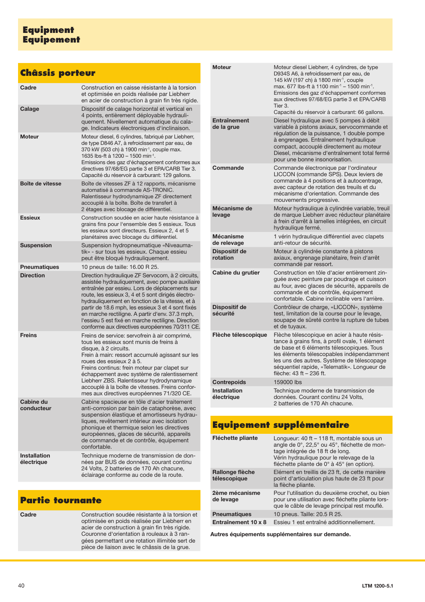## **Châssis porteur**

| Cadre                      | Construction en caisse résistante à la torsion<br>et optimisée en poids réalisée par Liebherr<br>en acier de construction à grain fin très rigide.                                                                                                                                                                                                                                                                                                                              |
|----------------------------|---------------------------------------------------------------------------------------------------------------------------------------------------------------------------------------------------------------------------------------------------------------------------------------------------------------------------------------------------------------------------------------------------------------------------------------------------------------------------------|
| Calage                     | Dispositif de calage horizontal et vertical en<br>4 points, entièrement déployable hydrauli-<br>quement. Nivellement automatique du cala-<br>ge. Indicateurs électroniques d'inclinaison.                                                                                                                                                                                                                                                                                       |
| <b>Moteur</b>              | Moteur diesel, 6 cylindres, fabriqué par Liebherr,<br>de type D846 A7, à refroidissement par eau, de<br>370 kW (503 ch) à 1900 min-1, couple max.<br>1635 lbs-ft à 1200 - 1500 min <sup>-1</sup> .<br>Emissions des gaz d'échappement conformes aux<br>directives 97/68/EG partie 3 et EPA/CARB Tier 3.<br>Capacité du réservoir à carburant: 129 gallons.                                                                                                                      |
| Boîte de vitesse           | Boîte de vitesses ZF à 12 rapports, mécanisme<br>automatisé à commande AS-TRONIC.<br>Ralentisseur hydrodynamique ZF directement<br>accouplé à la boîte. Boîte de transfert à<br>2 étages avec blocage de différentiel.                                                                                                                                                                                                                                                          |
| <b>Essieux</b>             | Construction soudée en acier haute résistance à<br>grains fins pour l'ensemble des 5 essieux. Tous<br>les essieux sont directeurs. Essieux 2, 4 et 5<br>planétaires avec blocage du différentiel.                                                                                                                                                                                                                                                                               |
| <b>Suspension</b>          | Suspension hydropneumatique «Niveauma-<br>tik» - sur tous les essieux. Chaque essieu<br>peut être bloqué hydrauliquement.                                                                                                                                                                                                                                                                                                                                                       |
| <b>Pneumatiques</b>        | 10 pneus de taille: 16.00 R 25.                                                                                                                                                                                                                                                                                                                                                                                                                                                 |
| <b>Direction</b>           | Direction hydraulique ZF Servocom, à 2 circuits,<br>assistée hydrauliquement, avec pompe auxiliaire<br>entraînée par essieu. Lors de déplacements sur<br>route, les essieux 3, 4 et 5 sont dirigés électro-<br>hydrauliquement en fonction de la vitesse, et à<br>partir de 18.6 mph, les essieux 3 et 4 sont fixés<br>en marche rectiligne. A partir d'env. 37.3 mph,<br>l'essieu 5 est fixé en marche rectiligne. Direction<br>conforme aux directives européennes 70/311 CE. |
| <b>Freins</b>              | Freins de service: servofrein à air comprimé,<br>tous les essieux sont munis de freins à<br>disque, à 2 circuits.<br>Frein à main: ressort accumulé agissant sur les<br>roues des essieux 2 à 5.<br>Freins continus: frein moteur par clapet sur<br>échappement avec système de ralentissement<br>Liebherr ZBS. Ralentisseur hydrodynamique<br>accouplé à la boîte de vitesses. Freins confor-<br>mes aux directives européennes 71/320 CE.                                     |
| Cabine du<br>conducteur    | Cabine spacieuse en tôle d'acier traitement<br>anti-corrosion par bain de cataphorèse, avec<br>suspension élastique et amortisseurs hydrau-<br>liques, revêtement intérieur avec isolation<br>phonique et thermique selon les directives<br>européennes, glaces de sécurité, appareils<br>de commande et de contrôle, équipement<br>confortable.                                                                                                                                |
| Installation<br>électrique | Technique moderne de transmission de don-<br>nées par BUS de données, courant continu<br>24 Volts, 2 batteries de 170 Ah chacune,<br>éclairage conforme au code de la route.                                                                                                                                                                                                                                                                                                    |

## **Partie tournante**

| Cadre | Construction soudée résistante à la torsion et<br>optimisée en poids réalisée par Liebherr en<br>acier de construction à grain fin très rigide.<br>Couronne d'orientation à rouleaux à 3 ran-<br>gées permettant une rotation illimitée sert de<br>pièce de liaison avec le châssis de la grue. |
|-------|-------------------------------------------------------------------------------------------------------------------------------------------------------------------------------------------------------------------------------------------------------------------------------------------------|
|       |                                                                                                                                                                                                                                                                                                 |

|  | <b>Moteur</b>                     | Moteur diesel Liebherr, 4 cylindres, de type<br>D934S A6, à refroidissement par eau, de<br>145 kW (197 ch) à 1800 min <sup>-1</sup> , couple<br>max. 677 lbs-ft à 1100 min <sup>-1</sup> - 1500 min <sup>-1</sup> .<br>Emissions des gaz d'échappement conformes<br>aux directives 97/68/EG partie 3 et EPA/CARB<br>Tier 3.<br>Capacité du réservoir à carburant: 66 gallons. |
|--|-----------------------------------|-------------------------------------------------------------------------------------------------------------------------------------------------------------------------------------------------------------------------------------------------------------------------------------------------------------------------------------------------------------------------------|
|  | <b>Entraînement</b><br>de la grue | Diesel hydraulique avec 5 pompes à débit<br>variable à pistons axiaux, servocommande et<br>régulation de la puissance, 1 double pompe<br>à engrenages. Entraînement hydraulique<br>compact, accouplé directement au moteur<br>Diesel, mécanisme d'entraînement total fermé<br>pour une bonne insonorisation.                                                                  |
|  | Commande                          | Commande électronique par l'ordinateur<br>LICCON (commande SPS). Deux leviers de<br>commande à 4 positions et à autocentrage,<br>avec capteur de rotation des treuils et du<br>mécanisme d'orientation. Commande des<br>mouvements progressive.                                                                                                                               |
|  | Mécanisme de<br>levage            | Moteur hydraulique à cylindrée variable, treuil<br>de marque Liebherr avec réducteur planétaire<br>à frein d'arrêt à lamelles intégrées, en circuit<br>hydraulique fermé.                                                                                                                                                                                                     |
|  | <b>Mécanisme</b><br>de relevage   | 1 vérin hydraulique différentiel avec clapets<br>anti-retour de sécurité.                                                                                                                                                                                                                                                                                                     |
|  | Dispositif de<br>rotation         | Moteur à cylindrée constante à pistons<br>axiaux, engrenage planétaire, frein d'arrêt<br>commandé par ressort.                                                                                                                                                                                                                                                                |
|  | Cabine du grutier                 | Construction en tôle d'acier entièrement zin-<br>guée avec peinture par poudrage et cuisson<br>au four, avec glaces de sécurité, appareils de<br>commande et de contrôle, équipement<br>confortable. Cabine inclinable vers l'arrière.                                                                                                                                        |
|  | <b>Dispositif de</b><br>sécurité  | Contrôleur de charge, «LICCON», système<br>test, limitation de la course pour le levage,<br>soupape de sûreté contre la rupture de tubes<br>et de tuyaux.                                                                                                                                                                                                                     |
|  | Flèche télescopique               | Flèche télescopique en acier à haute résis-<br>tance à grains fins, à profil ovale, 1 élément<br>de base et 6 éléments télescopiques. Tous<br>les éléments télescopables indépendamment<br>les uns des autres. Système de télescopage<br>séquentiel rapide, «Telematik». Longueur de<br>flèche: 43 ft - 236 ft.                                                               |
|  | <b>Contrepoids</b>                | 159000 lbs                                                                                                                                                                                                                                                                                                                                                                    |
|  | <b>Installation</b><br>électrique | Technique moderne de transmission de<br>données. Courant continu 24 Volts,<br>2 batteries de 170 Ah chacune.                                                                                                                                                                                                                                                                  |

## **Equipement supplémentaire**

| Fléchette pliante               | Longueur: $40$ ft $-118$ ft, montable sous un<br>angle de 0°, 22,5° ou 45°, fléchette de mon-<br>tage intégrée de 18 ft de long.<br>Vérin hydraulique pour le relevage de la<br>fléchette pliante de $0^\circ$ à 45 $^\circ$ (en option). |
|---------------------------------|-------------------------------------------------------------------------------------------------------------------------------------------------------------------------------------------------------------------------------------------|
| Rallonge flèche<br>télescopique | Elément en treillis de 23 ft, de cette manière<br>point d'articulation plus haute de 23 ft pour<br>la flèche pliante.                                                                                                                     |
| 2ème mécanisme<br>de levage     | Pour l'utilisation du deuxième crochet, ou bien<br>pour une utilisation avec fléchette pliante lors-<br>que le câble de levage principal rest mouflé.                                                                                     |
| <b>Pneumatiques</b>             | 10 pneus. Taille: 20.5 R 25.                                                                                                                                                                                                              |
| Entraînement 10 x 8             | Essieu 1 est entraîné additionnellement.                                                                                                                                                                                                  |

**Autres équipements supplémentaires sur demande.**